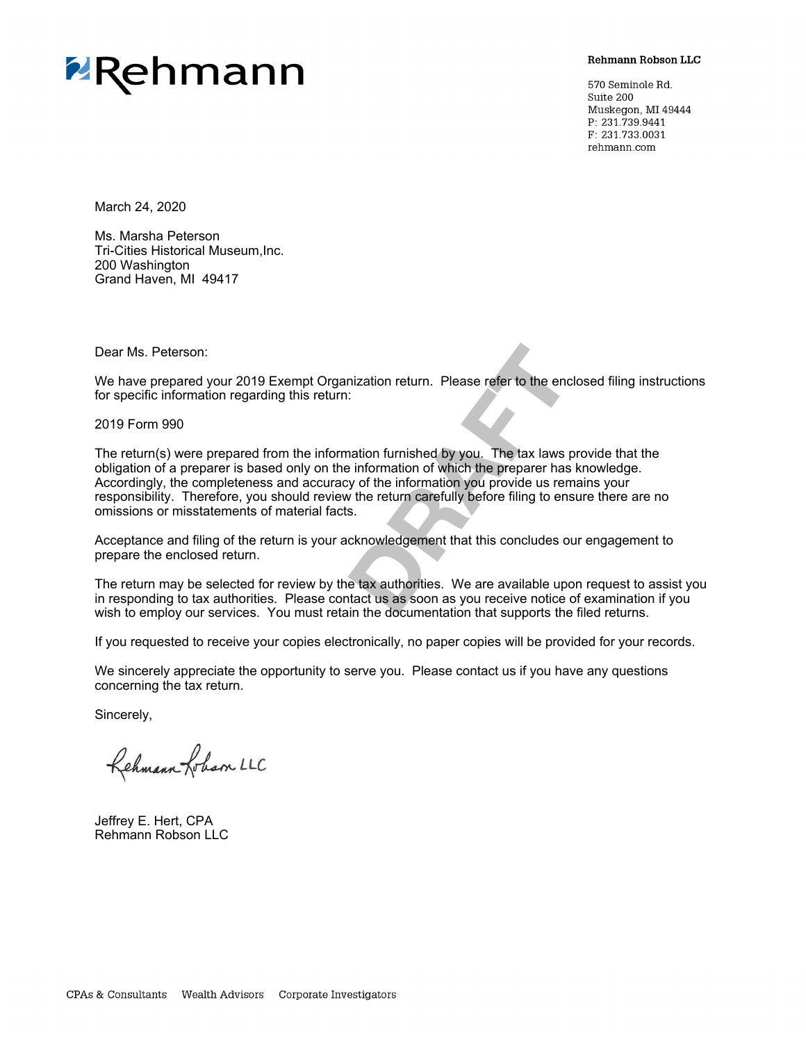

**Rehmann Robson LLC** 

570 Seminole Rd. Suite 200 Muskegon, MI 49444 P: 231.739.9441 F: 231.733.0031 rehmann.com

March 24, 2020

Ms. Marsha Peterson Tri-Cities Historical Museum,Inc. 200 Washington Grand Haven, MI 49417

Dear Ms. Peterson:

We have prepared your 2019 Exempt Organization return. Please refer to the enclosed filing instructions for specific information regarding this return:

2019 Form 990

nization return. Please refer to the enception<br>
Dration furnished by you. The tax laws problem<br>
and to furnished by you. The tax laws problem<br>
by of the information you provide us rem<br>
we the return carefully before filing The return(s) were prepared from the information furnished by you. The tax laws provide that the obligation of a preparer is based only on the information of which the preparer has knowledge. Accordingly, the completeness and accuracy of the information you provide us remains your responsibility. Therefore, you should review the return carefully before filing to ensure there are no omissions or misstatements of material facts.

Acceptance and filing of the return is your acknowledgement that this concludes our engagement to prepare the enclosed return.

The return may be selected for review by the tax authorities. We are available upon request to assist you in responding to tax authorities. Please contact us as soon as you receive notice of examination if you wish to employ our services. You must retain the documentation that supports the filed returns.

If you requested to receive your copies electronically, no paper copies will be provided for your records.

We sincerely appreciate the opportunity to serve you. Please contact us if you have any questions concerning the tax return.

Sincerely,

Rehmann Lobson LLC

Jeffrey E. Hert, CPA Rehmann Robson LLC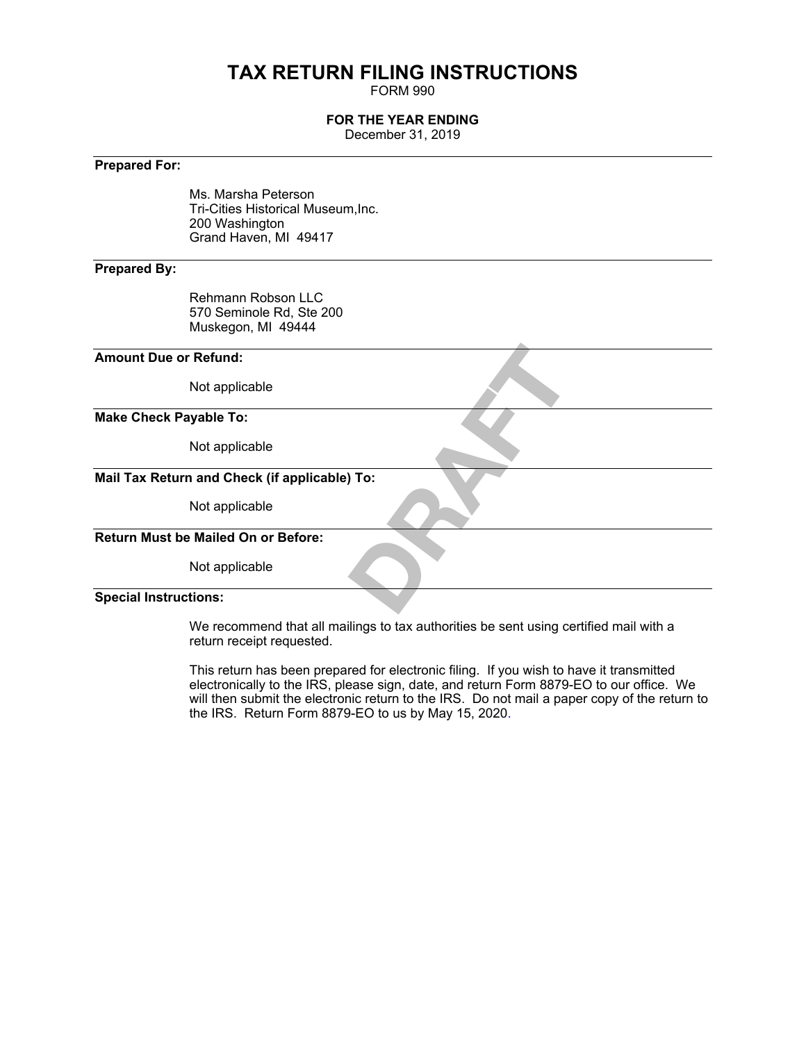# **TAX RETURN FILING INSTRUCTIONS**

FORM 990

# **FOR THE YEAR ENDING**

December 31, 2019

# **Prepared For:**

Ms. Marsha Peterson Tri-Cities Historical Museum,Inc. 200 Washington Grand Haven, MI 49417

# **Prepared By:**

Rehmann Robson LLC 570 Seminole Rd, Ste 200 Muskegon, MI 49444

# **Amount Due or Refund:**

Not applicable

# **Make Check Payable To:**

Not applicable

# DRAFT OF CONSULTANCE **Mail Tax Return and Check (if applicable) To:**

Not applicable

# **Return Must be Mailed On or Before:**

Not applicable

## **Special Instructions:**

We recommend that all mailings to tax authorities be sent using certified mail with a return receipt requested.

This return has been prepared for electronic filing. If you wish to have it transmitted electronically to the IRS, please sign, date, and return Form 8879-EO to our office. We will then submit the electronic return to the IRS. Do not mail a paper copy of the return to the IRS. Return Form 8879-EO to us by May 15, 2020.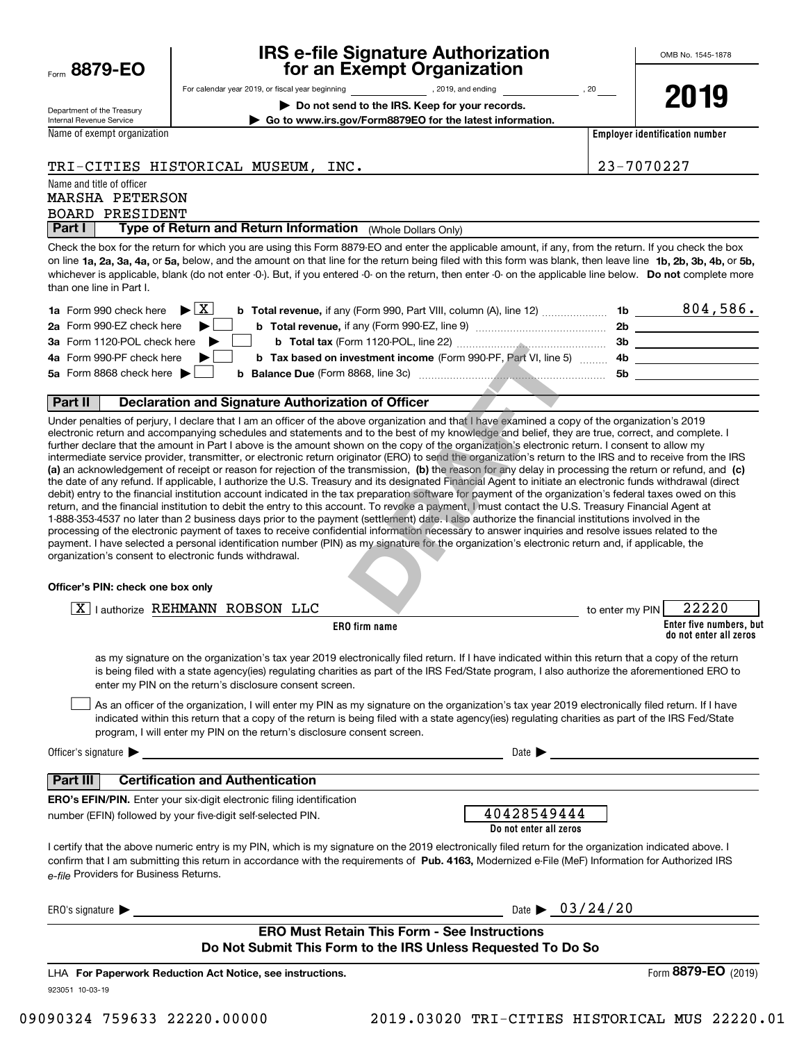|      | 8879-EO |  |  |
|------|---------|--|--|
| Form |         |  |  |

# **IRS e-file Signature Authorization for an Exempt Organization**

**2019**

Department of the Treasury Internal Revenue Service

| For calendar year 2019, or fiscal year beginning | . 2019, and ending | 20 |
|--------------------------------------------------|--------------------|----|

**| Do not send to the IRS. Keep for your records.**

**| Go to www.irs.gov/Form8879EO for the latest information.**

Name of exempt organization

**Employer identification number**

# TRI-CITIES HISTORICAL MUSEUM, INC. 23-7070227

Name and title of officer

# BOARD PRESIDENT MARSHA PETERSON

**Part I** | Type of Return and Return Information (Whole Dollars Only)

on line **1a, 2a, 3a, 4a,** or **5a,** below, and the amount on that line for the return being filed with this form was blank, then leave line **1b, 2b, 3b, 4b,** or **5b,** whichever is applicable, blank (do not enter -0-). But, if you entered -0- on the return, then enter -0- on the applicable line below. **Do not** complete more Check the box for the return for which you are using this Form 8879-EO and enter the applicable amount, if any, from the return. If you check the box than one line in Part I.

| <b>1a</b> Form 990 check here $\triangleright \boxed{X}$<br><b>b Total revenue, if any (Form 990, Part VIII, column (A), line 12)</b> | -1b | 804,586. |
|---------------------------------------------------------------------------------------------------------------------------------------|-----|----------|
| 2a Form 990-EZ check here $\blacktriangleright$<br><b>b</b> Total revenue, if any (Form 990-EZ, line 9)                               | 2b  |          |
| 3a Form 1120-POL check here $\blacktriangleright$                                                                                     | 3b  |          |
| 4a Form 990-PF check here $\blacktriangleright$<br><b>b</b> Tax based on investment income (Form 990-PF, Part VI, line 5) 4b          |     |          |
| 5a Form 8868 check here $\blacktriangleright$                                                                                         | .5b |          |
|                                                                                                                                       |     |          |

## **Part II Declaration and Signature Authorization of Officer**

**(a)** an acknowledgement of receipt or reason for rejection of the transmission, (b) the reason for any delay in processing the return or refund, and (c) Under penalties of perjury, I declare that I am an officer of the above organization and that I have examined a copy of the organization's 2019 electronic return and accompanying schedules and statements and to the best of my knowledge and belief, they are true, correct, and complete. I further declare that the amount in Part I above is the amount shown on the copy of the organization's electronic return. I consent to allow my intermediate service provider, transmitter, or electronic return originator (ERO) to send the organization's return to the IRS and to receive from the IRS the date of any refund. If applicable, I authorize the U.S. Treasury and its designated Financial Agent to initiate an electronic funds withdrawal (direct debit) entry to the financial institution account indicated in the tax preparation software for payment of the organization's federal taxes owed on this return, and the financial institution to debit the entry to this account. To revoke a payment, I must contact the U.S. Treasury Financial Agent at 1-888-353-4537 no later than 2 business days prior to the payment (settlement) date. I also authorize the financial institutions involved in the processing of the electronic payment of taxes to receive confidential information necessary to answer inquiries and resolve issues related to the payment. I have selected a personal identification number (PIN) as my signature for the organization's electronic return and, if applicable, the organization's consent to electronic funds withdrawal. **INTERVALUATELY (THE 22)**<br> **INTERVALUATE (THE 22)**<br> **INTERVALUATE (THE 22)**<br> **INTERVALUATE (THE 22)**<br> **DRAFT**<br> **DRAFT**<br> **DRAFT**<br> **DRAFT**<br> **DRAFT**<br> **DRAFT**<br> **DRAFT**<br> **DRAFT**<br> **DRAFT**<br> **DRAFT**<br> **DRAFT**<br> **DRAFT**<br> **DRAFT**<br> **DR** 

## **Officer's PIN: check one box only**

| I authorize REHMANN ROBSON LLC                                                                                                                                                                                                                                                                                                                                                   | 22220<br>to enter my PIN                          |
|----------------------------------------------------------------------------------------------------------------------------------------------------------------------------------------------------------------------------------------------------------------------------------------------------------------------------------------------------------------------------------|---------------------------------------------------|
| <b>ERO</b> firm name                                                                                                                                                                                                                                                                                                                                                             | Enter five numbers, but<br>do not enter all zeros |
| as my signature on the organization's tax year 2019 electronically filed return. If I have indicated within this return that a copy of the return<br>is being filed with a state agency(ies) regulating charities as part of the IRS Fed/State program, I also authorize the aforementioned ERO to<br>enter my PIN on the return's disclosure consent screen.                    |                                                   |
| As an officer of the organization, I will enter my PIN as my signature on the organization's tax year 2019 electronically filed return. If I have<br>indicated within this return that a copy of the return is being filed with a state agency(ies) regulating charities as part of the IRS Fed/State<br>program, I will enter my PIN on the return's disclosure consent screen. |                                                   |
| Officer's signature $\blacktriangleright$<br><u> 1989 - Johann Harry Harry Harry Harry Harry Harry Harry Harry Harry Harry Harry Harry Harry Harry Harry Harry</u>                                                                                                                                                                                                               | Date $\blacktriangleright$                        |
| <b>Certification and Authentication</b><br><b>Part III</b>                                                                                                                                                                                                                                                                                                                       |                                                   |
| <b>ERO's EFIN/PIN.</b> Enter your six-digit electronic filing identification<br>number (EFIN) followed by your five-digit self-selected PIN.                                                                                                                                                                                                                                     | 40428549444<br>Do not enter all zeros             |
| I certify that the above numeric entry is my PIN, which is my signature on the 2019 electronically filed return for the organization indicated above. I<br>confirm that I am submitting this return in accordance with the requirements of Pub. 4163, Modernized e-File (MeF) Information for Authorized IRS<br>e-file Providers for Business Returns.                           |                                                   |
| ERO's signature $\blacktriangleright$                                                                                                                                                                                                                                                                                                                                            | Date $\triangleright$ 03/24/20                    |
| <b>ERO Must Retain This Form - See Instructions</b><br>Do Not Submit This Form to the IRS Unless Requested To Do So                                                                                                                                                                                                                                                              |                                                   |
| LHA For Paperwork Reduction Act Notice, see instructions.                                                                                                                                                                                                                                                                                                                        | Form 8879-EO (2019)                               |

**fork Reduction Act Notice, see instructions.** LHA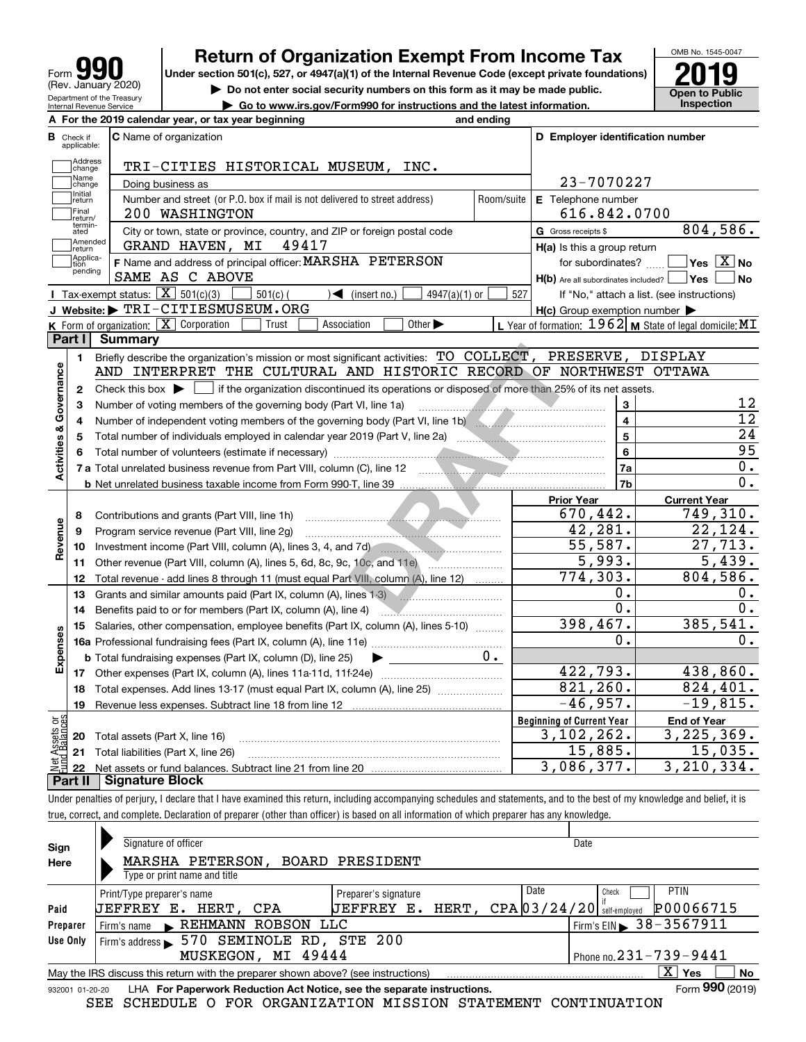| Form                                                   |
|--------------------------------------------------------|
| (Rev. January 2020)                                    |
| Department of the Treasury<br>Internal Revenue Service |

# **Return of Organization Exempt From Income Tax**

**Under section 501(c), 527, or 4947(a)(1) of the Internal Revenue Code (except private foundations) 2019**

**| Do not enter social security numbers on this form as it may be made public.**

OMB No. 1545-0047 **Public**<br>ction

| $\blacktriangleright$ Do not enter social security numbers on this form as it may be made public.<br>Department of the Treasury<br>$\triangleright$ Go to www.irs.gov/Form990 for instructions and the latest information.<br>Internal Revenue Service |                                  |  |                                                     | Open to Pub<br>Inspection |                                         |  |
|--------------------------------------------------------------------------------------------------------------------------------------------------------------------------------------------------------------------------------------------------------|----------------------------------|--|-----------------------------------------------------|---------------------------|-----------------------------------------|--|
|                                                                                                                                                                                                                                                        |                                  |  | A For the 2019 calendar year, or tax year beginning | and ending                |                                         |  |
|                                                                                                                                                                                                                                                        | <b>B</b> Check if<br>applicable: |  | <b>C</b> Name of organization                       |                           | <b>D</b> Employer identification number |  |

|                         | applicable:       |                                                                                                                                             |                    |                                                     |                                                           |
|-------------------------|-------------------|---------------------------------------------------------------------------------------------------------------------------------------------|--------------------|-----------------------------------------------------|-----------------------------------------------------------|
|                         | Address<br>Change | TRI-CITIES HISTORICAL MUSEUM, INC.                                                                                                          |                    |                                                     |                                                           |
|                         | Name<br>change    | Doing business as                                                                                                                           | 23-7070227         |                                                     |                                                           |
|                         | Initial<br>return | Number and street (or P.O. box if mail is not delivered to street address)                                                                  | E Telephone number |                                                     |                                                           |
|                         | Final<br>return/  | 200 WASHINGTON                                                                                                                              | Room/suite         | 616.842.0700                                        |                                                           |
|                         | termin-<br>ated   | City or town, state or province, country, and ZIP or foreign postal code                                                                    |                    | G Gross receipts \$                                 | 804,586.                                                  |
|                         | Amended<br>return | GRAND HAVEN, MI<br>49417                                                                                                                    |                    | $H(a)$ is this a group return                       |                                                           |
|                         | Applica-<br>tion  | F Name and address of principal officer: MARSHA PETERSON                                                                                    |                    | for subordinates?                                   | $\sqrt{}$ Yes $\sqrt{}$ X $\sqrt{}$ No                    |
|                         | pending           | SAME AS C ABOVE                                                                                                                             |                    | $H(b)$ Are all subordinates included? $\Box$ Yes    | ∣No                                                       |
|                         |                   | Tax-exempt status: $\boxed{\mathbf{X}}$ 501(c)(3)<br>$4947(a)(1)$ or<br>$501(c)$ (<br>$\sqrt{\frac{1}{1}}$ (insert no.)                     | 527                |                                                     | If "No," attach a list. (see instructions)                |
|                         |                   | J Website: FRI-CITIESMUSEUM.ORG                                                                                                             |                    | $H(c)$ Group exemption number $\blacktriangleright$ |                                                           |
|                         |                   | K Form of organization: X Corporation<br>Other $\blacktriangleright$<br>Trust<br>Association                                                |                    |                                                     | L Year of formation: 1962   M State of legal domicile: MI |
|                         | Part I            | <b>Summary</b>                                                                                                                              |                    |                                                     |                                                           |
|                         | 1.                | Briefly describe the organization's mission or most significant activities: TO COLLECT, PRESERVE, DISPLAY                                   |                    |                                                     |                                                           |
| Activities & Governance |                   | AND INTERPRET THE CULTURAL AND HISTORIC RECORD OF NORTHWEST OTTAWA                                                                          |                    |                                                     |                                                           |
|                         | $\mathbf{2}$      | Check this box $\blacktriangleright$ $\Box$ if the organization discontinued its operations or disposed of more than 25% of its net assets. |                    |                                                     |                                                           |
|                         | 3                 | Number of voting members of the governing body (Part VI, line 1a)                                                                           |                    | 3                                                   | 12                                                        |
|                         | 4                 | Number of independent voting members of the governing body (Part VI, line 1b)                                                               |                    | $\overline{4}$                                      | $\overline{12}$                                           |
|                         | 5                 |                                                                                                                                             |                    | 5                                                   | 24                                                        |
|                         | 6                 |                                                                                                                                             |                    | $\bf 6$                                             | $\overline{95}$                                           |
|                         |                   |                                                                                                                                             |                    | 7a                                                  | 0.                                                        |
|                         |                   |                                                                                                                                             |                    | 7b                                                  | 0.                                                        |
|                         |                   |                                                                                                                                             |                    | <b>Prior Year</b>                                   | <b>Current Year</b>                                       |
|                         | 8                 | Contributions and grants (Part VIII, line 1h)                                                                                               |                    | 670,442.                                            | 749,310.                                                  |
|                         | 9                 | Program service revenue (Part VIII, line 2g)                                                                                                |                    | 42,281.                                             | 22, 124.                                                  |
| Revenue                 | 10                | Investment income (Part VIII, column (A), lines 3, 4, and 7d)                                                                               |                    | 55,587.                                             | 27,713.                                                   |
|                         | 11                |                                                                                                                                             |                    | 5,993.                                              | 5,439.                                                    |
|                         | 12                | Total revenue - add lines 8 through 11 (must equal Part VIII, column (A), line 12)                                                          |                    | $\overline{774,303}$ .                              | 804,586.                                                  |
|                         | 13                | Grants and similar amounts paid (Part IX, column (A), lines 1-3)                                                                            |                    | 0.                                                  | 0.                                                        |
|                         | 14                | Benefits paid to or for members (Part IX, column (A), line 4)                                                                               |                    | $\overline{0}$ .                                    | 0.                                                        |
|                         | 15                | Salaries, other compensation, employee benefits (Part IX, column (A), lines 5-10)                                                           |                    | 398,467.                                            | 385,541.                                                  |
| Expenses                |                   |                                                                                                                                             |                    | 0.                                                  | 0.                                                        |
|                         |                   | <b>b</b> Total fundraising expenses (Part IX, column (D), line 25)                                                                          | 0.                 |                                                     |                                                           |
|                         |                   |                                                                                                                                             |                    | 422,793.                                            | 438,860.                                                  |
|                         | 18                | Total expenses. Add lines 13-17 (must equal Part IX, column (A), line 25)                                                                   |                    | 821, 260.                                           | 824,401.                                                  |
|                         | 19                |                                                                                                                                             |                    | $-46,957.$                                          | $-19,815.$                                                |
| ಕ್ಷ                     |                   |                                                                                                                                             |                    | <b>Beginning of Current Year</b>                    | <b>End of Year</b>                                        |
|                         |                   | <b>20</b> Total assets (Part X, line 16)                                                                                                    |                    | 3,102,262.                                          | 3, 225, 369.                                              |
|                         |                   | 21 Total liabilities (Part X, line 26)                                                                                                      |                    | 15,885.                                             | 15,035.                                                   |
|                         | 22                |                                                                                                                                             |                    | 3,086,377.                                          | 3,210,334.                                                |
|                         | Part II           | <b>Signature Block</b>                                                                                                                      |                    |                                                     |                                                           |

Under penalties of perjury, I declare that I have examined this return, including accompanying schedules and statements, and to the best of my knowledge and belief, it is true, correct, and complete. Declaration of preparer (other than officer) is based on all information of which preparer has any knowledge.

|          | Signature of officer                                                                                         | Date                                         |  |  |  |  |
|----------|--------------------------------------------------------------------------------------------------------------|----------------------------------------------|--|--|--|--|
| Sign     |                                                                                                              |                                              |  |  |  |  |
| Here     | MARSHA PETERSON.<br>BOARD PRESIDENT                                                                          |                                              |  |  |  |  |
|          | Type or print name and title                                                                                 |                                              |  |  |  |  |
|          | Date<br>Preparer's signature<br>Print/Type preparer's name                                                   | PTIN<br>Check                                |  |  |  |  |
| Paid     | HERT, $CPA[03/24/20]$ self-employed<br>UEFFREY E.<br>E. HERT, CPA<br>UEFFREY                                 | P00066715                                    |  |  |  |  |
| Preparer | REHMANN ROBSON LLC<br>Firm's name                                                                            | $1$ Firm's EIN $\triangleright$ 38 - 3567911 |  |  |  |  |
| Use Only | Firm's address > 570 SEMINOLE RD, STE 200                                                                    |                                              |  |  |  |  |
|          | MUSKEGON, MI 49444                                                                                           | Phone no. $231 - 739 - 9441$                 |  |  |  |  |
|          | X.<br>No<br>∣ Yes<br>May the IRS discuss this return with the preparer shown above? (see instructions)       |                                              |  |  |  |  |
|          | Form 990 (2019)<br>LHA For Paperwork Reduction Act Notice, see the separate instructions.<br>932001 01-20-20 |                                              |  |  |  |  |

SEE SCHEDULE O FOR ORGANIZATION MISSION STATEMENT CONTINUATION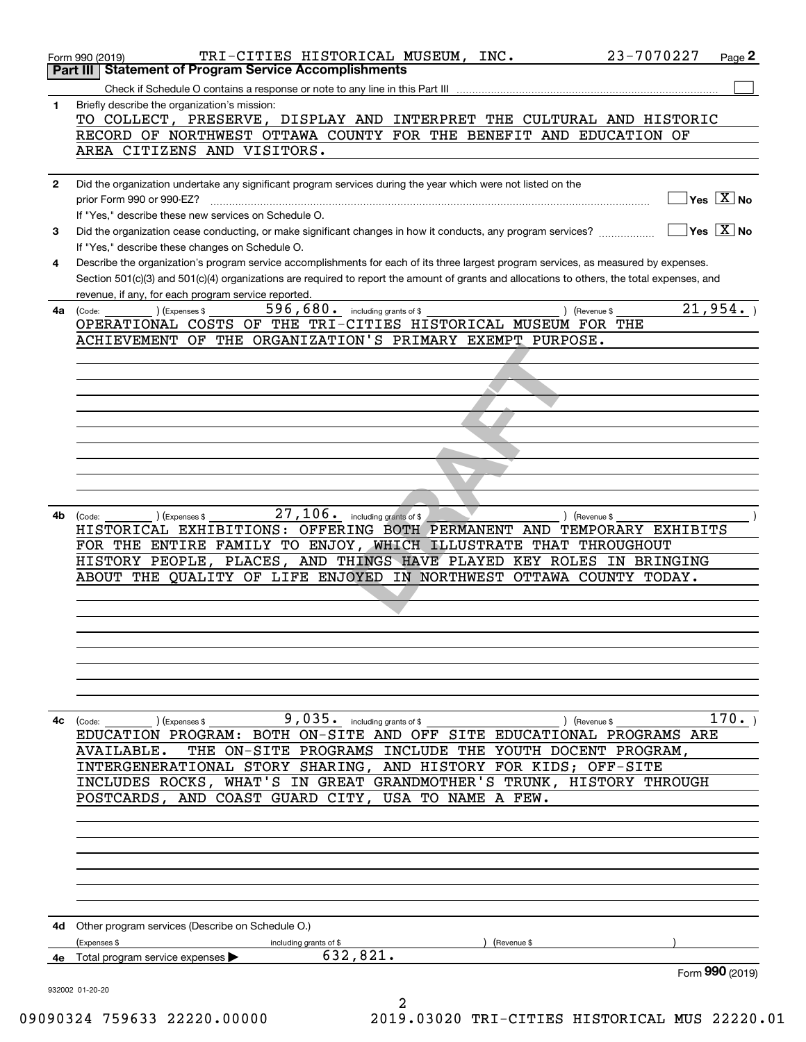|              | 23-7070227<br>TRI-CITIES HISTORICAL MUSEUM, INC.<br>Form 990 (2019)<br><b>Part III Statement of Program Service Accomplishments</b>          | Page 2                                          |
|--------------|----------------------------------------------------------------------------------------------------------------------------------------------|-------------------------------------------------|
|              |                                                                                                                                              |                                                 |
| 1            | Briefly describe the organization's mission:                                                                                                 |                                                 |
|              | TO COLLECT, PRESERVE, DISPLAY AND INTERPRET THE CULTURAL AND HISTORIC                                                                        |                                                 |
|              | RECORD OF NORTHWEST OTTAWA COUNTY FOR THE BENEFIT AND EDUCATION OF                                                                           |                                                 |
|              | AREA CITIZENS AND VISITORS.                                                                                                                  |                                                 |
|              |                                                                                                                                              |                                                 |
| $\mathbf{2}$ | Did the organization undertake any significant program services during the year which were not listed on the                                 | $\sqrt{}$ Yes $\sqrt{}$ X $\sqrt{}$ No          |
|              | prior Form 990 or 990-EZ?                                                                                                                    |                                                 |
|              | If "Yes," describe these new services on Schedule O.                                                                                         | $\overline{\ }$ Yes $\overline{\phantom{X}}$ No |
| 3            | Did the organization cease conducting, or make significant changes in how it conducts, any program services?                                 |                                                 |
|              | If "Yes," describe these changes on Schedule O.                                                                                              |                                                 |
| 4            | Describe the organization's program service accomplishments for each of its three largest program services, as measured by expenses.         |                                                 |
|              | Section 501(c)(3) and 501(c)(4) organizations are required to report the amount of grants and allocations to others, the total expenses, and |                                                 |
|              | revenue, if any, for each program service reported.                                                                                          |                                                 |
| 4a           | 596,680. including grants of \$<br>) (Revenue \$<br>) (Expenses \$<br>(Code:                                                                 | 21,954.                                         |
|              | OPERATIONAL COSTS OF THE TRI-CITIES HISTORICAL MUSEUM FOR THE                                                                                |                                                 |
|              | ACHIEVEMENT OF THE ORGANIZATION'S PRIMARY EXEMPT PURPOSE.                                                                                    |                                                 |
|              |                                                                                                                                              |                                                 |
|              |                                                                                                                                              |                                                 |
|              |                                                                                                                                              |                                                 |
|              |                                                                                                                                              |                                                 |
|              |                                                                                                                                              |                                                 |
|              |                                                                                                                                              |                                                 |
|              |                                                                                                                                              |                                                 |
|              |                                                                                                                                              |                                                 |
|              |                                                                                                                                              |                                                 |
|              |                                                                                                                                              |                                                 |
| 4b           | 27, 106. including grants of \$<br>) (Expenses \$<br>) (Revenue \$<br>(Code:                                                                 |                                                 |
|              | HISTORICAL EXHIBITIONS: OFFERING BOTH PERMANENT AND TEMPORARY EXHIBITS                                                                       |                                                 |
|              | FOR THE ENTIRE FAMILY TO ENJOY, WHICH ILLUSTRATE THAT THROUGHOUT                                                                             |                                                 |
|              | HISTORY PEOPLE, PLACES, AND THINGS HAVE PLAYED KEY ROLES IN BRINGING                                                                         |                                                 |
|              | ABOUT THE QUALITY OF LIFE ENJOYED IN NORTHWEST OTTAWA COUNTY TODAY.                                                                          |                                                 |
|              |                                                                                                                                              |                                                 |
|              |                                                                                                                                              |                                                 |
|              |                                                                                                                                              |                                                 |
|              |                                                                                                                                              |                                                 |
|              |                                                                                                                                              |                                                 |
|              |                                                                                                                                              |                                                 |
|              |                                                                                                                                              |                                                 |
|              |                                                                                                                                              |                                                 |
| 4с           | $9$ , $035$ or including grants of \$<br>(Expenses \$<br>) (Revenue \$<br>(Code:                                                             | 170.                                            |
|              | EDUCATION PROGRAM: BOTH ON-SITE AND OFF SITE EDUCATIONAL PROGRAMS ARE                                                                        |                                                 |
|              | THE ON-SITE PROGRAMS INCLUDE THE YOUTH DOCENT PROGRAM,<br>AVAILABLE.                                                                         |                                                 |
|              | INTERGENERATIONAL STORY SHARING, AND HISTORY FOR KIDS; OFF-SITE                                                                              |                                                 |
|              | INCLUDES ROCKS, WHAT'S IN GREAT GRANDMOTHER'S TRUNK, HISTORY THROUGH                                                                         |                                                 |
|              | POSTCARDS, AND COAST GUARD CITY, USA TO NAME A FEW.                                                                                          |                                                 |
|              |                                                                                                                                              |                                                 |
|              |                                                                                                                                              |                                                 |
|              |                                                                                                                                              |                                                 |
|              |                                                                                                                                              |                                                 |
|              |                                                                                                                                              |                                                 |
|              |                                                                                                                                              |                                                 |
|              |                                                                                                                                              |                                                 |
|              | 4d Other program services (Describe on Schedule O.)                                                                                          |                                                 |
|              | (Expenses \$                                                                                                                                 |                                                 |
|              | including grants of \$<br>Revenue \$<br>632,821.<br>Total program service expenses                                                           |                                                 |
| 4е           |                                                                                                                                              | Form 990 (2019)                                 |
|              | 932002 01-20-20                                                                                                                              |                                                 |
|              | 2                                                                                                                                            |                                                 |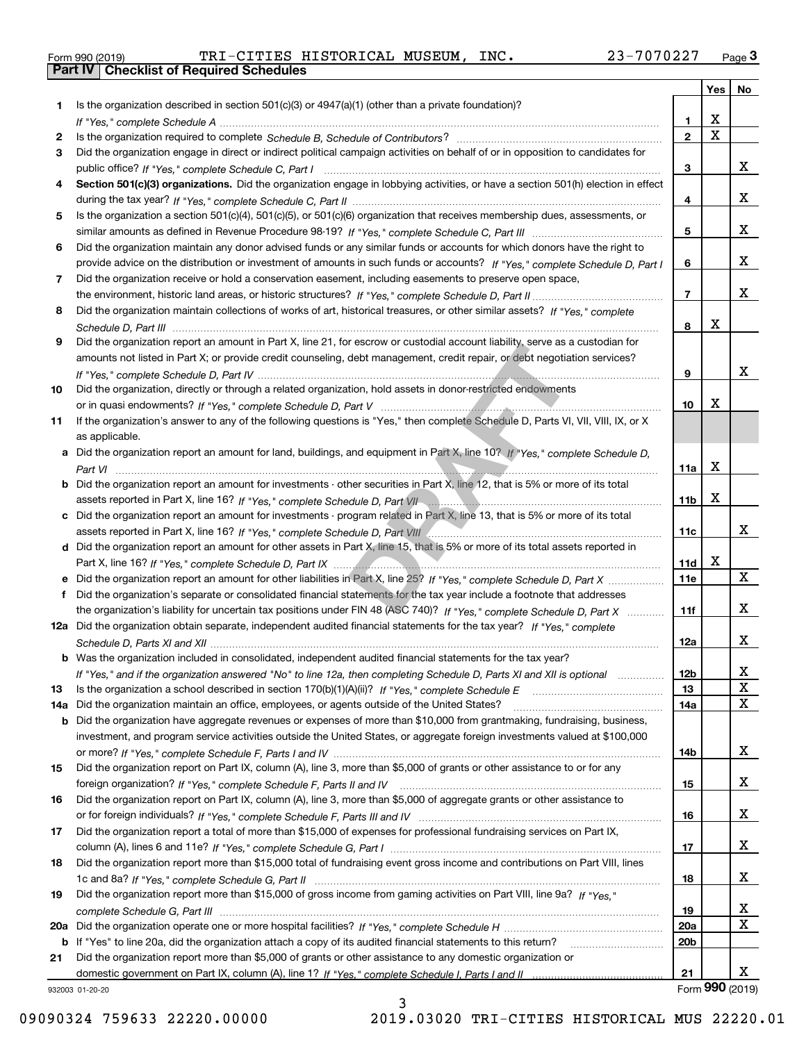| Form 990 (2019) |  |  |
|-----------------|--|--|
|                 |  |  |

Form 990 (2019) TRI – CITIES HISTORICAL MUSEUM, INC**.** 23 – 7 0 7 0 2 27 <sub>Page</sub> 3<br>**Part IV | Checklist of Required Schedules** 

|     |                                                                                                                                                 |                 | Yes         | No              |
|-----|-------------------------------------------------------------------------------------------------------------------------------------------------|-----------------|-------------|-----------------|
| 1   | Is the organization described in section $501(c)(3)$ or $4947(a)(1)$ (other than a private foundation)?                                         |                 |             |                 |
|     |                                                                                                                                                 | 1.              | х           |                 |
| 2   |                                                                                                                                                 | $\overline{2}$  | $\mathbf x$ |                 |
| 3   | Did the organization engage in direct or indirect political campaign activities on behalf of or in opposition to candidates for                 |                 |             |                 |
|     |                                                                                                                                                 | 3               |             | х               |
| 4   | Section 501(c)(3) organizations. Did the organization engage in lobbying activities, or have a section 501(h) election in effect                |                 |             |                 |
|     |                                                                                                                                                 | 4               |             | x               |
| 5   | Is the organization a section 501(c)(4), 501(c)(5), or 501(c)(6) organization that receives membership dues, assessments, or                    |                 |             |                 |
|     |                                                                                                                                                 | 5               |             | х               |
| 6   | Did the organization maintain any donor advised funds or any similar funds or accounts for which donors have the right to                       |                 |             |                 |
|     | provide advice on the distribution or investment of amounts in such funds or accounts? If "Yes," complete Schedule D, Part I                    | 6               |             | х               |
| 7   | Did the organization receive or hold a conservation easement, including easements to preserve open space,                                       |                 |             |                 |
|     |                                                                                                                                                 | $\overline{7}$  |             | X.              |
| 8   | Did the organization maintain collections of works of art, historical treasures, or other similar assets? If "Yes," complete                    |                 | x           |                 |
|     |                                                                                                                                                 | 8               |             |                 |
| 9   | Did the organization report an amount in Part X, line 21, for escrow or custodial account liability, serve as a custodian for                   |                 |             |                 |
|     | amounts not listed in Part X; or provide credit counseling, debt management, credit repair, or debt negotiation services?                       |                 |             | x               |
|     |                                                                                                                                                 | 9               |             |                 |
| 10  | Did the organization, directly or through a related organization, hold assets in donor-restricted endowments                                    | 10              | х           |                 |
|     | If the organization's answer to any of the following questions is "Yes," then complete Schedule D, Parts VI, VII, VIII, IX, or X                |                 |             |                 |
| 11  |                                                                                                                                                 |                 |             |                 |
|     | as applicable.<br>a Did the organization report an amount for land, buildings, and equipment in Part X, line 10? If "Yes," complete Schedule D, |                 |             |                 |
|     |                                                                                                                                                 | 11a             | X           |                 |
|     | <b>b</b> Did the organization report an amount for investments - other securities in Part X, line 12, that is 5% or more of its total           |                 |             |                 |
|     | assets reported in Part X, line 16? If "Yes," complete Schedule D, Part VII Communication contracts and contain                                 | 11 <sub>b</sub> | X           |                 |
|     | c Did the organization report an amount for investments - program related in Part X, line 13, that is 5% or more of its total                   |                 |             |                 |
|     |                                                                                                                                                 | 11c             |             | х               |
|     | d Did the organization report an amount for other assets in Part X, line 15, that is 5% or more of its total assets reported in                 |                 |             |                 |
|     |                                                                                                                                                 | 11d             | х           |                 |
|     | e Did the organization report an amount for other liabilities in Part X, line 25? If "Yes," complete Schedule D, Part X                         | 11e             |             | x               |
| f   | Did the organization's separate or consolidated financial statements for the tax year include a footnote that addresses                         |                 |             |                 |
|     | the organization's liability for uncertain tax positions under FIN 48 (ASC 740)? If "Yes," complete Schedule D, Part X                          | 11f             |             | x               |
|     | 12a Did the organization obtain separate, independent audited financial statements for the tax year? If "Yes," complete                         |                 |             |                 |
|     |                                                                                                                                                 | 12a             |             | X.              |
|     | <b>b</b> Was the organization included in consolidated, independent audited financial statements for the tax year?                              |                 |             |                 |
|     | If "Yes," and if the organization answered "No" to line 12a, then completing Schedule D, Parts XI and XII is optional manum                     | 12b             |             | Χ               |
| 13  |                                                                                                                                                 | 13              |             | X               |
| 14а | Did the organization maintain an office, employees, or agents outside of the United States?                                                     | 14a             |             | х               |
|     | <b>b</b> Did the organization have aggregate revenues or expenses of more than \$10,000 from grantmaking, fundraising, business,                |                 |             |                 |
|     | investment, and program service activities outside the United States, or aggregate foreign investments valued at \$100,000                      |                 |             |                 |
|     |                                                                                                                                                 | 14b             |             | X               |
| 15  | Did the organization report on Part IX, column (A), line 3, more than \$5,000 of grants or other assistance to or for any                       |                 |             |                 |
|     |                                                                                                                                                 | 15              |             | x               |
| 16  | Did the organization report on Part IX, column (A), line 3, more than \$5,000 of aggregate grants or other assistance to                        |                 |             |                 |
|     |                                                                                                                                                 | 16              |             | x               |
| 17  | Did the organization report a total of more than \$15,000 of expenses for professional fundraising services on Part IX,                         |                 |             |                 |
|     |                                                                                                                                                 | 17              |             | x               |
| 18  | Did the organization report more than \$15,000 total of fundraising event gross income and contributions on Part VIII, lines                    |                 |             |                 |
|     |                                                                                                                                                 | 18              |             | x               |
| 19  | Did the organization report more than \$15,000 of gross income from gaming activities on Part VIII, line 9a? If "Yes."                          |                 |             |                 |
|     |                                                                                                                                                 | 19              |             | x               |
|     |                                                                                                                                                 | <b>20a</b>      |             | X               |
|     | b If "Yes" to line 20a, did the organization attach a copy of its audited financial statements to this return?                                  | 20 <sub>b</sub> |             |                 |
| 21  | Did the organization report more than \$5,000 of grants or other assistance to any domestic organization or                                     |                 |             |                 |
|     |                                                                                                                                                 | 21              |             | x               |
|     | 932003 01-20-20                                                                                                                                 |                 |             | Form 990 (2019) |

3

932003 01-20-20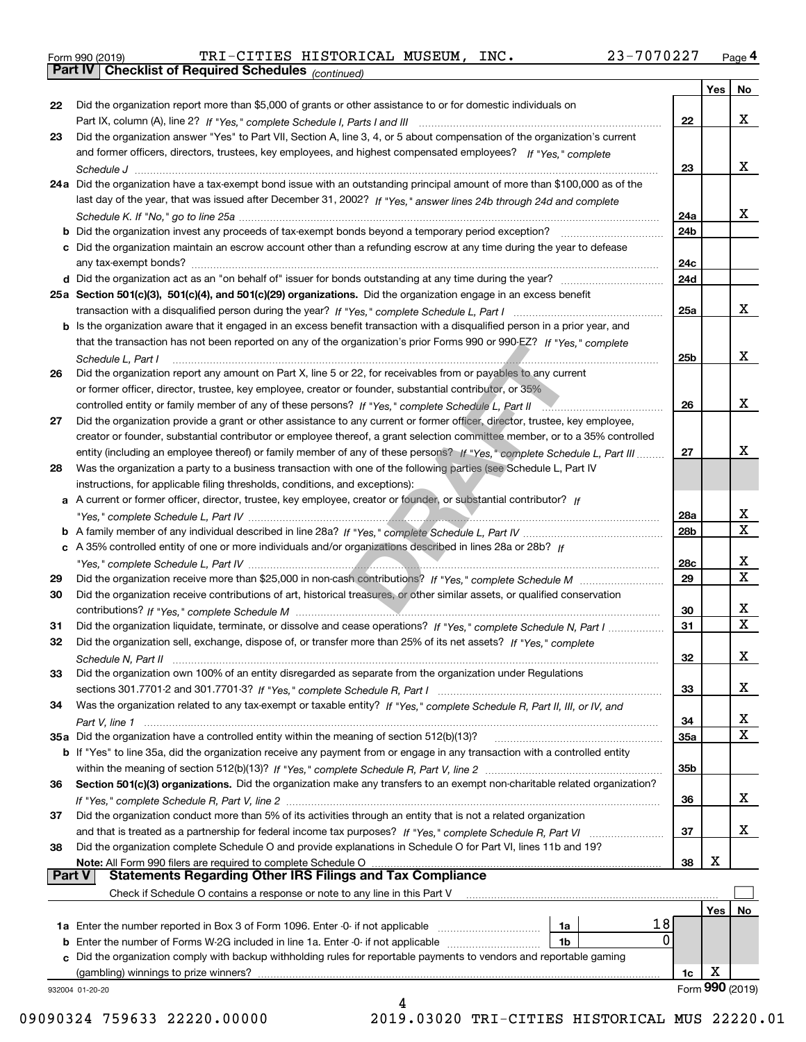|  | Form 990 (2019) |  |
|--|-----------------|--|

*(continued)* Form 990 (2019) TRI – CITIES HISTORICAL MUSEUM, INC**.** 23 – 7 0 7 0 2 27 <sub>Page</sub> 4<br>**Part IV | Checklist of Required Schedules** <sub>(continued)</sub>

|          |                                                                                                                                                                                       |                 | Yes        | No              |
|----------|---------------------------------------------------------------------------------------------------------------------------------------------------------------------------------------|-----------------|------------|-----------------|
| 22       | Did the organization report more than \$5,000 of grants or other assistance to or for domestic individuals on                                                                         |                 |            |                 |
|          |                                                                                                                                                                                       | 22              |            | x               |
| 23       | Did the organization answer "Yes" to Part VII, Section A, line 3, 4, or 5 about compensation of the organization's current                                                            |                 |            |                 |
|          | and former officers, directors, trustees, key employees, and highest compensated employees? If "Yes," complete                                                                        |                 |            |                 |
|          |                                                                                                                                                                                       | 23              |            | x               |
|          | 24a Did the organization have a tax-exempt bond issue with an outstanding principal amount of more than \$100,000 as of the                                                           |                 |            |                 |
|          | last day of the year, that was issued after December 31, 2002? If "Yes," answer lines 24b through 24d and complete                                                                    |                 |            |                 |
|          |                                                                                                                                                                                       | 24a             |            | x               |
|          | b Did the organization invest any proceeds of tax-exempt bonds beyond a temporary period exception?                                                                                   | 24b             |            |                 |
|          | c Did the organization maintain an escrow account other than a refunding escrow at any time during the year to defease                                                                |                 |            |                 |
|          | any tax-exempt bonds?                                                                                                                                                                 | 24c             |            |                 |
|          | d Did the organization act as an "on behalf of" issuer for bonds outstanding at any time during the year?                                                                             | 24d             |            |                 |
|          | 25a Section 501(c)(3), 501(c)(4), and 501(c)(29) organizations. Did the organization engage in an excess benefit                                                                      |                 |            |                 |
|          |                                                                                                                                                                                       | 25a             |            | x               |
|          | b Is the organization aware that it engaged in an excess benefit transaction with a disqualified person in a prior year, and                                                          |                 |            |                 |
|          |                                                                                                                                                                                       |                 |            |                 |
|          | that the transaction has not been reported on any of the organization's prior Forms 990 or 990-EZ? If "Yes," complete                                                                 |                 |            | x               |
|          | Schedule L. Part I                                                                                                                                                                    | 25b             |            |                 |
| 26       | Did the organization report any amount on Part X, line 5 or 22, for receivables from or payables to any current                                                                       |                 |            |                 |
|          | or former officer, director, trustee, key employee, creator or founder, substantial contributor, or 35%                                                                               |                 |            |                 |
|          | controlled entity or family member of any of these persons? If "Yes," complete Schedule L, Part II<br>the contract of the contract of the contract of the contract of the contract of | 26              |            | x               |
| 27       | Did the organization provide a grant or other assistance to any current or former officer, director, trustee, key employee,                                                           |                 |            |                 |
|          | creator or founder, substantial contributor or employee thereof, a grant selection committee member, or to a 35% controlled                                                           |                 |            |                 |
|          | entity (including an employee thereof) or family member of any of these persons? If "Yes," complete Schedule L, Part III                                                              | 27              |            | х               |
| 28       | Was the organization a party to a business transaction with one of the following parties (see Schedule L, Part IV                                                                     |                 |            |                 |
|          | instructions, for applicable filing thresholds, conditions, and exceptions):                                                                                                          |                 |            |                 |
|          | a A current or former officer, director, trustee, key employee, creator or founder, or substantial contributor? If                                                                    |                 |            |                 |
|          |                                                                                                                                                                                       | 28a             |            | x               |
|          |                                                                                                                                                                                       | 28 <sub>b</sub> |            | $\mathbf X$     |
|          | c A 35% controlled entity of one or more individuals and/or organizations described in lines 28a or 28b? If                                                                           |                 |            |                 |
|          |                                                                                                                                                                                       | 28c             |            | х               |
| 29       |                                                                                                                                                                                       | 29              |            | $\mathbf X$     |
| 30       | Did the organization receive contributions of art, historical treasures, or other similar assets, or qualified conservation                                                           |                 |            |                 |
|          |                                                                                                                                                                                       | 30              |            | x               |
| 31       | Did the organization liquidate, terminate, or dissolve and cease operations? If "Yes," complete Schedule N, Part I                                                                    | 31              |            | $\mathbf x$     |
| 32       | Did the organization sell, exchange, dispose of, or transfer more than 25% of its net assets? If "Yes," complete                                                                      |                 |            |                 |
|          |                                                                                                                                                                                       | 32              |            | х               |
| 33       | Did the organization own 100% of an entity disregarded as separate from the organization under Regulations                                                                            |                 |            |                 |
|          |                                                                                                                                                                                       | 33              |            | х               |
| 34       | Was the organization related to any tax-exempt or taxable entity? If "Yes," complete Schedule R, Part II, III, or IV, and                                                             |                 |            |                 |
|          |                                                                                                                                                                                       | 34              |            | X               |
|          | 35a Did the organization have a controlled entity within the meaning of section 512(b)(13)?                                                                                           | 35a             |            | X               |
|          | b If "Yes" to line 35a, did the organization receive any payment from or engage in any transaction with a controlled entity                                                           |                 |            |                 |
|          |                                                                                                                                                                                       | 35b             |            |                 |
| 36       | Section 501(c)(3) organizations. Did the organization make any transfers to an exempt non-charitable related organization?                                                            |                 |            |                 |
|          |                                                                                                                                                                                       | 36              |            | x               |
|          |                                                                                                                                                                                       |                 |            |                 |
| 37       | Did the organization conduct more than 5% of its activities through an entity that is not a related organization                                                                      |                 |            |                 |
|          | and that is treated as a partnership for federal income tax purposes? If "Yes," complete Schedule R, Part VI                                                                          | 37              |            | x               |
| 38       | Did the organization complete Schedule O and provide explanations in Schedule O for Part VI, lines 11b and 19?                                                                        |                 |            |                 |
| ∣ Part V | Note: All Form 990 filers are required to complete Schedule O<br><b>Statements Regarding Other IRS Filings and Tax Compliance</b>                                                     | 38              | х          |                 |
|          |                                                                                                                                                                                       |                 |            |                 |
|          | Check if Schedule O contains a response or note to any line in this Part V                                                                                                            |                 |            |                 |
|          |                                                                                                                                                                                       |                 | <b>Yes</b> | No              |
|          | 18<br><b>1a</b> Enter the number reported in Box 3 of Form 1096. Enter -0- if not applicable <i>mummumumum</i><br>1a                                                                  |                 |            |                 |
|          | $\Omega$<br><b>b</b> Enter the number of Forms W-2G included in line 1a. Enter -0- if not applicable<br>1b                                                                            |                 |            |                 |
|          | Did the organization comply with backup withholding rules for reportable payments to vendors and reportable gaming                                                                    |                 |            |                 |
|          | (gambling) winnings to prize winners?                                                                                                                                                 | 1c              | х          |                 |
|          | 932004 01-20-20                                                                                                                                                                       |                 |            | Form 990 (2019) |
|          |                                                                                                                                                                                       |                 |            |                 |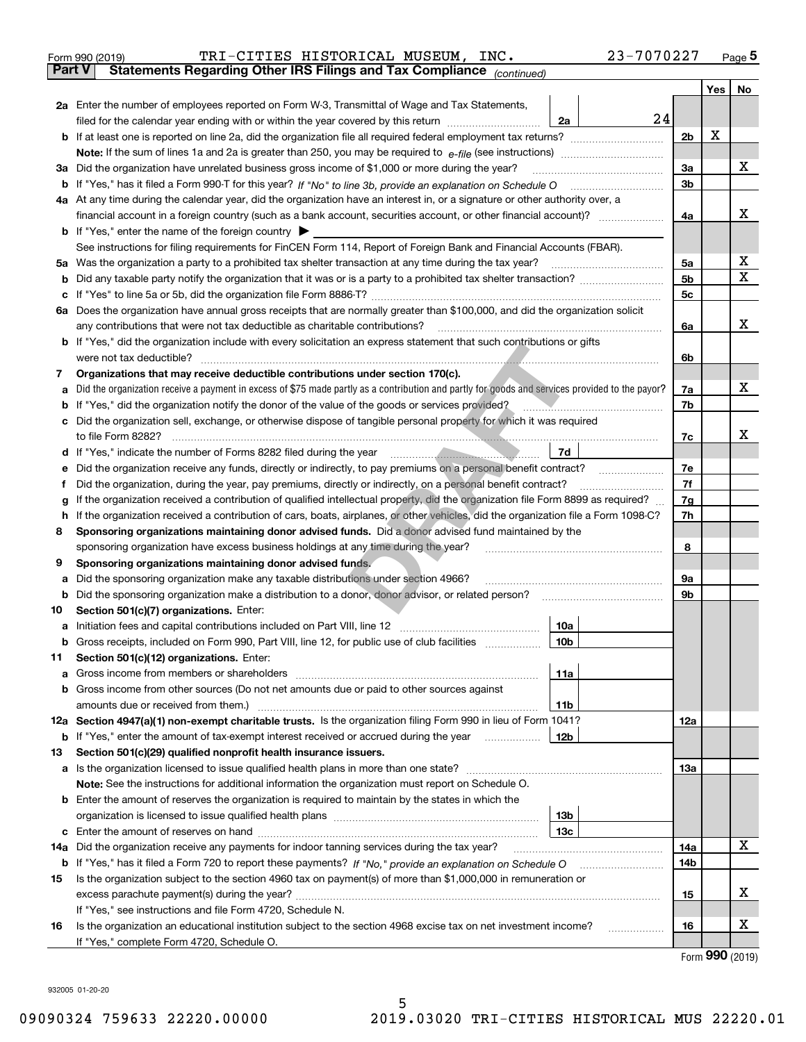| Form 990 (2019) | TRI-CITIES HISTORICAL MUSEUM, INC.                                                             |  | 23-7070227 | Page $5$ |
|-----------------|------------------------------------------------------------------------------------------------|--|------------|----------|
|                 | <b>Part V</b> Statements Regarding Other IRS Filings and Tax Compliance <sub>(continued)</sub> |  |            |          |

| Part V | Statements Regarding Other IRS Fillings and Tax Compilance $_{(continued)}$                                                                     |                |     |    |
|--------|-------------------------------------------------------------------------------------------------------------------------------------------------|----------------|-----|----|
|        |                                                                                                                                                 |                | Yes | No |
|        | 2a Enter the number of employees reported on Form W-3, Transmittal of Wage and Tax Statements,                                                  |                |     |    |
|        | 24<br>filed for the calendar year ending with or within the year covered by this return<br>2a                                                   |                |     |    |
|        |                                                                                                                                                 | 2 <sub>b</sub> | X   |    |
|        |                                                                                                                                                 |                |     |    |
|        | 3a Did the organization have unrelated business gross income of \$1,000 or more during the year?                                                | За             |     | X  |
|        |                                                                                                                                                 | 3b             |     |    |
|        | 4a At any time during the calendar year, did the organization have an interest in, or a signature or other authority over, a                    |                |     |    |
|        | financial account in a foreign country (such as a bank account, securities account, or other financial account)?                                | 4a             |     | х  |
|        | <b>b</b> If "Yes," enter the name of the foreign country                                                                                        |                |     |    |
|        | See instructions for filing requirements for FinCEN Form 114, Report of Foreign Bank and Financial Accounts (FBAR).                             |                |     |    |
|        | 5a Was the organization a party to a prohibited tax shelter transaction at any time during the tax year?                                        | 5a             |     | х  |
| b      |                                                                                                                                                 | 5 <sub>b</sub> |     | X  |
| c      | If "Yes" to line 5a or 5b, did the organization file Form 8886-T?                                                                               | 5c             |     |    |
|        | 6a Does the organization have annual gross receipts that are normally greater than \$100,000, and did the organization solicit                  |                |     |    |
|        | any contributions that were not tax deductible as charitable contributions?                                                                     | 6a             |     | x  |
|        | <b>b</b> If "Yes," did the organization include with every solicitation an express statement that such contributions or gifts                   |                |     |    |
|        | were not tax deductible?                                                                                                                        | 6b             |     |    |
| 7      | Organizations that may receive deductible contributions under section 170(c).                                                                   |                |     |    |
| а      | Did the organization receive a payment in excess of \$75 made partly as a contribution and partly for goods and services provided to the payor? | 7a             |     | X  |
| b      | If "Yes," did the organization notify the donor of the value of the goods or services provided?                                                 | 7b             |     |    |
|        | c Did the organization sell, exchange, or otherwise dispose of tangible personal property for which it was required                             |                |     |    |
|        | to file Form 8282?                                                                                                                              | 7c             |     | х  |
| d      | If "Yes," indicate the number of Forms 8282 filed during the year<br>7d                                                                         |                |     |    |
| е      | Did the organization receive any funds, directly or indirectly, to pay premiums on a personal benefit contract?                                 | 7е             |     |    |
| f      | Did the organization, during the year, pay premiums, directly or indirectly, on a personal benefit contract?                                    | 7f             |     |    |
| g      | If the organization received a contribution of qualified intellectual property, did the organization file Form 8899 as required?                | 7g             |     |    |
| h      | If the organization received a contribution of cars, boats, airplanes, or other vehicles, did the organization file a Form 1098-C?              | 7h             |     |    |
| 8      | Sponsoring organizations maintaining donor advised funds. Did a donor advised fund maintained by the                                            |                |     |    |
|        | sponsoring organization have excess business holdings at any time during the year?                                                              | 8              |     |    |
| 9      | Sponsoring organizations maintaining donor advised funds,<br>Did the sponsoring organization make any taxable distributions under section 4966? | 9а             |     |    |
| а<br>b | Did the sponsoring organization make a distribution to a donor, donor advisor, or related person?                                               | 9b             |     |    |
| 10     | Section 501(c)(7) organizations. Enter:                                                                                                         |                |     |    |
| а      | Initiation fees and capital contributions included on Part VIII, line 12<br>10a                                                                 |                |     |    |
|        | <b>b</b> Gross receipts, included on Form 990, Part VIII, line 12, for public use of club facilities<br>10 <sub>b</sub>                         |                |     |    |
| 11.    | Section 501(c)(12) organizations. Enter:                                                                                                        |                |     |    |
|        | 11a                                                                                                                                             |                |     |    |
|        | <b>b</b> Gross income from other sources (Do not net amounts due or paid to other sources against                                               |                |     |    |
|        | 11b                                                                                                                                             |                |     |    |
|        | 12a Section 4947(a)(1) non-exempt charitable trusts. Is the organization filing Form 990 in lieu of Form 1041?                                  | 12a            |     |    |
|        | <b>b</b> If "Yes," enter the amount of tax-exempt interest received or accrued during the year<br>12b                                           |                |     |    |
| 13     | Section 501(c)(29) qualified nonprofit health insurance issuers.                                                                                |                |     |    |
|        |                                                                                                                                                 | 13а            |     |    |
|        | Note: See the instructions for additional information the organization must report on Schedule O.                                               |                |     |    |
|        | <b>b</b> Enter the amount of reserves the organization is required to maintain by the states in which the                                       |                |     |    |
|        | 13b                                                                                                                                             |                |     |    |
|        | 13с                                                                                                                                             |                |     |    |
|        | 14a Did the organization receive any payments for indoor tanning services during the tax year?                                                  | 14a            |     | x  |
|        | <b>b</b> If "Yes," has it filed a Form 720 to report these payments? If "No," provide an explanation on Schedule O                              | 14b            |     |    |
| 15     | Is the organization subject to the section 4960 tax on payment(s) of more than \$1,000,000 in remuneration or                                   |                |     |    |
|        |                                                                                                                                                 | 15             |     | х  |
|        | If "Yes," see instructions and file Form 4720, Schedule N.                                                                                      |                |     |    |
| 16     | Is the organization an educational institution subject to the section 4968 excise tax on net investment income?                                 | 16             |     | x  |
|        | If "Yes," complete Form 4720, Schedule O.                                                                                                       |                |     |    |

Form (2019) **990**

932005 01-20-20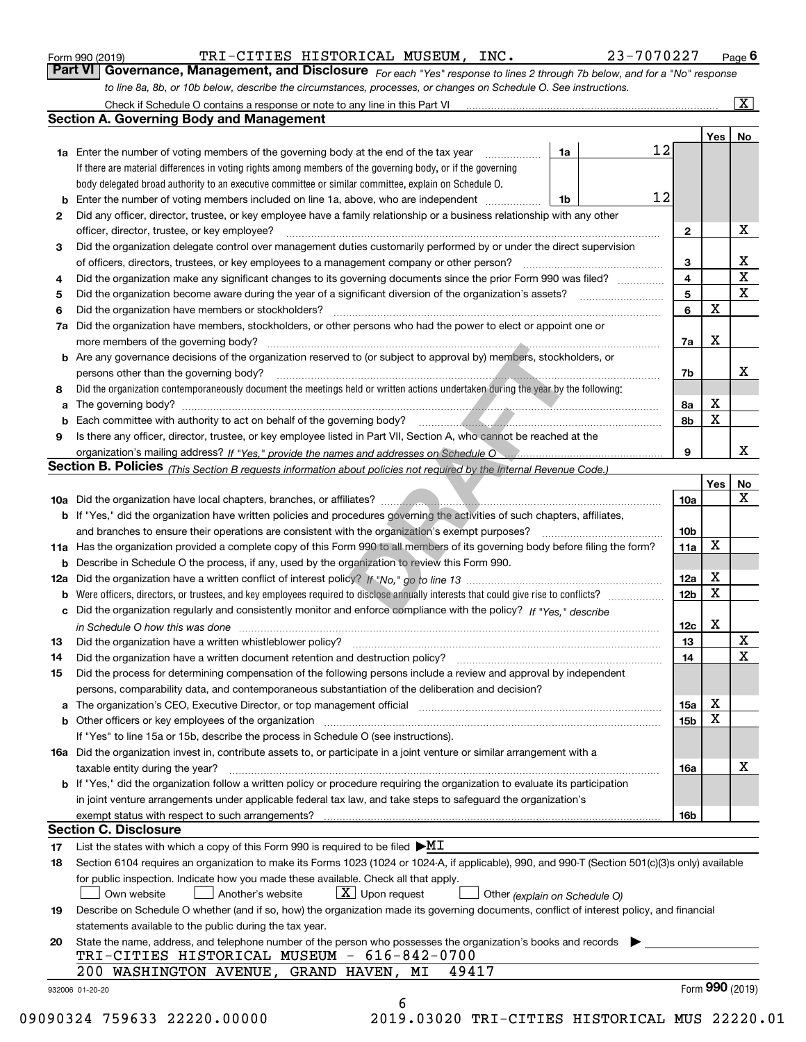| Form 990 (2019) |  |  |
|-----------------|--|--|
|                 |  |  |

| Form 990 (2019) | TRI-CITIES HISTORICAL MUSEUM, INC.                                                                                            | 23-7070227 | $P$ age $6$             |
|-----------------|-------------------------------------------------------------------------------------------------------------------------------|------------|-------------------------|
|                 | Part VI   Governance, Management, and Disclosure For each "Yes" response to lines 2 through 7b below, and for a "No" response |            |                         |
|                 | to line 8a, 8b, or 10b below, describe the circumstances, processes, or changes on Schedule O. See instructions.              |            |                         |
|                 | Check if Schedule O contains a response or note to any line in this Part VI                                                   |            | $\overline{\mathbf{x}}$ |

|    |                                                                                                                                                                               |    | 12 |                              | Yes | No                      |
|----|-------------------------------------------------------------------------------------------------------------------------------------------------------------------------------|----|----|------------------------------|-----|-------------------------|
|    | <b>1a</b> Enter the number of voting members of the governing body at the end of the tax year<br>.                                                                            | 1a |    |                              |     |                         |
|    | If there are material differences in voting rights among members of the governing body, or if the governing                                                                   |    |    |                              |     |                         |
|    | body delegated broad authority to an executive committee or similar committee, explain on Schedule O.                                                                         |    | 12 |                              |     |                         |
| b  | Enter the number of voting members included on line 1a, above, who are independent                                                                                            | 1b |    |                              |     |                         |
| 2  | Did any officer, director, trustee, or key employee have a family relationship or a business relationship with any other                                                      |    |    |                              |     | X                       |
|    | officer, director, trustee, or key employee?                                                                                                                                  |    |    | $\mathbf{2}$                 |     |                         |
| 3  | Did the organization delegate control over management duties customarily performed by or under the direct supervision                                                         |    |    |                              |     | X                       |
|    |                                                                                                                                                                               |    |    | 3<br>$\overline{\mathbf{4}}$ |     | $\overline{\textbf{X}}$ |
| 4  | Did the organization make any significant changes to its governing documents since the prior Form 990 was filed?                                                              |    |    |                              |     | $\mathbf x$             |
| 5  |                                                                                                                                                                               |    |    | 5<br>6                       | X   |                         |
| 6  | Did the organization have members or stockholders?                                                                                                                            |    |    |                              |     |                         |
| 7a | Did the organization have members, stockholders, or other persons who had the power to elect or appoint one or                                                                |    |    |                              |     |                         |
|    |                                                                                                                                                                               |    |    | 7a                           | X   |                         |
|    | <b>b</b> Are any governance decisions of the organization reserved to (or subject to approval by) members, stockholders, or                                                   |    |    |                              |     |                         |
|    | persons other than the governing body?                                                                                                                                        |    |    | 7b                           |     | х                       |
| 8  | Did the organization contemporaneously document the meetings held or written actions undertaken during the year by the following:                                             |    |    |                              |     |                         |
| a  |                                                                                                                                                                               |    |    | 8a                           | X   |                         |
| b  |                                                                                                                                                                               |    |    | 8b                           | X   |                         |
| 9  | Is there any officer, director, trustee, or key employee listed in Part VII, Section A, who cannot be reached at the                                                          |    |    |                              |     |                         |
|    |                                                                                                                                                                               |    |    | 9                            |     | x                       |
|    | <b>Section B. Policies</b> (This Section B requests information about policies not required by the Internal Revenue Code.)                                                    |    |    |                              |     |                         |
|    |                                                                                                                                                                               |    |    |                              | Yes | No                      |
|    |                                                                                                                                                                               |    |    | 10a                          |     | X                       |
|    | <b>b</b> If "Yes," did the organization have written policies and procedures governing the activities of such chapters, affiliates,                                           |    |    |                              |     |                         |
|    |                                                                                                                                                                               |    |    | 10 <sub>b</sub>              |     |                         |
|    | 11a Has the organization provided a complete copy of this Form 990 to all members of its governing body before filing the form?                                               |    |    | 11a                          | X   |                         |
|    | <b>b</b> Describe in Schedule O the process, if any, used by the organization to review this Form 990.                                                                        |    |    |                              |     |                         |
|    |                                                                                                                                                                               |    |    | 12a                          | X   |                         |
| b  |                                                                                                                                                                               |    |    | 12b                          | X   |                         |
|    | c Did the organization regularly and consistently monitor and enforce compliance with the policy? If "Yes," describe                                                          |    |    |                              |     |                         |
|    | in Schedule O how this was done manufactured and continuum control of the Schedule O how this was done manufactured and continuum control of the Schedule O how this was done |    |    | 12c                          | x   |                         |
| 13 |                                                                                                                                                                               |    |    | 13                           |     | X                       |
| 14 | Did the organization have a written document retention and destruction policy? manufactured and the organization have a written document retention and destruction policy?    |    |    | 14                           |     | X                       |
| 15 | Did the process for determining compensation of the following persons include a review and approval by independent                                                            |    |    |                              |     |                         |
|    | persons, comparability data, and contemporaneous substantiation of the deliberation and decision?                                                                             |    |    |                              |     |                         |
| a  | The organization's CEO, Executive Director, or top management official manufactured content content of the organization's CEO, Executive Director, or top management official |    |    | 15a                          | X   |                         |
|    |                                                                                                                                                                               |    |    | 15b                          | X   |                         |
|    | If "Yes" to line 15a or 15b, describe the process in Schedule O (see instructions).                                                                                           |    |    |                              |     |                         |
|    | 16a Did the organization invest in, contribute assets to, or participate in a joint venture or similar arrangement with a                                                     |    |    |                              |     |                         |
|    | taxable entity during the year?                                                                                                                                               |    |    | 16a                          |     | X                       |
|    | b If "Yes," did the organization follow a written policy or procedure requiring the organization to evaluate its participation                                                |    |    |                              |     |                         |
|    | in joint venture arrangements under applicable federal tax law, and take steps to safequard the organization's                                                                |    |    |                              |     |                         |
|    | exempt status with respect to such arrangements?                                                                                                                              |    |    | 16b                          |     |                         |
|    | <b>Section C. Disclosure</b>                                                                                                                                                  |    |    |                              |     |                         |
| 17 | List the states with which a copy of this Form 990 is required to be filed $\blacktriangleright\!\!\underline{\mathsf{M}\mathsf{I}}$                                          |    |    |                              |     |                         |
| 18 | Section 6104 requires an organization to make its Forms 1023 (1024 or 1024-A, if applicable), 990, and 990-T (Section 501(c)(3)s only) available                              |    |    |                              |     |                         |
|    | for public inspection. Indicate how you made these available. Check all that apply.                                                                                           |    |    |                              |     |                         |
|    | $\boxed{\text{X}}$ Upon request<br>Another's website<br>Own website<br>Other (explain on Schedule O)                                                                          |    |    |                              |     |                         |
| 19 | Describe on Schedule O whether (and if so, how) the organization made its governing documents, conflict of interest policy, and financial                                     |    |    |                              |     |                         |
|    | statements available to the public during the tax year.                                                                                                                       |    |    |                              |     |                         |
| 20 | State the name, address, and telephone number of the person who possesses the organization's books and records                                                                |    |    |                              |     |                         |
|    | TRI-CITIES HISTORICAL MUSEUM - 616-842-0700                                                                                                                                   |    |    |                              |     |                         |
|    | 200 WASHINGTON AVENUE, GRAND HAVEN, MI<br>49417                                                                                                                               |    |    |                              |     |                         |
|    |                                                                                                                                                                               |    |    |                              |     | Form 990 (2019)         |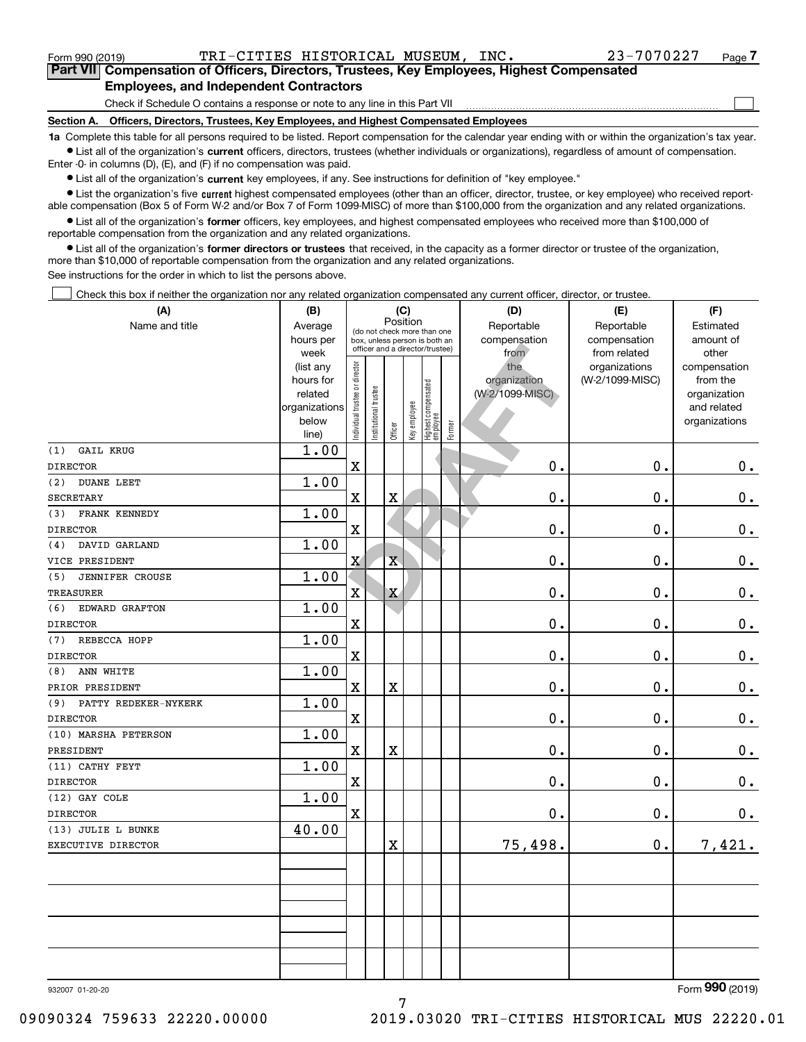Form 990 (2019) TRI-CITIES HISTORICAL MUSEUM, INC  $\bullet$   $23-7070227$   $_{\rm Page}$ 

 $\mathcal{L}^{\text{max}}$ 

**7Part VII Compensation of Officers, Directors, Trustees, Key Employees, Highest Compensated Employees, and Independent Contractors**

Check if Schedule O contains a response or note to any line in this Part VII

**Section A. Officers, Directors, Trustees, Key Employees, and Highest Compensated Employees**

**1a**  Complete this table for all persons required to be listed. Report compensation for the calendar year ending with or within the organization's tax year. **•** List all of the organization's current officers, directors, trustees (whether individuals or organizations), regardless of amount of compensation.

Enter -0- in columns (D), (E), and (F) if no compensation was paid.

 $\bullet$  List all of the organization's  $\,$ current key employees, if any. See instructions for definition of "key employee."

**•** List the organization's five current highest compensated employees (other than an officer, director, trustee, or key employee) who received reportable compensation (Box 5 of Form W-2 and/or Box 7 of Form 1099-MISC) of more than \$100,000 from the organization and any related organizations.

**•** List all of the organization's former officers, key employees, and highest compensated employees who received more than \$100,000 of reportable compensation from the organization and any related organizations.

**former directors or trustees**  ¥ List all of the organization's that received, in the capacity as a former director or trustee of the organization, more than \$10,000 of reportable compensation from the organization and any related organizations.

See instructions for the order in which to list the persons above.

Check this box if neither the organization nor any related organization compensated any current officer, director, or trustee.  $\mathcal{L}^{\text{max}}$ 

| (A)                           | (B)                      |                                |                      |                         | (C)          |                                   |        | (D)             | (E)             | (F)                         |
|-------------------------------|--------------------------|--------------------------------|----------------------|-------------------------|--------------|-----------------------------------|--------|-----------------|-----------------|-----------------------------|
| Name and title                | Average                  |                                |                      | Position                |              | (do not check more than one       |        | Reportable      | Reportable      | Estimated                   |
|                               | hours per                |                                |                      |                         |              | box, unless person is both an     |        | compensation    | compensation    | amount of                   |
|                               | week                     |                                |                      |                         |              | officer and a director/trustee)   |        | from            | from related    | other                       |
|                               | (list any                |                                |                      |                         |              |                                   |        | the             | organizations   | compensation                |
|                               | hours for                |                                |                      |                         |              |                                   |        | organization    | (W-2/1099-MISC) | from the                    |
|                               | related<br>organizations |                                |                      |                         |              |                                   |        | (W-2/1099-MISC) |                 | organization<br>and related |
|                               | below                    |                                |                      |                         |              |                                   |        |                 |                 | organizations               |
|                               | line)                    | Individual trustee or director | nstitutional trustee | Officer                 | Key employee | Highest compensated<br>  employee | Former |                 |                 |                             |
| (1)<br><b>GAIL KRUG</b>       | 1.00                     |                                |                      |                         |              |                                   |        |                 |                 |                             |
| <b>DIRECTOR</b>               |                          | X                              |                      |                         |              |                                   |        | $\mathbf{0}$ .  | 0.              | 0.                          |
| (2)<br><b>DUANE LEET</b>      | 1.00                     |                                |                      |                         |              |                                   |        |                 |                 |                             |
| SECRETARY                     |                          | $\mathbf X$                    |                      | $\overline{\textbf{X}}$ |              |                                   |        | 0.              | 0.              | $\mathbf 0$ .               |
| FRANK KENNEDY<br>(3)          | 1.00                     |                                |                      |                         |              |                                   |        |                 |                 |                             |
| <b>DIRECTOR</b>               |                          | $\rm X$                        |                      |                         |              |                                   |        | 0.              | 0.              | 0.                          |
| DAVID GARLAND<br>(4)          | 1.00                     |                                |                      |                         |              |                                   |        |                 |                 |                             |
| VICE PRESIDENT                |                          | $\overline{\mathbf{X}}$        |                      | $\bar{\textbf{X}}$      |              |                                   |        | 0.              | 0.              | $\mathbf 0$ .               |
| <b>JENNIFER CROUSE</b><br>(5) | 1.00                     |                                |                      |                         |              |                                   |        |                 |                 |                             |
| <b>TREASURER</b>              |                          | $\mathbf X$                    |                      | X                       |              |                                   |        | $\mathbf 0$ .   | 0.              | $0_{.}$                     |
| EDWARD GRAFTON<br>(6)         | 1.00                     |                                |                      |                         |              |                                   |        |                 |                 |                             |
| <b>DIRECTOR</b>               |                          | X                              |                      |                         |              |                                   |        | 0.              | 0.              | $0_{.}$                     |
| (7)<br>REBECCA HOPP           | 1.00                     |                                |                      |                         |              |                                   |        |                 |                 |                             |
| <b>DIRECTOR</b>               |                          | $\rm X$                        |                      |                         |              |                                   |        | 0.              | 0.              | $0_{.}$                     |
| ANN WHITE<br>(8)              | 1.00                     |                                |                      |                         |              |                                   |        |                 |                 |                             |
| PRIOR PRESIDENT               |                          | $\mathbf X$                    |                      | X                       |              |                                   |        | 0.              | 0.              | 0.                          |
| PATTY REDEKER-NYKERK<br>(9)   | 1.00                     |                                |                      |                         |              |                                   |        |                 |                 |                             |
| <b>DIRECTOR</b>               |                          | $\mathbf X$                    |                      |                         |              |                                   |        | 0.              | 0.              | $\mathbf 0$ .               |
| (10) MARSHA PETERSON          | 1.00                     |                                |                      |                         |              |                                   |        |                 |                 |                             |
| PRESIDENT                     |                          | $\mathbf x$                    |                      | $\overline{\text{X}}$   |              |                                   |        | 0.              | 0.              | $\mathbf 0$ .               |
| (11) CATHY FEYT               | 1.00                     |                                |                      |                         |              |                                   |        |                 |                 |                             |
| <b>DIRECTOR</b>               |                          | $\mathbf X$                    |                      |                         |              |                                   |        | 0.              | 0.              | $\mathbf 0$ .               |
| (12) GAY COLE                 | 1.00                     |                                |                      |                         |              |                                   |        |                 |                 |                             |
| <b>DIRECTOR</b>               |                          | $\mathbf x$                    |                      |                         |              |                                   |        | 0.              | 0.              | $\mathbf 0$ .               |
| (13) JULIE L BUNKE            | 40.00                    |                                |                      |                         |              |                                   |        |                 |                 |                             |
| EXECUTIVE DIRECTOR            |                          |                                |                      | $\overline{\textbf{X}}$ |              |                                   |        | 75,498.         | 0.              | 7,421.                      |
|                               |                          |                                |                      |                         |              |                                   |        |                 |                 |                             |
|                               |                          |                                |                      |                         |              |                                   |        |                 |                 |                             |
|                               |                          |                                |                      |                         |              |                                   |        |                 |                 |                             |
|                               |                          |                                |                      |                         |              |                                   |        |                 |                 |                             |
|                               |                          |                                |                      |                         |              |                                   |        |                 |                 |                             |
|                               |                          |                                |                      |                         |              |                                   |        |                 |                 |                             |
|                               |                          |                                |                      |                         |              |                                   |        |                 |                 |                             |
|                               |                          |                                |                      |                         |              |                                   |        |                 |                 | $\Omega$                    |

932007 01-20-20

Form (2019) **990**

7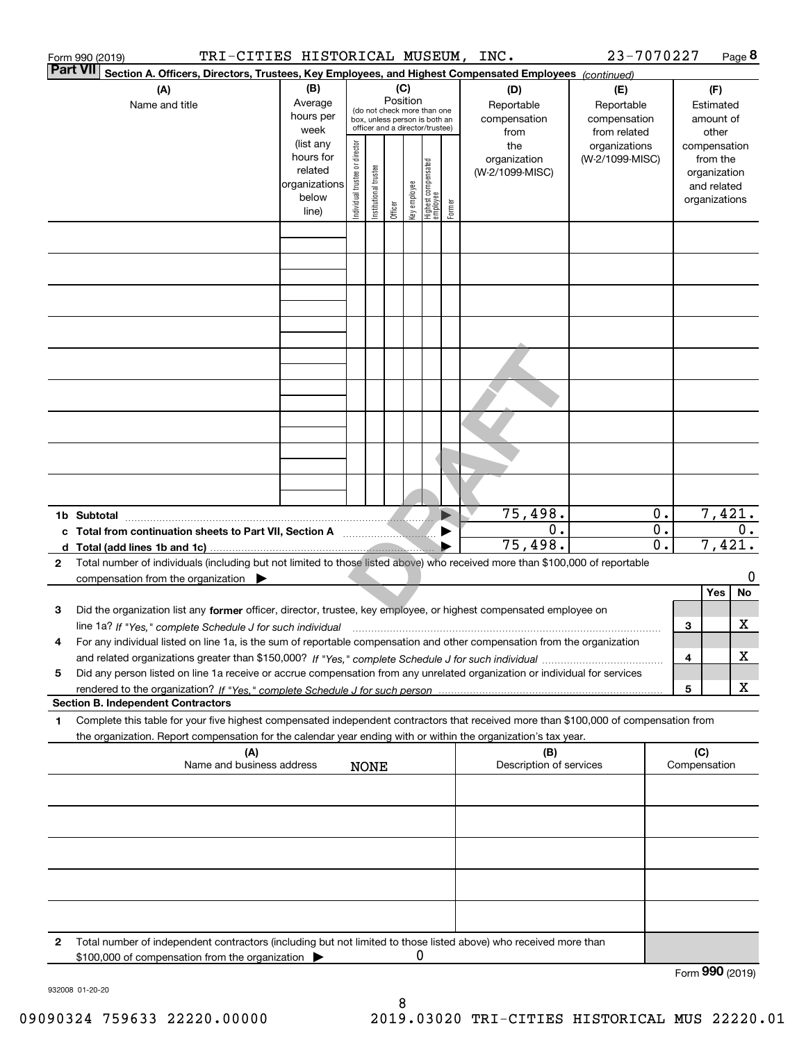|                 | TRI-CITIES HISTORICAL MUSEUM, INC.<br>Form 990 (2019)                                                                                                                                                                                                                |                                                                              |                                |                       |                 |              |                                                                        |                       |                                                | 23-7070227                                       |                                                          |     |                                                                                   | Page 8 |
|-----------------|----------------------------------------------------------------------------------------------------------------------------------------------------------------------------------------------------------------------------------------------------------------------|------------------------------------------------------------------------------|--------------------------------|-----------------------|-----------------|--------------|------------------------------------------------------------------------|-----------------------|------------------------------------------------|--------------------------------------------------|----------------------------------------------------------|-----|-----------------------------------------------------------------------------------|--------|
| <b>Part VII</b> | Section A. Officers, Directors, Trustees, Key Employees, and Highest Compensated Employees (continued)                                                                                                                                                               |                                                                              |                                |                       |                 |              |                                                                        |                       |                                                |                                                  |                                                          |     |                                                                                   |        |
|                 | (A)<br>Name and title                                                                                                                                                                                                                                                | (B)<br>Average<br>hours per                                                  |                                |                       | (C)<br>Position |              | (do not check more than one<br>box, unless person is both an           |                       | (D)<br>Reportable<br>compensation              | (E)<br>Reportable<br>compensation                |                                                          |     | (F)<br>Estimated<br>amount of                                                     |        |
|                 |                                                                                                                                                                                                                                                                      | week<br>(list any<br>hours for<br>related<br>organizations<br>below<br>line) | Individual trustee or director | Institutional trustee | Officer         | key employee | officer and a director/trustee)<br>  Highest compensated<br>  employee | Former                | from<br>the<br>organization<br>(W-2/1099-MISC) | from related<br>organizations<br>(W-2/1099-MISC) |                                                          |     | other<br>compensation<br>from the<br>organization<br>and related<br>organizations |        |
|                 |                                                                                                                                                                                                                                                                      |                                                                              |                                |                       |                 |              |                                                                        |                       |                                                |                                                  |                                                          |     |                                                                                   |        |
|                 |                                                                                                                                                                                                                                                                      |                                                                              |                                |                       |                 |              |                                                                        |                       |                                                |                                                  |                                                          |     |                                                                                   |        |
|                 |                                                                                                                                                                                                                                                                      |                                                                              |                                |                       |                 |              |                                                                        |                       |                                                |                                                  |                                                          |     |                                                                                   |        |
|                 |                                                                                                                                                                                                                                                                      |                                                                              |                                |                       |                 |              |                                                                        |                       |                                                |                                                  |                                                          |     |                                                                                   |        |
|                 |                                                                                                                                                                                                                                                                      |                                                                              |                                |                       |                 |              |                                                                        |                       |                                                |                                                  |                                                          |     |                                                                                   |        |
|                 |                                                                                                                                                                                                                                                                      |                                                                              |                                |                       |                 |              |                                                                        |                       |                                                |                                                  |                                                          |     |                                                                                   |        |
|                 |                                                                                                                                                                                                                                                                      |                                                                              |                                |                       |                 |              |                                                                        |                       |                                                |                                                  |                                                          |     |                                                                                   |        |
|                 | 1b Subtotal                                                                                                                                                                                                                                                          |                                                                              |                                |                       |                 |              |                                                                        | $\blacktriangleright$ | 75,498.                                        |                                                  | 0.                                                       |     | 7,421.                                                                            |        |
|                 | c Total from continuation sheets to Part VII, Section A <b>Conservation</b>                                                                                                                                                                                          |                                                                              |                                |                       |                 |              |                                                                        |                       | 0.<br>75,498.                                  |                                                  | $\overline{\mathbf{0}}$ .<br>$\overline{\mathfrak{0}}$ . |     | 7,421.                                                                            | $0$ .  |
| 2               | Total number of individuals (including but not limited to those listed above) who received more than \$100,000 of reportable<br>compensation from the organization $\blacktriangleright$                                                                             |                                                                              |                                |                       |                 |              |                                                                        |                       |                                                |                                                  |                                                          |     |                                                                                   | 0      |
|                 |                                                                                                                                                                                                                                                                      |                                                                              |                                |                       |                 |              |                                                                        |                       |                                                |                                                  |                                                          |     | Yes                                                                               | No     |
| з               | Did the organization list any former officer, director, trustee, key employee, or highest compensated employee on<br>line 1a? If "Yes," complete Schedule J for such individual manufactured contained and the 1a? If "Yes," complete Schedule J for such individual |                                                                              |                                |                       |                 |              |                                                                        |                       |                                                |                                                  |                                                          | 3   |                                                                                   | х      |
| 4               | For any individual listed on line 1a, is the sum of reportable compensation and other compensation from the organization                                                                                                                                             |                                                                              |                                |                       |                 |              |                                                                        |                       |                                                |                                                  |                                                          | 4   |                                                                                   | х      |
| 5               | Did any person listed on line 1a receive or accrue compensation from any unrelated organization or individual for services                                                                                                                                           |                                                                              |                                |                       |                 |              |                                                                        |                       |                                                |                                                  |                                                          | 5   |                                                                                   | X      |
| 1               | <b>Section B. Independent Contractors</b><br>Complete this table for your five highest compensated independent contractors that received more than \$100,000 of compensation from                                                                                    |                                                                              |                                |                       |                 |              |                                                                        |                       |                                                |                                                  |                                                          |     |                                                                                   |        |
|                 | the organization. Report compensation for the calendar year ending with or within the organization's tax year.                                                                                                                                                       |                                                                              |                                |                       |                 |              |                                                                        |                       |                                                |                                                  |                                                          |     |                                                                                   |        |
|                 | (A)<br>Name and business address                                                                                                                                                                                                                                     |                                                                              |                                | <b>NONE</b>           |                 |              |                                                                        |                       | (B)<br>Description of services                 |                                                  |                                                          | (C) | Compensation                                                                      |        |
|                 |                                                                                                                                                                                                                                                                      |                                                                              |                                |                       |                 |              |                                                                        |                       |                                                |                                                  |                                                          |     |                                                                                   |        |
|                 |                                                                                                                                                                                                                                                                      |                                                                              |                                |                       |                 |              |                                                                        |                       |                                                |                                                  |                                                          |     |                                                                                   |        |
|                 |                                                                                                                                                                                                                                                                      |                                                                              |                                |                       |                 |              |                                                                        |                       |                                                |                                                  |                                                          |     |                                                                                   |        |
|                 |                                                                                                                                                                                                                                                                      |                                                                              |                                |                       |                 |              |                                                                        |                       |                                                |                                                  |                                                          |     |                                                                                   |        |
| 2               | Total number of independent contractors (including but not limited to those listed above) who received more than<br>\$100,000 of compensation from the organization                                                                                                  |                                                                              |                                |                       |                 | 0            |                                                                        |                       |                                                |                                                  |                                                          |     | Form 990 (2019)                                                                   |        |
|                 |                                                                                                                                                                                                                                                                      |                                                                              |                                |                       |                 |              |                                                                        |                       |                                                |                                                  |                                                          |     |                                                                                   |        |

932008 01-20-20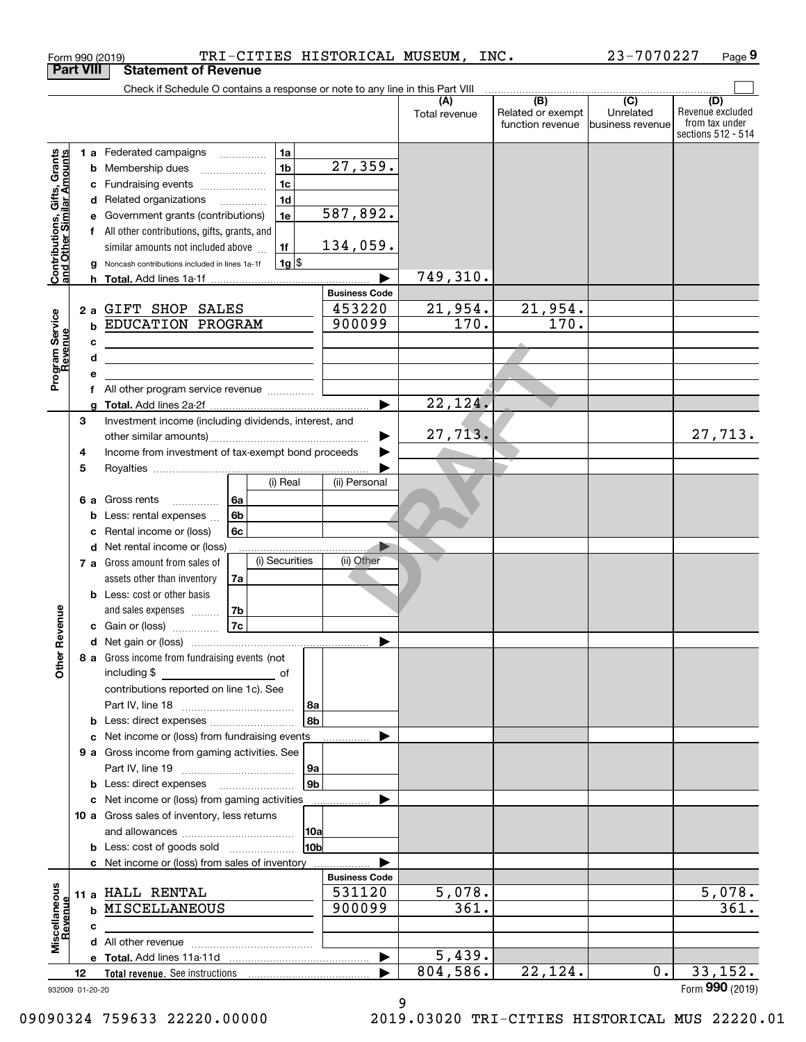| Check if Schedule O contains a response or note to any line in this Part VIII<br>(B)<br>$\overline{(C)}$<br>(D)<br>Related or exempt<br>Unrelated<br>Total revenue<br>from tax under<br>function revenue<br>business revenue<br>sections 512 - 514<br>1a<br><b>1 a</b> Federated campaigns<br>Contributions, Gifts, Grants<br>and Other Similar Amounts<br>27, 359.<br>1 <sub>b</sub><br>Membership dues<br>b<br>1 <sub>c</sub><br>Fundraising events<br>с<br>1 <sub>d</sub><br>Related organizations<br>d<br>$\overline{\phantom{a}}$<br>587,892.<br>1e<br>Government grants (contributions)<br>е<br>All other contributions, gifts, grants, and<br>134,059.<br>similar amounts not included above<br>1f<br>$1g$ \$<br>Noncash contributions included in lines 1a-1f<br>g<br>749, 310.<br>h<br><b>Business Code</b><br>21,954.<br>21,954.<br>453220<br>GIFT SHOP SALES<br>2a<br>Program Service<br>Revenue<br>170.<br>170.<br>900099<br>EDUCATION PROGRAM<br>b<br>с<br>d<br><u> 1989 - Johann Barbara, martxa alemaniar amerikan a</u><br>е<br>All other program service revenue<br>f<br>22, 124.<br>$\blacktriangleright$<br>a<br>Investment income (including dividends, interest, and<br>3<br>27,713.<br>Income from investment of tax-exempt bond proceeds<br>4<br>5<br>(i) Real<br>(ii) Personal<br>Gross rents<br>6а<br>6а<br>6b<br>Less: rental expenses<br>b<br>Rental income or (loss)<br>6c<br>с<br>Net rental income or (loss)<br>d<br>(i) Securities<br>(ii) Other<br>Gross amount from sales of<br>7 а<br>assets other than inventory<br>7a<br>Less: cost or other basis<br>b<br>Revenue<br>7b<br>and sales expenses<br>7c<br>Gain or (loss)<br>8 a Gross income from fundraising events (not<br><b>Other</b><br>including \$<br>оf<br>contributions reported on line 1c). See<br>  8a<br>8b<br>Less: direct expenses<br>b<br>Net income or (loss) from fundraising events<br>с<br>9 a Gross income from gaming activities. See<br>  9a<br>9 <sub>b</sub><br>b<br>Net income or (loss) from gaming activities<br>с<br>10 a Gross sales of inventory, less returns<br> 10a<br>10b<br><b>b</b> Less: cost of goods sold<br>c Net income or (loss) from sales of inventory<br><b>Business Code</b><br>Miscellaneous<br>Revenue<br>5,078.<br>531120<br>11 a HALL RENTAL<br>361.<br>361.<br>MISCELLANEOUS<br>900099<br>b<br>с<br>5,439.<br>▶<br>804,586.<br>22,124.<br>33,152.<br>0.<br>12<br>932009 01-20-20 | <b>Part VIII</b> | <b>Statement of Revenue</b> |  |  |                  |
|------------------------------------------------------------------------------------------------------------------------------------------------------------------------------------------------------------------------------------------------------------------------------------------------------------------------------------------------------------------------------------------------------------------------------------------------------------------------------------------------------------------------------------------------------------------------------------------------------------------------------------------------------------------------------------------------------------------------------------------------------------------------------------------------------------------------------------------------------------------------------------------------------------------------------------------------------------------------------------------------------------------------------------------------------------------------------------------------------------------------------------------------------------------------------------------------------------------------------------------------------------------------------------------------------------------------------------------------------------------------------------------------------------------------------------------------------------------------------------------------------------------------------------------------------------------------------------------------------------------------------------------------------------------------------------------------------------------------------------------------------------------------------------------------------------------------------------------------------------------------------------------------------------------------------------------------------------------------------------------------------------------------------------------------------------------------------------------------------------------------------------------------------------------------------------------------------------------------------------------------------------------------------------------------------------------------------------------------------------------------------------------------------------------------|------------------|-----------------------------|--|--|------------------|
|                                                                                                                                                                                                                                                                                                                                                                                                                                                                                                                                                                                                                                                                                                                                                                                                                                                                                                                                                                                                                                                                                                                                                                                                                                                                                                                                                                                                                                                                                                                                                                                                                                                                                                                                                                                                                                                                                                                                                                                                                                                                                                                                                                                                                                                                                                                                                                                                                        |                  |                             |  |  |                  |
|                                                                                                                                                                                                                                                                                                                                                                                                                                                                                                                                                                                                                                                                                                                                                                                                                                                                                                                                                                                                                                                                                                                                                                                                                                                                                                                                                                                                                                                                                                                                                                                                                                                                                                                                                                                                                                                                                                                                                                                                                                                                                                                                                                                                                                                                                                                                                                                                                        |                  |                             |  |  | Revenue excluded |
|                                                                                                                                                                                                                                                                                                                                                                                                                                                                                                                                                                                                                                                                                                                                                                                                                                                                                                                                                                                                                                                                                                                                                                                                                                                                                                                                                                                                                                                                                                                                                                                                                                                                                                                                                                                                                                                                                                                                                                                                                                                                                                                                                                                                                                                                                                                                                                                                                        |                  |                             |  |  |                  |
|                                                                                                                                                                                                                                                                                                                                                                                                                                                                                                                                                                                                                                                                                                                                                                                                                                                                                                                                                                                                                                                                                                                                                                                                                                                                                                                                                                                                                                                                                                                                                                                                                                                                                                                                                                                                                                                                                                                                                                                                                                                                                                                                                                                                                                                                                                                                                                                                                        |                  |                             |  |  |                  |
|                                                                                                                                                                                                                                                                                                                                                                                                                                                                                                                                                                                                                                                                                                                                                                                                                                                                                                                                                                                                                                                                                                                                                                                                                                                                                                                                                                                                                                                                                                                                                                                                                                                                                                                                                                                                                                                                                                                                                                                                                                                                                                                                                                                                                                                                                                                                                                                                                        |                  |                             |  |  |                  |
|                                                                                                                                                                                                                                                                                                                                                                                                                                                                                                                                                                                                                                                                                                                                                                                                                                                                                                                                                                                                                                                                                                                                                                                                                                                                                                                                                                                                                                                                                                                                                                                                                                                                                                                                                                                                                                                                                                                                                                                                                                                                                                                                                                                                                                                                                                                                                                                                                        |                  |                             |  |  |                  |
|                                                                                                                                                                                                                                                                                                                                                                                                                                                                                                                                                                                                                                                                                                                                                                                                                                                                                                                                                                                                                                                                                                                                                                                                                                                                                                                                                                                                                                                                                                                                                                                                                                                                                                                                                                                                                                                                                                                                                                                                                                                                                                                                                                                                                                                                                                                                                                                                                        |                  |                             |  |  |                  |
|                                                                                                                                                                                                                                                                                                                                                                                                                                                                                                                                                                                                                                                                                                                                                                                                                                                                                                                                                                                                                                                                                                                                                                                                                                                                                                                                                                                                                                                                                                                                                                                                                                                                                                                                                                                                                                                                                                                                                                                                                                                                                                                                                                                                                                                                                                                                                                                                                        |                  |                             |  |  |                  |
|                                                                                                                                                                                                                                                                                                                                                                                                                                                                                                                                                                                                                                                                                                                                                                                                                                                                                                                                                                                                                                                                                                                                                                                                                                                                                                                                                                                                                                                                                                                                                                                                                                                                                                                                                                                                                                                                                                                                                                                                                                                                                                                                                                                                                                                                                                                                                                                                                        |                  |                             |  |  |                  |
|                                                                                                                                                                                                                                                                                                                                                                                                                                                                                                                                                                                                                                                                                                                                                                                                                                                                                                                                                                                                                                                                                                                                                                                                                                                                                                                                                                                                                                                                                                                                                                                                                                                                                                                                                                                                                                                                                                                                                                                                                                                                                                                                                                                                                                                                                                                                                                                                                        |                  |                             |  |  |                  |
|                                                                                                                                                                                                                                                                                                                                                                                                                                                                                                                                                                                                                                                                                                                                                                                                                                                                                                                                                                                                                                                                                                                                                                                                                                                                                                                                                                                                                                                                                                                                                                                                                                                                                                                                                                                                                                                                                                                                                                                                                                                                                                                                                                                                                                                                                                                                                                                                                        |                  |                             |  |  |                  |
|                                                                                                                                                                                                                                                                                                                                                                                                                                                                                                                                                                                                                                                                                                                                                                                                                                                                                                                                                                                                                                                                                                                                                                                                                                                                                                                                                                                                                                                                                                                                                                                                                                                                                                                                                                                                                                                                                                                                                                                                                                                                                                                                                                                                                                                                                                                                                                                                                        |                  |                             |  |  |                  |
|                                                                                                                                                                                                                                                                                                                                                                                                                                                                                                                                                                                                                                                                                                                                                                                                                                                                                                                                                                                                                                                                                                                                                                                                                                                                                                                                                                                                                                                                                                                                                                                                                                                                                                                                                                                                                                                                                                                                                                                                                                                                                                                                                                                                                                                                                                                                                                                                                        |                  |                             |  |  |                  |
|                                                                                                                                                                                                                                                                                                                                                                                                                                                                                                                                                                                                                                                                                                                                                                                                                                                                                                                                                                                                                                                                                                                                                                                                                                                                                                                                                                                                                                                                                                                                                                                                                                                                                                                                                                                                                                                                                                                                                                                                                                                                                                                                                                                                                                                                                                                                                                                                                        |                  |                             |  |  |                  |
|                                                                                                                                                                                                                                                                                                                                                                                                                                                                                                                                                                                                                                                                                                                                                                                                                                                                                                                                                                                                                                                                                                                                                                                                                                                                                                                                                                                                                                                                                                                                                                                                                                                                                                                                                                                                                                                                                                                                                                                                                                                                                                                                                                                                                                                                                                                                                                                                                        |                  |                             |  |  |                  |
|                                                                                                                                                                                                                                                                                                                                                                                                                                                                                                                                                                                                                                                                                                                                                                                                                                                                                                                                                                                                                                                                                                                                                                                                                                                                                                                                                                                                                                                                                                                                                                                                                                                                                                                                                                                                                                                                                                                                                                                                                                                                                                                                                                                                                                                                                                                                                                                                                        |                  |                             |  |  |                  |
|                                                                                                                                                                                                                                                                                                                                                                                                                                                                                                                                                                                                                                                                                                                                                                                                                                                                                                                                                                                                                                                                                                                                                                                                                                                                                                                                                                                                                                                                                                                                                                                                                                                                                                                                                                                                                                                                                                                                                                                                                                                                                                                                                                                                                                                                                                                                                                                                                        |                  |                             |  |  |                  |
|                                                                                                                                                                                                                                                                                                                                                                                                                                                                                                                                                                                                                                                                                                                                                                                                                                                                                                                                                                                                                                                                                                                                                                                                                                                                                                                                                                                                                                                                                                                                                                                                                                                                                                                                                                                                                                                                                                                                                                                                                                                                                                                                                                                                                                                                                                                                                                                                                        |                  |                             |  |  |                  |
|                                                                                                                                                                                                                                                                                                                                                                                                                                                                                                                                                                                                                                                                                                                                                                                                                                                                                                                                                                                                                                                                                                                                                                                                                                                                                                                                                                                                                                                                                                                                                                                                                                                                                                                                                                                                                                                                                                                                                                                                                                                                                                                                                                                                                                                                                                                                                                                                                        |                  |                             |  |  |                  |
|                                                                                                                                                                                                                                                                                                                                                                                                                                                                                                                                                                                                                                                                                                                                                                                                                                                                                                                                                                                                                                                                                                                                                                                                                                                                                                                                                                                                                                                                                                                                                                                                                                                                                                                                                                                                                                                                                                                                                                                                                                                                                                                                                                                                                                                                                                                                                                                                                        |                  |                             |  |  | 27,713.          |
|                                                                                                                                                                                                                                                                                                                                                                                                                                                                                                                                                                                                                                                                                                                                                                                                                                                                                                                                                                                                                                                                                                                                                                                                                                                                                                                                                                                                                                                                                                                                                                                                                                                                                                                                                                                                                                                                                                                                                                                                                                                                                                                                                                                                                                                                                                                                                                                                                        |                  |                             |  |  |                  |
|                                                                                                                                                                                                                                                                                                                                                                                                                                                                                                                                                                                                                                                                                                                                                                                                                                                                                                                                                                                                                                                                                                                                                                                                                                                                                                                                                                                                                                                                                                                                                                                                                                                                                                                                                                                                                                                                                                                                                                                                                                                                                                                                                                                                                                                                                                                                                                                                                        |                  |                             |  |  |                  |
|                                                                                                                                                                                                                                                                                                                                                                                                                                                                                                                                                                                                                                                                                                                                                                                                                                                                                                                                                                                                                                                                                                                                                                                                                                                                                                                                                                                                                                                                                                                                                                                                                                                                                                                                                                                                                                                                                                                                                                                                                                                                                                                                                                                                                                                                                                                                                                                                                        |                  |                             |  |  |                  |
|                                                                                                                                                                                                                                                                                                                                                                                                                                                                                                                                                                                                                                                                                                                                                                                                                                                                                                                                                                                                                                                                                                                                                                                                                                                                                                                                                                                                                                                                                                                                                                                                                                                                                                                                                                                                                                                                                                                                                                                                                                                                                                                                                                                                                                                                                                                                                                                                                        |                  |                             |  |  |                  |
|                                                                                                                                                                                                                                                                                                                                                                                                                                                                                                                                                                                                                                                                                                                                                                                                                                                                                                                                                                                                                                                                                                                                                                                                                                                                                                                                                                                                                                                                                                                                                                                                                                                                                                                                                                                                                                                                                                                                                                                                                                                                                                                                                                                                                                                                                                                                                                                                                        |                  |                             |  |  |                  |
|                                                                                                                                                                                                                                                                                                                                                                                                                                                                                                                                                                                                                                                                                                                                                                                                                                                                                                                                                                                                                                                                                                                                                                                                                                                                                                                                                                                                                                                                                                                                                                                                                                                                                                                                                                                                                                                                                                                                                                                                                                                                                                                                                                                                                                                                                                                                                                                                                        |                  |                             |  |  |                  |
|                                                                                                                                                                                                                                                                                                                                                                                                                                                                                                                                                                                                                                                                                                                                                                                                                                                                                                                                                                                                                                                                                                                                                                                                                                                                                                                                                                                                                                                                                                                                                                                                                                                                                                                                                                                                                                                                                                                                                                                                                                                                                                                                                                                                                                                                                                                                                                                                                        |                  |                             |  |  |                  |
|                                                                                                                                                                                                                                                                                                                                                                                                                                                                                                                                                                                                                                                                                                                                                                                                                                                                                                                                                                                                                                                                                                                                                                                                                                                                                                                                                                                                                                                                                                                                                                                                                                                                                                                                                                                                                                                                                                                                                                                                                                                                                                                                                                                                                                                                                                                                                                                                                        |                  |                             |  |  |                  |
|                                                                                                                                                                                                                                                                                                                                                                                                                                                                                                                                                                                                                                                                                                                                                                                                                                                                                                                                                                                                                                                                                                                                                                                                                                                                                                                                                                                                                                                                                                                                                                                                                                                                                                                                                                                                                                                                                                                                                                                                                                                                                                                                                                                                                                                                                                                                                                                                                        |                  |                             |  |  |                  |
|                                                                                                                                                                                                                                                                                                                                                                                                                                                                                                                                                                                                                                                                                                                                                                                                                                                                                                                                                                                                                                                                                                                                                                                                                                                                                                                                                                                                                                                                                                                                                                                                                                                                                                                                                                                                                                                                                                                                                                                                                                                                                                                                                                                                                                                                                                                                                                                                                        |                  |                             |  |  |                  |
|                                                                                                                                                                                                                                                                                                                                                                                                                                                                                                                                                                                                                                                                                                                                                                                                                                                                                                                                                                                                                                                                                                                                                                                                                                                                                                                                                                                                                                                                                                                                                                                                                                                                                                                                                                                                                                                                                                                                                                                                                                                                                                                                                                                                                                                                                                                                                                                                                        |                  |                             |  |  |                  |
|                                                                                                                                                                                                                                                                                                                                                                                                                                                                                                                                                                                                                                                                                                                                                                                                                                                                                                                                                                                                                                                                                                                                                                                                                                                                                                                                                                                                                                                                                                                                                                                                                                                                                                                                                                                                                                                                                                                                                                                                                                                                                                                                                                                                                                                                                                                                                                                                                        |                  |                             |  |  |                  |
|                                                                                                                                                                                                                                                                                                                                                                                                                                                                                                                                                                                                                                                                                                                                                                                                                                                                                                                                                                                                                                                                                                                                                                                                                                                                                                                                                                                                                                                                                                                                                                                                                                                                                                                                                                                                                                                                                                                                                                                                                                                                                                                                                                                                                                                                                                                                                                                                                        |                  |                             |  |  |                  |
|                                                                                                                                                                                                                                                                                                                                                                                                                                                                                                                                                                                                                                                                                                                                                                                                                                                                                                                                                                                                                                                                                                                                                                                                                                                                                                                                                                                                                                                                                                                                                                                                                                                                                                                                                                                                                                                                                                                                                                                                                                                                                                                                                                                                                                                                                                                                                                                                                        |                  |                             |  |  |                  |
|                                                                                                                                                                                                                                                                                                                                                                                                                                                                                                                                                                                                                                                                                                                                                                                                                                                                                                                                                                                                                                                                                                                                                                                                                                                                                                                                                                                                                                                                                                                                                                                                                                                                                                                                                                                                                                                                                                                                                                                                                                                                                                                                                                                                                                                                                                                                                                                                                        |                  |                             |  |  |                  |
|                                                                                                                                                                                                                                                                                                                                                                                                                                                                                                                                                                                                                                                                                                                                                                                                                                                                                                                                                                                                                                                                                                                                                                                                                                                                                                                                                                                                                                                                                                                                                                                                                                                                                                                                                                                                                                                                                                                                                                                                                                                                                                                                                                                                                                                                                                                                                                                                                        |                  |                             |  |  |                  |
|                                                                                                                                                                                                                                                                                                                                                                                                                                                                                                                                                                                                                                                                                                                                                                                                                                                                                                                                                                                                                                                                                                                                                                                                                                                                                                                                                                                                                                                                                                                                                                                                                                                                                                                                                                                                                                                                                                                                                                                                                                                                                                                                                                                                                                                                                                                                                                                                                        |                  |                             |  |  |                  |
|                                                                                                                                                                                                                                                                                                                                                                                                                                                                                                                                                                                                                                                                                                                                                                                                                                                                                                                                                                                                                                                                                                                                                                                                                                                                                                                                                                                                                                                                                                                                                                                                                                                                                                                                                                                                                                                                                                                                                                                                                                                                                                                                                                                                                                                                                                                                                                                                                        |                  |                             |  |  |                  |
|                                                                                                                                                                                                                                                                                                                                                                                                                                                                                                                                                                                                                                                                                                                                                                                                                                                                                                                                                                                                                                                                                                                                                                                                                                                                                                                                                                                                                                                                                                                                                                                                                                                                                                                                                                                                                                                                                                                                                                                                                                                                                                                                                                                                                                                                                                                                                                                                                        |                  |                             |  |  |                  |
|                                                                                                                                                                                                                                                                                                                                                                                                                                                                                                                                                                                                                                                                                                                                                                                                                                                                                                                                                                                                                                                                                                                                                                                                                                                                                                                                                                                                                                                                                                                                                                                                                                                                                                                                                                                                                                                                                                                                                                                                                                                                                                                                                                                                                                                                                                                                                                                                                        |                  |                             |  |  |                  |
|                                                                                                                                                                                                                                                                                                                                                                                                                                                                                                                                                                                                                                                                                                                                                                                                                                                                                                                                                                                                                                                                                                                                                                                                                                                                                                                                                                                                                                                                                                                                                                                                                                                                                                                                                                                                                                                                                                                                                                                                                                                                                                                                                                                                                                                                                                                                                                                                                        |                  |                             |  |  |                  |
|                                                                                                                                                                                                                                                                                                                                                                                                                                                                                                                                                                                                                                                                                                                                                                                                                                                                                                                                                                                                                                                                                                                                                                                                                                                                                                                                                                                                                                                                                                                                                                                                                                                                                                                                                                                                                                                                                                                                                                                                                                                                                                                                                                                                                                                                                                                                                                                                                        |                  |                             |  |  |                  |
|                                                                                                                                                                                                                                                                                                                                                                                                                                                                                                                                                                                                                                                                                                                                                                                                                                                                                                                                                                                                                                                                                                                                                                                                                                                                                                                                                                                                                                                                                                                                                                                                                                                                                                                                                                                                                                                                                                                                                                                                                                                                                                                                                                                                                                                                                                                                                                                                                        |                  |                             |  |  |                  |
|                                                                                                                                                                                                                                                                                                                                                                                                                                                                                                                                                                                                                                                                                                                                                                                                                                                                                                                                                                                                                                                                                                                                                                                                                                                                                                                                                                                                                                                                                                                                                                                                                                                                                                                                                                                                                                                                                                                                                                                                                                                                                                                                                                                                                                                                                                                                                                                                                        |                  |                             |  |  |                  |
|                                                                                                                                                                                                                                                                                                                                                                                                                                                                                                                                                                                                                                                                                                                                                                                                                                                                                                                                                                                                                                                                                                                                                                                                                                                                                                                                                                                                                                                                                                                                                                                                                                                                                                                                                                                                                                                                                                                                                                                                                                                                                                                                                                                                                                                                                                                                                                                                                        |                  |                             |  |  |                  |
|                                                                                                                                                                                                                                                                                                                                                                                                                                                                                                                                                                                                                                                                                                                                                                                                                                                                                                                                                                                                                                                                                                                                                                                                                                                                                                                                                                                                                                                                                                                                                                                                                                                                                                                                                                                                                                                                                                                                                                                                                                                                                                                                                                                                                                                                                                                                                                                                                        |                  |                             |  |  |                  |
|                                                                                                                                                                                                                                                                                                                                                                                                                                                                                                                                                                                                                                                                                                                                                                                                                                                                                                                                                                                                                                                                                                                                                                                                                                                                                                                                                                                                                                                                                                                                                                                                                                                                                                                                                                                                                                                                                                                                                                                                                                                                                                                                                                                                                                                                                                                                                                                                                        |                  |                             |  |  | 5,078.           |
|                                                                                                                                                                                                                                                                                                                                                                                                                                                                                                                                                                                                                                                                                                                                                                                                                                                                                                                                                                                                                                                                                                                                                                                                                                                                                                                                                                                                                                                                                                                                                                                                                                                                                                                                                                                                                                                                                                                                                                                                                                                                                                                                                                                                                                                                                                                                                                                                                        |                  |                             |  |  |                  |
|                                                                                                                                                                                                                                                                                                                                                                                                                                                                                                                                                                                                                                                                                                                                                                                                                                                                                                                                                                                                                                                                                                                                                                                                                                                                                                                                                                                                                                                                                                                                                                                                                                                                                                                                                                                                                                                                                                                                                                                                                                                                                                                                                                                                                                                                                                                                                                                                                        |                  |                             |  |  |                  |
|                                                                                                                                                                                                                                                                                                                                                                                                                                                                                                                                                                                                                                                                                                                                                                                                                                                                                                                                                                                                                                                                                                                                                                                                                                                                                                                                                                                                                                                                                                                                                                                                                                                                                                                                                                                                                                                                                                                                                                                                                                                                                                                                                                                                                                                                                                                                                                                                                        |                  |                             |  |  |                  |
|                                                                                                                                                                                                                                                                                                                                                                                                                                                                                                                                                                                                                                                                                                                                                                                                                                                                                                                                                                                                                                                                                                                                                                                                                                                                                                                                                                                                                                                                                                                                                                                                                                                                                                                                                                                                                                                                                                                                                                                                                                                                                                                                                                                                                                                                                                                                                                                                                        |                  |                             |  |  |                  |
|                                                                                                                                                                                                                                                                                                                                                                                                                                                                                                                                                                                                                                                                                                                                                                                                                                                                                                                                                                                                                                                                                                                                                                                                                                                                                                                                                                                                                                                                                                                                                                                                                                                                                                                                                                                                                                                                                                                                                                                                                                                                                                                                                                                                                                                                                                                                                                                                                        |                  |                             |  |  | Form 990 (2019)  |

9

Form 990 (2019) TRI-CITIES HISTORICAL MUSEUM, INC**.** 23-7070227 Page **9**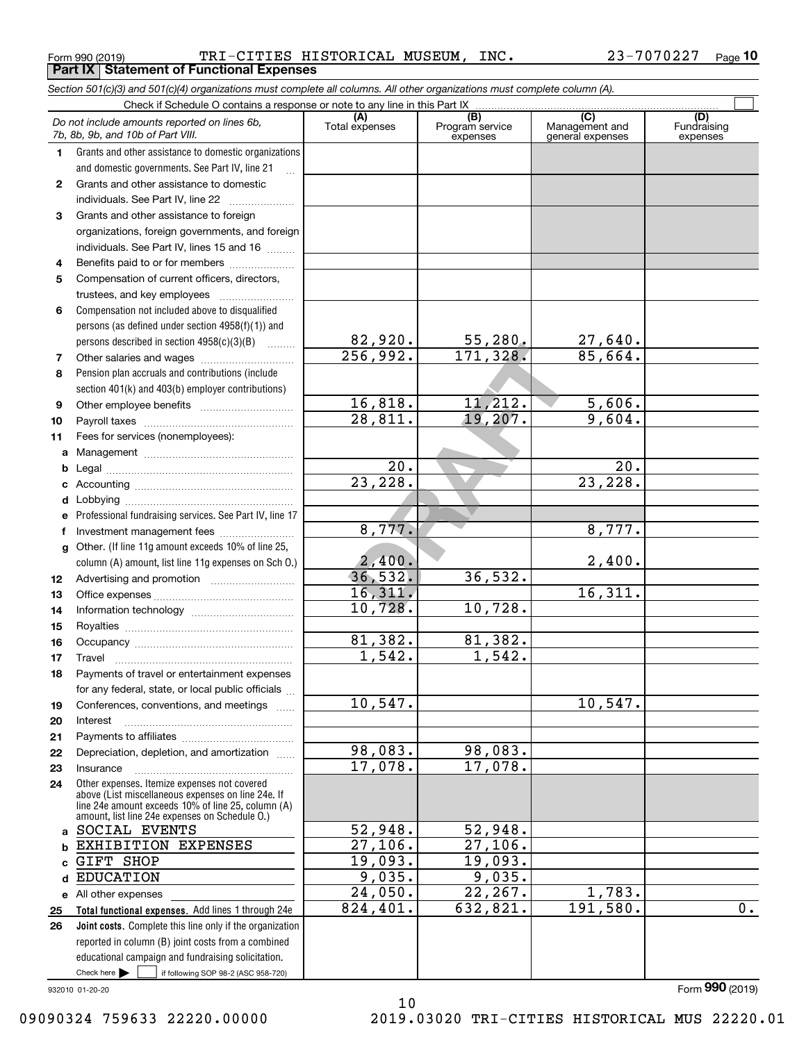Form 990 (2019) TRI-CITIES HISTORICAL MUSEUM, INC. 23-7070227  $_{\sf Page}$ **Part IX Statement of Functional Expenses**

*Section 501(c)(3) and 501(c)(4) organizations must complete all columns. All other organizations must complete column (A).*

|          | Do not include amounts reported on lines 6b,<br>7b, 8b, 9b, and 10b of Part VIII.                    | (A)<br>Total expenses            | $\overline{(B)}$<br>Program service<br>expenses | $\overline{C}$<br>Management and<br>general expenses | (D)<br>Fundraising<br>expenses |
|----------|------------------------------------------------------------------------------------------------------|----------------------------------|-------------------------------------------------|------------------------------------------------------|--------------------------------|
| 1.       | Grants and other assistance to domestic organizations                                                |                                  |                                                 |                                                      |                                |
|          | and domestic governments. See Part IV, line 21                                                       |                                  |                                                 |                                                      |                                |
| 2        | Grants and other assistance to domestic                                                              |                                  |                                                 |                                                      |                                |
|          | individuals. See Part IV, line 22                                                                    |                                  |                                                 |                                                      |                                |
| 3        | Grants and other assistance to foreign                                                               |                                  |                                                 |                                                      |                                |
|          | organizations, foreign governments, and foreign                                                      |                                  |                                                 |                                                      |                                |
|          | individuals. See Part IV, lines 15 and 16                                                            |                                  |                                                 |                                                      |                                |
| 4        | Benefits paid to or for members                                                                      |                                  |                                                 |                                                      |                                |
| 5        | Compensation of current officers, directors,                                                         |                                  |                                                 |                                                      |                                |
|          | trustees, and key employees                                                                          |                                  |                                                 |                                                      |                                |
| 6        | Compensation not included above to disqualified                                                      |                                  |                                                 |                                                      |                                |
|          | persons (as defined under section 4958(f)(1)) and                                                    |                                  |                                                 |                                                      |                                |
|          | persons described in section 4958(c)(3)(B)                                                           | $\frac{82,920}{256,992}.$        | $\frac{55,280}{171,328}$                        | 27,640.                                              |                                |
| 7        |                                                                                                      |                                  |                                                 | 85,664.                                              |                                |
| 8        | Pension plan accruals and contributions (include                                                     |                                  |                                                 |                                                      |                                |
|          | section 401(k) and 403(b) employer contributions)                                                    |                                  |                                                 |                                                      |                                |
| 9        |                                                                                                      | 16,818.<br>$\overline{28,811}$ . | 11,212.<br>19,207.                              | 5,606.<br>9,604.                                     |                                |
| 10       |                                                                                                      |                                  |                                                 |                                                      |                                |
| 11       | Fees for services (nonemployees):                                                                    |                                  |                                                 |                                                      |                                |
| a        |                                                                                                      | 20.                              |                                                 | $\overline{20}$ .                                    |                                |
| b<br>c   |                                                                                                      | 23,228.                          |                                                 | 23,228.                                              |                                |
| d        |                                                                                                      |                                  |                                                 |                                                      |                                |
| е        | Professional fundraising services. See Part IV, line 17                                              |                                  |                                                 |                                                      |                                |
| f        | Investment management fees                                                                           | 8,777.                           |                                                 | 8,777.                                               |                                |
| g        | Other. (If line 11g amount exceeds 10% of line 25,                                                   |                                  |                                                 |                                                      |                                |
|          | column (A) amount, list line 11g expenses on Sch 0.)                                                 | 2,400.                           |                                                 | 2,400.                                               |                                |
| 12       |                                                                                                      | 36,532.                          | 36, 532.                                        |                                                      |                                |
| 13       |                                                                                                      | 16,311.                          |                                                 | 16,311.                                              |                                |
| 14       |                                                                                                      | 10,728.                          | 10,728.                                         |                                                      |                                |
| 15       |                                                                                                      |                                  |                                                 |                                                      |                                |
| 16       |                                                                                                      | 81,382.                          | 81,382.                                         |                                                      |                                |
| 17       | Travel                                                                                               | 1,542.                           | 1,542.                                          |                                                      |                                |
| 18       | Payments of travel or entertainment expenses                                                         |                                  |                                                 |                                                      |                                |
|          | for any federal, state, or local public officials                                                    |                                  |                                                 |                                                      |                                |
| 19       | Conferences, conventions, and meetings                                                               | 10, 547.                         |                                                 | 10, 547.                                             |                                |
| 20       | Interest                                                                                             |                                  |                                                 |                                                      |                                |
| 21       |                                                                                                      | 98,083.                          | 98,083.                                         |                                                      |                                |
| 22       | Depreciation, depletion, and amortization                                                            | 17,078.                          | 17,078.                                         |                                                      |                                |
| 23<br>24 | Insurance<br>Other expenses. Itemize expenses not covered                                            |                                  |                                                 |                                                      |                                |
|          | above (List miscellaneous expenses on line 24e. If                                                   |                                  |                                                 |                                                      |                                |
|          | line 24e amount exceeds 10% of line 25, column (A)<br>amount, list line 24e expenses on Schedule O.) |                                  |                                                 |                                                      |                                |
| a        | SOCIAL EVENTS                                                                                        | 52,948.                          | 52,948.                                         |                                                      |                                |
| b        | EXHIBITION EXPENSES                                                                                  | 27,106.                          | $\overline{27,106}$ .                           |                                                      |                                |
| c        | <b>GIFT SHOP</b>                                                                                     | 19,093.                          | 19,093.                                         |                                                      |                                |
| d        | <b>EDUCATION</b>                                                                                     | 9,035.                           | 9,035.                                          |                                                      |                                |
|          | e All other expenses                                                                                 | 24,050.                          | 22, 267.                                        | 1,783.                                               |                                |
| 25       | Total functional expenses. Add lines 1 through 24e                                                   | 824,401.                         | 632,821.                                        | 191,580.                                             | 0.                             |
| 26       | Joint costs. Complete this line only if the organization                                             |                                  |                                                 |                                                      |                                |
|          | reported in column (B) joint costs from a combined                                                   |                                  |                                                 |                                                      |                                |
|          | educational campaign and fundraising solicitation.                                                   |                                  |                                                 |                                                      |                                |
|          | Check here $\blacktriangleright$<br>if following SOP 98-2 (ASC 958-720)                              |                                  |                                                 |                                                      |                                |

10

932010 01-20-20

Form (2019) **990**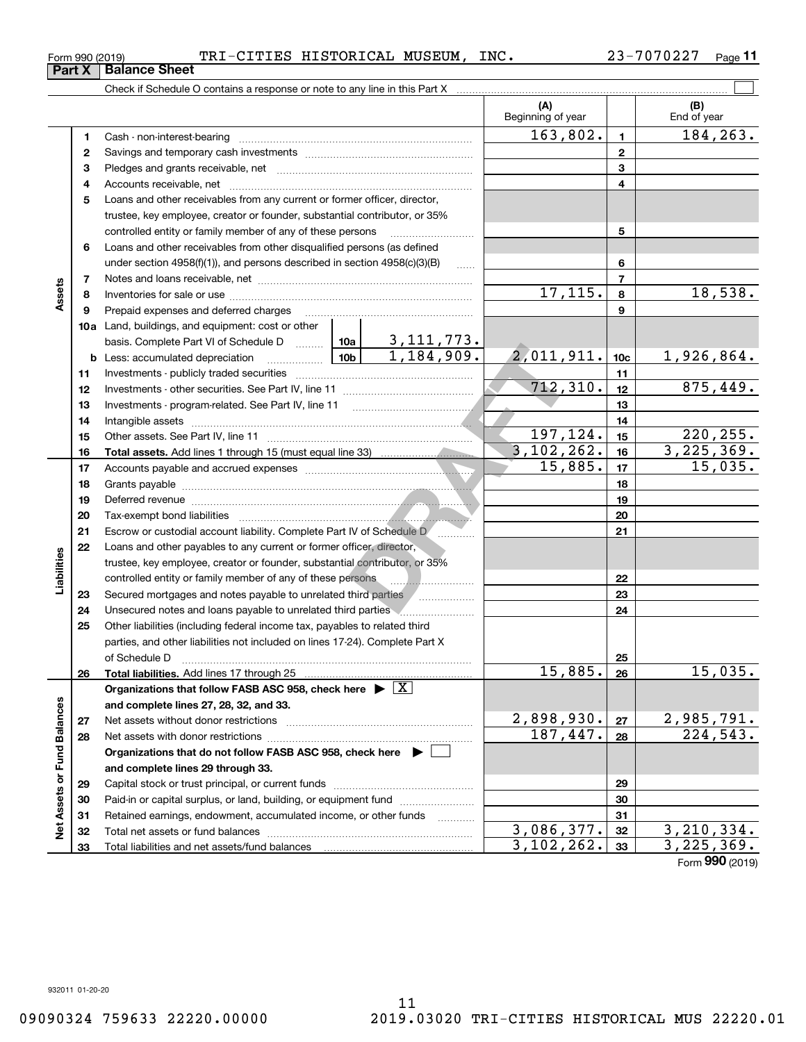| Form 990 (2019) |  | TRI-CITIES HISTORICAL MUSEUM, |  | INC. | 23-7070227 | Page $1$ . |
|-----------------|--|-------------------------------|--|------|------------|------------|
|-----------------|--|-------------------------------|--|------|------------|------------|

| (A)<br>Beginning of year<br>163,802.<br>$\mathbf{1}$<br>1<br>$\mathbf{2}$<br>2                                                                                                                                                                   | (B)<br>End of year<br>184,263. |
|--------------------------------------------------------------------------------------------------------------------------------------------------------------------------------------------------------------------------------------------------|--------------------------------|
|                                                                                                                                                                                                                                                  |                                |
|                                                                                                                                                                                                                                                  |                                |
|                                                                                                                                                                                                                                                  |                                |
| 3<br>з                                                                                                                                                                                                                                           |                                |
| 4<br>4                                                                                                                                                                                                                                           |                                |
| 5<br>Loans and other receivables from any current or former officer, director,                                                                                                                                                                   |                                |
| trustee, key employee, creator or founder, substantial contributor, or 35%                                                                                                                                                                       |                                |
| 5<br>controlled entity or family member of any of these persons                                                                                                                                                                                  |                                |
| Loans and other receivables from other disqualified persons (as defined<br>6                                                                                                                                                                     |                                |
| 6<br>under section $4958(f)(1)$ , and persons described in section $4958(c)(3)(B)$<br>$\ldots$                                                                                                                                                   |                                |
| $\overline{7}$<br>7                                                                                                                                                                                                                              |                                |
| Assets<br>$\overline{17,115}$ .<br>8<br>8                                                                                                                                                                                                        | 18,538.                        |
| 9<br>9<br>Prepaid expenses and deferred charges                                                                                                                                                                                                  |                                |
| <b>10a</b> Land, buildings, and equipment: cost or other                                                                                                                                                                                         |                                |
| basis. Complete Part VI of Schedule D  10a 3, 111, 773.                                                                                                                                                                                          |                                |
| 2,011,911.<br><u>  1</u> 0b  <br>10 <sub>c</sub><br><b>b</b> Less: accumulated depreciation                                                                                                                                                      | 1,926,864.                     |
| 11<br>11                                                                                                                                                                                                                                         |                                |
| 712,310.<br>12<br>12                                                                                                                                                                                                                             | 875,449.                       |
| 13<br>13                                                                                                                                                                                                                                         |                                |
| 14<br>14                                                                                                                                                                                                                                         |                                |
| 197,124.<br>15<br>15                                                                                                                                                                                                                             | 220, 255.                      |
| 3, 102, 262.<br>16<br>16                                                                                                                                                                                                                         | 3,225,369.                     |
| 15,885.<br>17<br>17                                                                                                                                                                                                                              | 15,035.                        |
| 18<br>18                                                                                                                                                                                                                                         |                                |
| 19<br>19<br>Deferred revenue <b>contract and the contract of the contract of the contract of the contract of the contract of the contract of the contract of the contract of the contract of the contract of the contract of the contract of</b> |                                |
| 20<br>20                                                                                                                                                                                                                                         |                                |
| 21<br>21<br>Escrow or custodial account liability. Complete Part IV of Schedule D<br>.                                                                                                                                                           |                                |
| 22<br>Loans and other payables to any current or former officer, director,                                                                                                                                                                       |                                |
| Liabilities<br>trustee, key employee, creator or founder, substantial contributor, or 35%                                                                                                                                                        |                                |
| controlled entity or family member of any of these persons <b>with all anoman controlled</b><br>22                                                                                                                                               |                                |
| 23<br>23                                                                                                                                                                                                                                         |                                |
| 24<br>24<br>Unsecured notes and loans payable to unrelated third parties                                                                                                                                                                         |                                |
| 25<br>Other liabilities (including federal income tax, payables to related third                                                                                                                                                                 |                                |
| parties, and other liabilities not included on lines 17-24). Complete Part X                                                                                                                                                                     |                                |
| 25<br>of Schedule D<br>15,885.<br>26<br>Total liabilities. Add lines 17 through 25<br>26                                                                                                                                                         | 15,035.                        |
| Organizations that follow FASB ASC 958, check here $\triangleright \lfloor X \rfloor$                                                                                                                                                            |                                |
| and complete lines 27, 28, 32, and 33.                                                                                                                                                                                                           |                                |
| 2,898,930.<br>27<br>27                                                                                                                                                                                                                           | 2,985,791.                     |
| 187,447.<br>28<br>28                                                                                                                                                                                                                             | $\overline{224,543}$ .         |
| Organizations that do not follow FASB ASC 958, check here ▶ [                                                                                                                                                                                    |                                |
| and complete lines 29 through 33.                                                                                                                                                                                                                |                                |
| 29<br>29                                                                                                                                                                                                                                         |                                |
| Paid-in or capital surplus, or land, building, or equipment fund<br>30<br>30                                                                                                                                                                     |                                |
| Retained earnings, endowment, accumulated income, or other funds<br>31<br>31                                                                                                                                                                     |                                |
| Net Assets or Fund Balances<br>3,086,377.<br>32<br>32                                                                                                                                                                                            | 3,210,334.                     |
| 3, 102, 262.<br>33<br>33                                                                                                                                                                                                                         | 3,225,369.                     |

Form (2019) **990**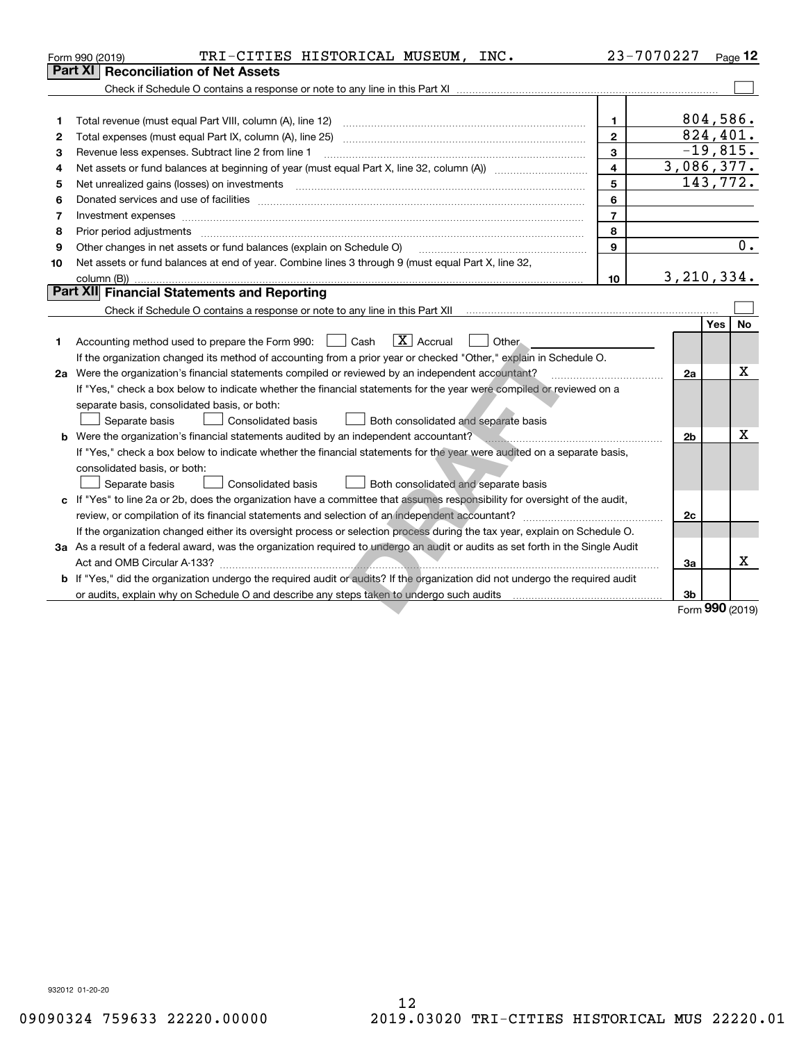|    | TRI-CITIES HISTORICAL MUSEUM, INC.<br>Form 990 (2019)                                                                                                                                                                          | 23-7070227     |                |            | Page $12$       |
|----|--------------------------------------------------------------------------------------------------------------------------------------------------------------------------------------------------------------------------------|----------------|----------------|------------|-----------------|
|    | <b>Part XI   Reconciliation of Net Assets</b>                                                                                                                                                                                  |                |                |            |                 |
|    |                                                                                                                                                                                                                                |                |                |            |                 |
|    |                                                                                                                                                                                                                                |                |                |            |                 |
| 1  |                                                                                                                                                                                                                                | $\mathbf{1}$   |                |            | 804,586.        |
| 2  |                                                                                                                                                                                                                                | $\mathbf{2}$   |                |            | 824,401.        |
| з  | Revenue less expenses. Subtract line 2 from line 1                                                                                                                                                                             | 3              |                |            | $-19,815.$      |
| 4  |                                                                                                                                                                                                                                | $\overline{4}$ | 3,086,377.     |            |                 |
| 5  |                                                                                                                                                                                                                                | 5              |                |            | 143,772.        |
| 6  | Donated services and use of facilities [111] matter contracts and the facilities in the matter of facilities [11] matter contracts and use of facilities [11] matter contracts and the service of the service of the service o | 6              |                |            |                 |
| 7  | Investment expenses www.communication.com/www.communication.com/www.communication.com/www.com                                                                                                                                  | $\overline{7}$ |                |            |                 |
| 8  | Prior period adjustments                                                                                                                                                                                                       | 8              |                |            |                 |
| 9  | Other changes in net assets or fund balances (explain on Schedule O)                                                                                                                                                           | $\mathbf{Q}$   |                |            | 0.              |
| 10 | Net assets or fund balances at end of year. Combine lines 3 through 9 (must equal Part X, line 32,                                                                                                                             |                |                |            |                 |
|    | column (B))                                                                                                                                                                                                                    | 10             | 3, 210, 334.   |            |                 |
|    | Part XII Financial Statements and Reporting                                                                                                                                                                                    |                |                |            |                 |
|    |                                                                                                                                                                                                                                |                |                |            |                 |
|    |                                                                                                                                                                                                                                |                |                | <b>Yes</b> | No              |
| 1  | $\boxed{\mathbf{X}}$ Accrual<br>Accounting method used to prepare the Form 990: <u>I</u> Cash<br>Other.                                                                                                                        |                |                |            |                 |
|    | If the organization changed its method of accounting from a prior year or checked "Other," explain in Schedule O.                                                                                                              |                |                |            |                 |
|    | 2a Were the organization's financial statements compiled or reviewed by an independent accountant?                                                                                                                             |                | 2a             |            | Χ               |
|    | If "Yes," check a box below to indicate whether the financial statements for the year were compiled or reviewed on a                                                                                                           |                |                |            |                 |
|    | separate basis, consolidated basis, or both:                                                                                                                                                                                   |                |                |            |                 |
|    | Separate basis<br><b>Consolidated basis</b><br>Both consolidated and separate basis                                                                                                                                            |                |                |            |                 |
|    | <b>b</b> Were the organization's financial statements audited by an independent accountant?                                                                                                                                    |                | 2 <sub>b</sub> |            | Х               |
|    | If "Yes," check a box below to indicate whether the financial statements for the year were audited on a separate basis,                                                                                                        |                |                |            |                 |
|    | consolidated basis, or both:                                                                                                                                                                                                   |                |                |            |                 |
|    | Both consolidated and separate basis<br>Separate basis<br><b>Consolidated basis</b>                                                                                                                                            |                |                |            |                 |
|    | c If "Yes" to line 2a or 2b, does the organization have a committee that assumes responsibility for oversight of the audit,                                                                                                    |                |                |            |                 |
|    | review, or compilation of its financial statements and selection of an independent accountant?                                                                                                                                 |                | 2c             |            |                 |
|    | If the organization changed either its oversight process or selection process during the tax year, explain on Schedule O.                                                                                                      |                |                |            |                 |
|    | 3a As a result of a federal award, was the organization required to undergo an audit or audits as set forth in the Single Audit                                                                                                |                |                |            |                 |
|    | Act and OMB Circular A-133?                                                                                                                                                                                                    |                | 3a             |            | x               |
|    | b If "Yes," did the organization undergo the required audit or audits? If the organization did not undergo the required audit                                                                                                  |                |                |            |                 |
|    |                                                                                                                                                                                                                                |                | 3b             |            |                 |
|    |                                                                                                                                                                                                                                |                |                |            | Form 990 (2019) |

Form (2019) **990**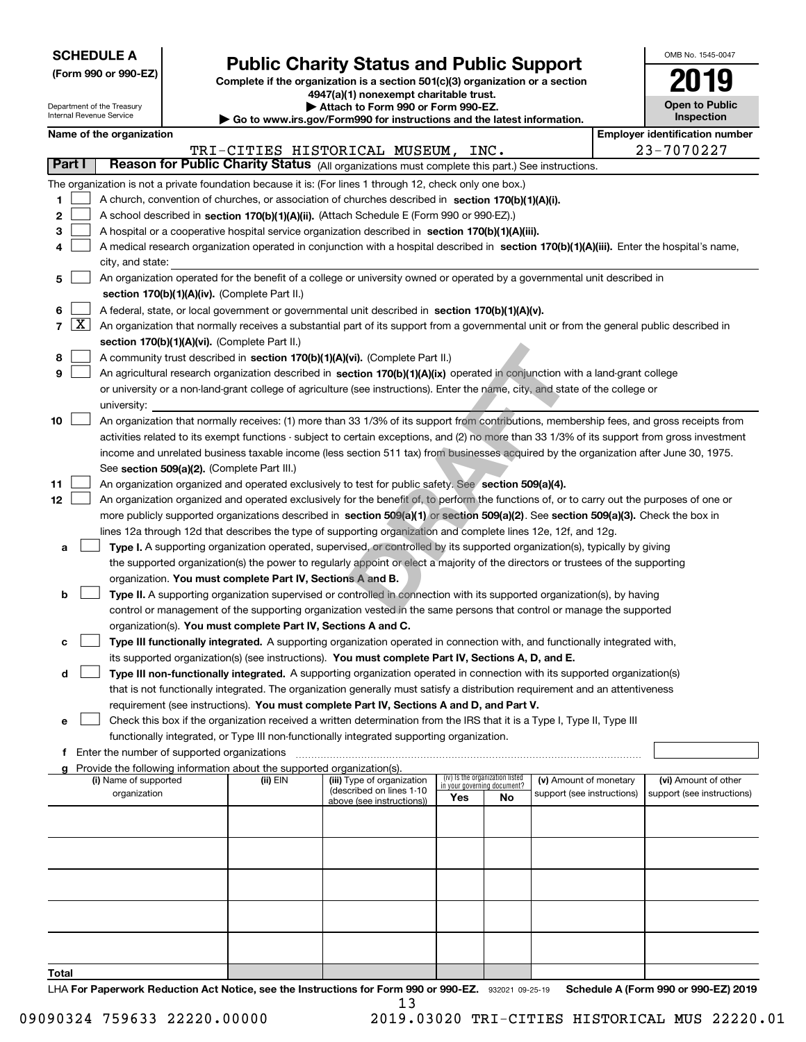| <b>SCHEDULE A</b> |
|-------------------|
|-------------------|

Department of the Treasury Internal Revenue Service

**(Form 990 or 990-EZ)**

# **Public Charity Status and Public Support**

**Complete if the organization is a section 501(c)(3) organization or a section 4947(a)(1) nonexempt charitable trust. | Attach to Form 990 or Form 990-EZ.** 

|  | Go to www.irs.gov/Form990 for instructions and the latest information. |  |  |
|--|------------------------------------------------------------------------|--|--|

| OMB No 1545-0047                    |
|-------------------------------------|
| 105 L J                             |
| <b>Open to Public</b><br>Inspection |

|                          | <b>Employer identification number</b><br>Name of the organization                                                                             |          |                                    |                                 |    |                                                      |                                                    |
|--------------------------|-----------------------------------------------------------------------------------------------------------------------------------------------|----------|------------------------------------|---------------------------------|----|------------------------------------------------------|----------------------------------------------------|
|                          |                                                                                                                                               |          | TRI-CITIES HISTORICAL MUSEUM, INC. |                                 |    |                                                      | 23-7070227                                         |
| Part I                   | Reason for Public Charity Status (All organizations must complete this part.) See instructions.                                               |          |                                    |                                 |    |                                                      |                                                    |
|                          | The organization is not a private foundation because it is: (For lines 1 through 12, check only one box.)                                     |          |                                    |                                 |    |                                                      |                                                    |
| 1                        | A church, convention of churches, or association of churches described in section 170(b)(1)(A)(i).                                            |          |                                    |                                 |    |                                                      |                                                    |
| 2                        | A school described in section 170(b)(1)(A)(ii). (Attach Schedule E (Form 990 or 990-EZ).)                                                     |          |                                    |                                 |    |                                                      |                                                    |
| з                        | A hospital or a cooperative hospital service organization described in section 170(b)(1)(A)(iii).                                             |          |                                    |                                 |    |                                                      |                                                    |
| 4                        | A medical research organization operated in conjunction with a hospital described in section 170(b)(1)(A)(iii). Enter the hospital's name,    |          |                                    |                                 |    |                                                      |                                                    |
|                          | city, and state:                                                                                                                              |          |                                    |                                 |    |                                                      |                                                    |
|                          |                                                                                                                                               |          |                                    |                                 |    |                                                      |                                                    |
| 5                        | An organization operated for the benefit of a college or university owned or operated by a governmental unit described in                     |          |                                    |                                 |    |                                                      |                                                    |
|                          | section 170(b)(1)(A)(iv). (Complete Part II.)                                                                                                 |          |                                    |                                 |    |                                                      |                                                    |
| 6                        | A federal, state, or local government or governmental unit described in section 170(b)(1)(A)(v).                                              |          |                                    |                                 |    |                                                      |                                                    |
| $\lfloor x \rfloor$<br>7 | An organization that normally receives a substantial part of its support from a governmental unit or from the general public described in     |          |                                    |                                 |    |                                                      |                                                    |
|                          | section 170(b)(1)(A)(vi). (Complete Part II.)                                                                                                 |          |                                    |                                 |    |                                                      |                                                    |
| 8                        | A community trust described in section 170(b)(1)(A)(vi). (Complete Part II.)                                                                  |          |                                    |                                 |    |                                                      |                                                    |
| 9                        | An agricultural research organization described in section 170(b)(1)(A)(ix) operated in conjunction with a land-grant college                 |          |                                    |                                 |    |                                                      |                                                    |
|                          | or university or a non-land-grant college of agriculture (see instructions). Enter the name, city, and state of the college or                |          |                                    |                                 |    |                                                      |                                                    |
|                          | university:                                                                                                                                   |          |                                    |                                 |    |                                                      |                                                    |
| 10                       | An organization that normally receives: (1) more than 33 1/3% of its support from contributions, membership fees, and gross receipts from     |          |                                    |                                 |    |                                                      |                                                    |
|                          | activities related to its exempt functions - subject to certain exceptions, and (2) no more than 33 1/3% of its support from gross investment |          |                                    |                                 |    |                                                      |                                                    |
|                          | income and unrelated business taxable income (less section 511 tax) from businesses acquired by the organization after June 30, 1975.         |          |                                    |                                 |    |                                                      |                                                    |
|                          | See section 509(a)(2). (Complete Part III.)                                                                                                   |          |                                    |                                 |    |                                                      |                                                    |
| 11                       | An organization organized and operated exclusively to test for public safety. See section 509(a)(4).                                          |          |                                    |                                 |    |                                                      |                                                    |
| 12                       | An organization organized and operated exclusively for the benefit of, to perform the functions of, or to carry out the purposes of one or    |          |                                    |                                 |    |                                                      |                                                    |
|                          | more publicly supported organizations described in section 509(a)(1) or section 509(a)(2). See section 509(a)(3). Check the box in            |          |                                    |                                 |    |                                                      |                                                    |
|                          | lines 12a through 12d that describes the type of supporting organization and complete lines 12e, 12f, and 12g.                                |          |                                    |                                 |    |                                                      |                                                    |
| a                        | Type I. A supporting organization operated, supervised, or controlled by its supported organization(s), typically by giving                   |          |                                    |                                 |    |                                                      |                                                    |
|                          | the supported organization(s) the power to regularly appoint or elect a majority of the directors or trustees of the supporting               |          |                                    |                                 |    |                                                      |                                                    |
|                          | organization. You must complete Part IV, Sections A and B.                                                                                    |          |                                    |                                 |    |                                                      |                                                    |
| b                        | Type II. A supporting organization supervised or controlled in connection with its supported organization(s), by having                       |          |                                    |                                 |    |                                                      |                                                    |
|                          | control or management of the supporting organization vested in the same persons that control or manage the supported                          |          |                                    |                                 |    |                                                      |                                                    |
|                          | organization(s). You must complete Part IV, Sections A and C.                                                                                 |          |                                    |                                 |    |                                                      |                                                    |
|                          |                                                                                                                                               |          |                                    |                                 |    |                                                      |                                                    |
| с                        | Type III functionally integrated. A supporting organization operated in connection with, and functionally integrated with,                    |          |                                    |                                 |    |                                                      |                                                    |
|                          | its supported organization(s) (see instructions). You must complete Part IV, Sections A, D, and E.                                            |          |                                    |                                 |    |                                                      |                                                    |
| d                        | Type III non-functionally integrated. A supporting organization operated in connection with its supported organization(s)                     |          |                                    |                                 |    |                                                      |                                                    |
|                          | that is not functionally integrated. The organization generally must satisfy a distribution requirement and an attentiveness                  |          |                                    |                                 |    |                                                      |                                                    |
|                          | requirement (see instructions). You must complete Part IV, Sections A and D, and Part V.                                                      |          |                                    |                                 |    |                                                      |                                                    |
|                          | Check this box if the organization received a written determination from the IRS that it is a Type I, Type II, Type III                       |          |                                    |                                 |    |                                                      |                                                    |
|                          | functionally integrated, or Type III non-functionally integrated supporting organization.                                                     |          |                                    |                                 |    |                                                      |                                                    |
|                          | f Enter the number of supported organizations                                                                                                 |          |                                    |                                 |    |                                                      |                                                    |
|                          | Provide the following information about the supported organization(s).<br>(i) Name of supported                                               |          | (iii) Type of organization         | (iv) Is the organization listed |    |                                                      |                                                    |
|                          | organization                                                                                                                                  | (ii) EIN | (described on lines 1-10           | in your governing document?     |    | (v) Amount of monetary<br>support (see instructions) | (vi) Amount of other<br>support (see instructions) |
|                          |                                                                                                                                               |          | above (see instructions))          | Yes                             | No |                                                      |                                                    |
|                          |                                                                                                                                               |          |                                    |                                 |    |                                                      |                                                    |
|                          |                                                                                                                                               |          |                                    |                                 |    |                                                      |                                                    |
|                          |                                                                                                                                               |          |                                    |                                 |    |                                                      |                                                    |
|                          |                                                                                                                                               |          |                                    |                                 |    |                                                      |                                                    |
|                          |                                                                                                                                               |          |                                    |                                 |    |                                                      |                                                    |
|                          |                                                                                                                                               |          |                                    |                                 |    |                                                      |                                                    |

LHA For Paperwork Reduction Act Notice, see the Instructions for Form 990 or 990-EZ. 932021 09-25-19 Schedule A (Form 990 or 990-EZ) 2019 13

**Total**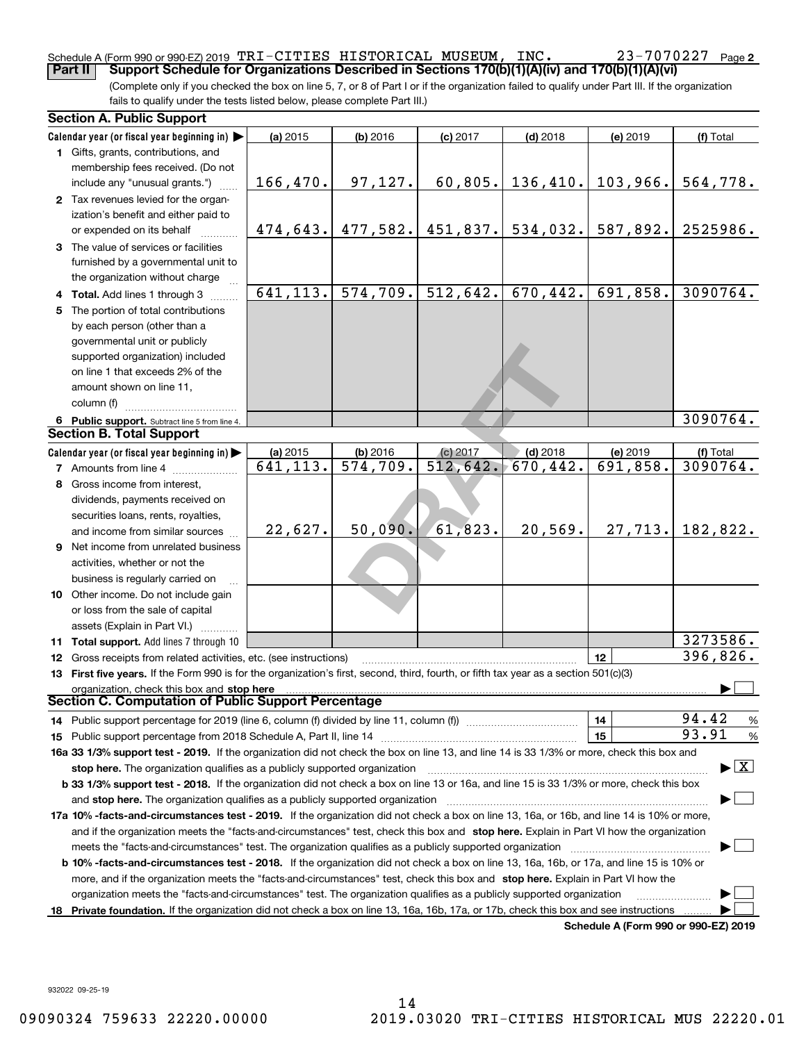## Schedule A (Form 990 or 990-EZ) 2019 <code>TRI-CITIES HISTORICAL MUSEUM</code> , <code>INC.</code>  $23$   $-7070227$  <code>Page</code> **Part II Support Schedule for Organizations Described in Sections 170(b)(1)(A)(iv) and 170(b)(1)(A)(vi)**

23-7070227 Page 2

(Complete only if you checked the box on line 5, 7, or 8 of Part I or if the organization failed to qualify under Part III. If the organization fails to qualify under the tests listed below, please complete Part III.)

|    | <b>Section A. Public Support</b>                                                                                                                                                                                       |          |                        |                                |            |                                      |                                          |
|----|------------------------------------------------------------------------------------------------------------------------------------------------------------------------------------------------------------------------|----------|------------------------|--------------------------------|------------|--------------------------------------|------------------------------------------|
|    | Calendar year (or fiscal year beginning in) $\blacktriangleright$                                                                                                                                                      | (a) 2015 | $(b)$ 2016             | $(c)$ 2017                     | $(d)$ 2018 | (e) 2019                             | (f) Total                                |
|    | 1 Gifts, grants, contributions, and                                                                                                                                                                                    |          |                        |                                |            |                                      |                                          |
|    | membership fees received. (Do not                                                                                                                                                                                      |          |                        |                                |            |                                      |                                          |
|    | include any "unusual grants.")                                                                                                                                                                                         | 166,470. | 97, 127.               | 60,805.                        | 136,410.   | 103,966.                             | 564,778.                                 |
|    | 2 Tax revenues levied for the organ-                                                                                                                                                                                   |          |                        |                                |            |                                      |                                          |
|    | ization's benefit and either paid to                                                                                                                                                                                   |          |                        |                                |            |                                      |                                          |
|    | or expended on its behalf                                                                                                                                                                                              | 474,643. |                        | $477,582.$ $451,837.$ 534,032. |            | 587,892.                             | 2525986.                                 |
|    | 3 The value of services or facilities                                                                                                                                                                                  |          |                        |                                |            |                                      |                                          |
|    | furnished by a governmental unit to                                                                                                                                                                                    |          |                        |                                |            |                                      |                                          |
|    | the organization without charge                                                                                                                                                                                        |          |                        |                                |            |                                      |                                          |
|    | 4 Total. Add lines 1 through 3                                                                                                                                                                                         | 641,113. | 574, 709.              | 512,642.                       | 670, 442.  | 691,858.                             | 3090764.                                 |
|    | 5 The portion of total contributions                                                                                                                                                                                   |          |                        |                                |            |                                      |                                          |
|    | by each person (other than a                                                                                                                                                                                           |          |                        |                                |            |                                      |                                          |
|    | governmental unit or publicly                                                                                                                                                                                          |          |                        |                                |            |                                      |                                          |
|    | supported organization) included                                                                                                                                                                                       |          |                        |                                |            |                                      |                                          |
|    | on line 1 that exceeds 2% of the                                                                                                                                                                                       |          |                        |                                |            |                                      |                                          |
|    | amount shown on line 11,                                                                                                                                                                                               |          |                        |                                |            |                                      |                                          |
|    | column (f)                                                                                                                                                                                                             |          |                        |                                |            |                                      |                                          |
|    | 6 Public support. Subtract line 5 from line 4.                                                                                                                                                                         |          |                        |                                |            |                                      | 3090764.                                 |
|    | <b>Section B. Total Support</b>                                                                                                                                                                                        |          |                        |                                |            |                                      |                                          |
|    | Calendar year (or fiscal year beginning in)                                                                                                                                                                            | (a) 2015 | $(b)$ 2016             | (c) 2017                       | $(d)$ 2018 | (e) 2019                             | (f) Total                                |
|    | <b>7</b> Amounts from line 4                                                                                                                                                                                           | 641,113. | $\overline{574,709}$ . | 512,642.                       | 670, 442.  | 691,858.                             | 3090764.                                 |
|    | 8 Gross income from interest,                                                                                                                                                                                          |          |                        |                                |            |                                      |                                          |
|    | dividends, payments received on                                                                                                                                                                                        |          |                        |                                |            |                                      |                                          |
|    | securities loans, rents, royalties,                                                                                                                                                                                    |          |                        |                                |            |                                      |                                          |
|    | and income from similar sources                                                                                                                                                                                        | 22,627.  | 50,090.                | 61,823.                        | 20,569.    | 27,713.                              | 182,822.                                 |
|    | 9 Net income from unrelated business                                                                                                                                                                                   |          |                        |                                |            |                                      |                                          |
|    | activities, whether or not the                                                                                                                                                                                         |          |                        |                                |            |                                      |                                          |
|    | business is regularly carried on                                                                                                                                                                                       |          |                        |                                |            |                                      |                                          |
|    | <b>10</b> Other income. Do not include gain                                                                                                                                                                            |          |                        |                                |            |                                      |                                          |
|    | or loss from the sale of capital                                                                                                                                                                                       |          |                        |                                |            |                                      |                                          |
|    | assets (Explain in Part VI.)                                                                                                                                                                                           |          |                        |                                |            |                                      |                                          |
|    | 11 Total support. Add lines 7 through 10                                                                                                                                                                               |          |                        |                                |            |                                      | 3273586.                                 |
|    | <b>12</b> Gross receipts from related activities, etc. (see instructions)                                                                                                                                              |          |                        |                                |            | 12                                   | 396,826.                                 |
|    | 13 First five years. If the Form 990 is for the organization's first, second, third, fourth, or fifth tax year as a section 501(c)(3)                                                                                  |          |                        |                                |            |                                      |                                          |
|    | organization, check this box and stop here<br>Section C. Computation of Public Support Percentage                                                                                                                      |          |                        |                                |            |                                      |                                          |
|    |                                                                                                                                                                                                                        |          |                        |                                |            |                                      | 94.42                                    |
|    | 14 Public support percentage for 2019 (line 6, column (f) divided by line 11, column (f) <i>mummention</i>                                                                                                             |          |                        |                                |            | 14                                   | %<br>93.91                               |
|    |                                                                                                                                                                                                                        |          |                        |                                |            | 15                                   | %                                        |
|    | 16a 33 1/3% support test - 2019. If the organization did not check the box on line 13, and line 14 is 33 1/3% or more, check this box and                                                                              |          |                        |                                |            |                                      | $\blacktriangleright$ $\boxed{\text{X}}$ |
|    | stop here. The organization qualifies as a publicly supported organization<br>b 33 1/3% support test - 2018. If the organization did not check a box on line 13 or 16a, and line 15 is 33 1/3% or more, check this box |          |                        |                                |            |                                      |                                          |
|    | and stop here. The organization qualifies as a publicly supported organization                                                                                                                                         |          |                        |                                |            |                                      |                                          |
|    | 17a 10% -facts-and-circumstances test - 2019. If the organization did not check a box on line 13, 16a, or 16b, and line 14 is 10% or more,                                                                             |          |                        |                                |            |                                      |                                          |
|    | and if the organization meets the "facts-and-circumstances" test, check this box and stop here. Explain in Part VI how the organization                                                                                |          |                        |                                |            |                                      |                                          |
|    | meets the "facts-and-circumstances" test. The organization qualifies as a publicly supported organization                                                                                                              |          |                        |                                |            |                                      |                                          |
|    | <b>b 10% -facts-and-circumstances test - 2018.</b> If the organization did not check a box on line 13, 16a, 16b, or 17a, and line 15 is 10% or                                                                         |          |                        |                                |            |                                      |                                          |
|    | more, and if the organization meets the "facts-and-circumstances" test, check this box and stop here. Explain in Part VI how the                                                                                       |          |                        |                                |            |                                      |                                          |
|    | organization meets the "facts-and-circumstances" test. The organization qualifies as a publicly supported organization                                                                                                 |          |                        |                                |            |                                      |                                          |
| 18 | Private foundation. If the organization did not check a box on line 13, 16a, 16b, 17a, or 17b, check this box and see instructions                                                                                     |          |                        |                                |            |                                      |                                          |
|    |                                                                                                                                                                                                                        |          |                        |                                |            | Schedule A (Form 990 or 990-EZ) 2019 |                                          |

**Schedule A (Form 990 or 990-EZ) 2019**

932022 09-25-19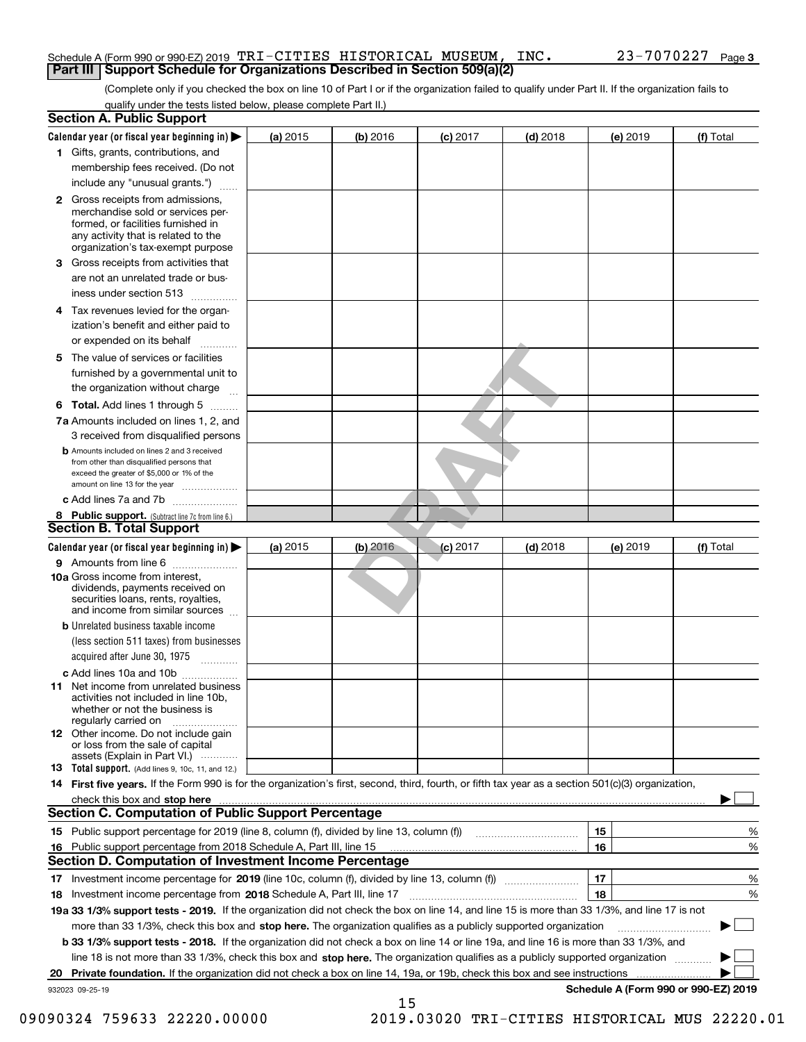## Schedule A (Form 990 or 990-EZ) 2019 <code>TRI-CITIES HISTORICAL MUSEUM</code> , <code>INC.</code>  $23$   $-7070227$  <code>Page</code> **Part III Support Schedule for Organizations Described in Section 509(a)(2)**

(Complete only if you checked the box on line 10 of Part I or if the organization failed to qualify under Part II. If the organization fails to qualify under the tests listed below, please complete Part II.)

|    | <b>Section A. Public Support</b>                                                                                                                                                                                               |          |            |                 |            |          |                                      |
|----|--------------------------------------------------------------------------------------------------------------------------------------------------------------------------------------------------------------------------------|----------|------------|-----------------|------------|----------|--------------------------------------|
|    | Calendar year (or fiscal year beginning in) $\blacktriangleright$                                                                                                                                                              | (a) 2015 | (b) 2016   | <b>(c)</b> 2017 | $(d)$ 2018 | (e) 2019 | (f) Total                            |
|    | 1 Gifts, grants, contributions, and                                                                                                                                                                                            |          |            |                 |            |          |                                      |
|    | membership fees received. (Do not                                                                                                                                                                                              |          |            |                 |            |          |                                      |
|    | include any "unusual grants.")                                                                                                                                                                                                 |          |            |                 |            |          |                                      |
|    | 2 Gross receipts from admissions,<br>merchandise sold or services per-<br>formed, or facilities furnished in<br>any activity that is related to the<br>organization's tax-exempt purpose                                       |          |            |                 |            |          |                                      |
|    | 3 Gross receipts from activities that                                                                                                                                                                                          |          |            |                 |            |          |                                      |
|    | are not an unrelated trade or bus-                                                                                                                                                                                             |          |            |                 |            |          |                                      |
|    | iness under section 513                                                                                                                                                                                                        |          |            |                 |            |          |                                      |
|    | 4 Tax revenues levied for the organ-                                                                                                                                                                                           |          |            |                 |            |          |                                      |
|    | ization's benefit and either paid to                                                                                                                                                                                           |          |            |                 |            |          |                                      |
|    | or expended on its behalf                                                                                                                                                                                                      |          |            |                 |            |          |                                      |
|    | 5 The value of services or facilities                                                                                                                                                                                          |          |            |                 |            |          |                                      |
|    | furnished by a governmental unit to                                                                                                                                                                                            |          |            |                 |            |          |                                      |
|    | the organization without charge                                                                                                                                                                                                |          |            |                 |            |          |                                      |
|    | <b>6 Total.</b> Add lines 1 through 5                                                                                                                                                                                          |          |            |                 |            |          |                                      |
|    | 7a Amounts included on lines 1, 2, and                                                                                                                                                                                         |          |            |                 |            |          |                                      |
|    | 3 received from disqualified persons                                                                                                                                                                                           |          |            |                 |            |          |                                      |
|    | <b>b</b> Amounts included on lines 2 and 3 received<br>from other than disqualified persons that<br>exceed the greater of \$5,000 or 1% of the<br>amount on line 13 for the year                                               |          |            |                 |            |          |                                      |
|    | c Add lines 7a and 7b                                                                                                                                                                                                          |          |            |                 |            |          |                                      |
|    | 8 Public support. (Subtract line 7c from line 6.)                                                                                                                                                                              |          |            |                 |            |          |                                      |
|    | <b>Section B. Total Support</b>                                                                                                                                                                                                |          |            |                 |            |          |                                      |
|    | Calendar year (or fiscal year beginning in)                                                                                                                                                                                    | (a) 2015 | $(b)$ 2016 | <b>(c)</b> 2017 | $(d)$ 2018 | (e) 2019 | (f) Total                            |
|    | 9 Amounts from line 6                                                                                                                                                                                                          |          |            |                 |            |          |                                      |
|    | <b>10a</b> Gross income from interest,<br>dividends, payments received on<br>securities loans, rents, royalties,<br>and income from similar sources                                                                            |          |            |                 |            |          |                                      |
|    | <b>b</b> Unrelated business taxable income                                                                                                                                                                                     |          |            |                 |            |          |                                      |
|    | (less section 511 taxes) from businesses<br>acquired after June 30, 1975<br>1.1.1.1.1.1.1.1.1.1                                                                                                                                |          |            |                 |            |          |                                      |
|    | c Add lines 10a and 10b                                                                                                                                                                                                        |          |            |                 |            |          |                                      |
|    | 11 Net income from unrelated business<br>activities not included in line 10b,<br>whether or not the business is<br>regularly carried on                                                                                        |          |            |                 |            |          |                                      |
|    | <b>12</b> Other income. Do not include gain<br>or loss from the sale of capital<br>assets (Explain in Part VI.)                                                                                                                |          |            |                 |            |          |                                      |
|    | 13 Total support. (Add lines 9, 10c, 11, and 12.)                                                                                                                                                                              |          |            |                 |            |          |                                      |
|    | 14 First five years. If the Form 990 is for the organization's first, second, third, fourth, or fifth tax year as a section 501(c)(3) organization,                                                                            |          |            |                 |            |          |                                      |
|    | check this box and stop here measurements and contact the contract of the contract of the contract of the contract of the contract of the contract of the contract of the contract of the contract of the contract of the cont |          |            |                 |            |          |                                      |
|    | <b>Section C. Computation of Public Support Percentage</b>                                                                                                                                                                     |          |            |                 |            |          |                                      |
|    | 15 Public support percentage for 2019 (line 8, column (f), divided by line 13, column (f))                                                                                                                                     |          |            |                 |            | 15       | %                                    |
| 16 | Public support percentage from 2018 Schedule A, Part III, line 15                                                                                                                                                              |          |            |                 |            | 16       | %                                    |
|    | <b>Section D. Computation of Investment Income Percentage</b>                                                                                                                                                                  |          |            |                 |            |          |                                      |
|    | 17 Investment income percentage for 2019 (line 10c, column (f), divided by line 13, column (f))                                                                                                                                |          |            |                 |            | 17       | %                                    |
|    | 18 Investment income percentage from 2018 Schedule A, Part III, line 17                                                                                                                                                        |          |            |                 |            | 18       | %                                    |
|    | 19a 33 1/3% support tests - 2019. If the organization did not check the box on line 14, and line 15 is more than 33 1/3%, and line 17 is not                                                                                   |          |            |                 |            |          |                                      |
|    | more than 33 1/3%, check this box and stop here. The organization qualifies as a publicly supported organization                                                                                                               |          |            |                 |            |          |                                      |
|    | b 33 1/3% support tests - 2018. If the organization did not check a box on line 14 or line 19a, and line 16 is more than 33 1/3%, and                                                                                          |          |            |                 |            |          |                                      |
|    | line 18 is not more than 33 1/3%, check this box and stop here. The organization qualifies as a publicly supported organization                                                                                                |          |            |                 |            |          |                                      |
| 20 | Private foundation. If the organization did not check a box on line 14, 19a, or 19b, check this box and see instructions                                                                                                       |          |            |                 |            | .        |                                      |
|    | 932023 09-25-19                                                                                                                                                                                                                |          |            |                 |            |          | Schedule A (Form 990 or 990-EZ) 2019 |
|    |                                                                                                                                                                                                                                |          | 15         |                 |            |          |                                      |

<sup>09090324 759633 22220.00000 2019.03020</sup> TRI-CITIES HISTORICAL MUS 22220.01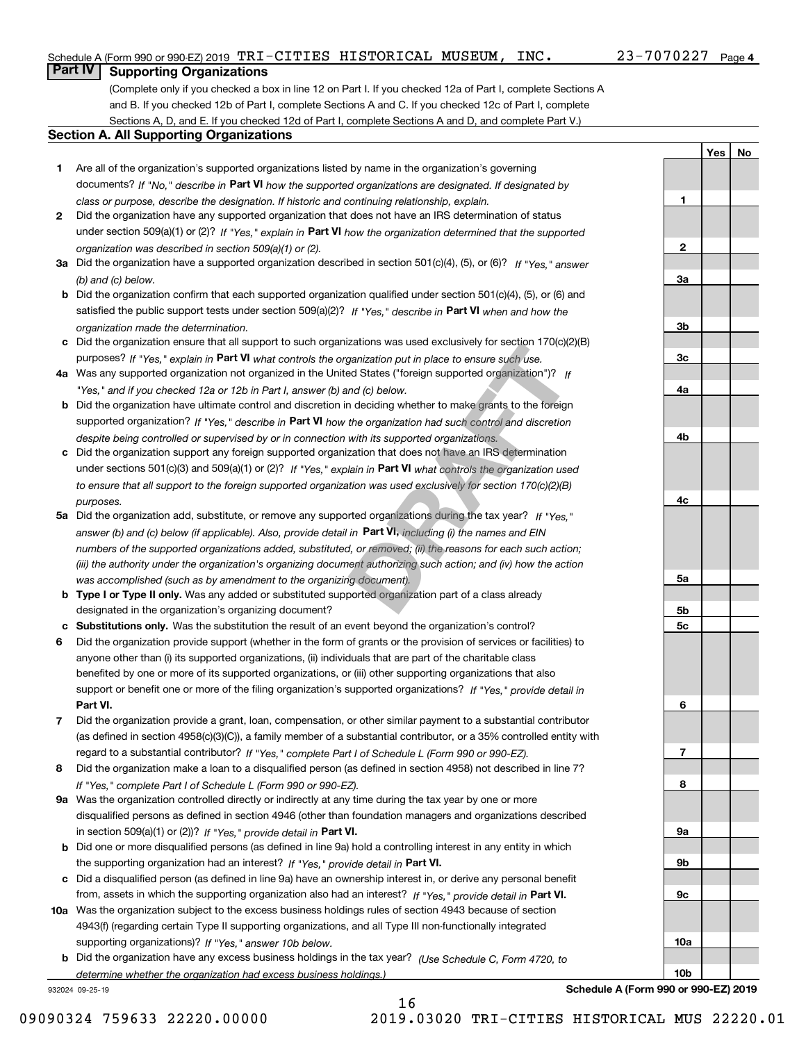## Schedule A (Form 990 or 990-EZ) 2019 <code>TRI-CITIES HISTORICAL MUSEUM</code> , <code>INC.</code>  $23$   $-7070227$  <code>Page</code>

**1**

**2**

**3a**

**3b**

**3c**

**4a**

**4b**

**4c**

**5a**

**5b5c**

**6**

**7**

**8**

**9a**

**9b**

**9c**

**10a**

**10b**

**YesNo**

# **Part IV Supporting Organizations**

(Complete only if you checked a box in line 12 on Part I. If you checked 12a of Part I, complete Sections A and B. If you checked 12b of Part I, complete Sections A and C. If you checked 12c of Part I, complete Sections A, D, and E. If you checked 12d of Part I, complete Sections A and D, and complete Part V.)

# **Section A. All Supporting Organizations**

- **1** Are all of the organization's supported organizations listed by name in the organization's governing documents? If "No," describe in **Part VI** how the supported organizations are designated. If designated by *class or purpose, describe the designation. If historic and continuing relationship, explain.*
- **2** Did the organization have any supported organization that does not have an IRS determination of status under section 509(a)(1) or (2)? If "Yes," explain in Part VI how the organization determined that the supported *organization was described in section 509(a)(1) or (2).*
- **3a** Did the organization have a supported organization described in section 501(c)(4), (5), or (6)? If "Yes," answer *(b) and (c) below.*
- **b** Did the organization confirm that each supported organization qualified under section 501(c)(4), (5), or (6) and satisfied the public support tests under section 509(a)(2)? If "Yes," describe in **Part VI** when and how the *organization made the determination.*
- **c**Did the organization ensure that all support to such organizations was used exclusively for section 170(c)(2)(B) purposes? If "Yes," explain in **Part VI** what controls the organization put in place to ensure such use.
- **4a***If* Was any supported organization not organized in the United States ("foreign supported organization")? *"Yes," and if you checked 12a or 12b in Part I, answer (b) and (c) below.*
- **b** Did the organization have ultimate control and discretion in deciding whether to make grants to the foreign supported organization? If "Yes," describe in **Part VI** how the organization had such control and discretion *despite being controlled or supervised by or in connection with its supported organizations.*
- **c** Did the organization support any foreign supported organization that does not have an IRS determination under sections 501(c)(3) and 509(a)(1) or (2)? If "Yes," explain in **Part VI** what controls the organization used *to ensure that all support to the foreign supported organization was used exclusively for section 170(c)(2)(B) purposes.*
- **5a***If "Yes,"* Did the organization add, substitute, or remove any supported organizations during the tax year? answer (b) and (c) below (if applicable). Also, provide detail in **Part VI,** including (i) the names and EIN *numbers of the supported organizations added, substituted, or removed; (ii) the reasons for each such action; (iii) the authority under the organization's organizing document authorizing such action; and (iv) how the action was accomplished (such as by amendment to the organizing document).* Izations was used exclusively for section 170<sub>(C)</sub>(*z*<br>ganization put in place to ensure such use.<br>ed States ("foreign supported organization")? If<br>and (*c*) below.<br>n deciding whether to make grants to the foreign<br>the orga
- **b** Type I or Type II only. Was any added or substituted supported organization part of a class already designated in the organization's organizing document?
- **cSubstitutions only.**  Was the substitution the result of an event beyond the organization's control?
- **6** Did the organization provide support (whether in the form of grants or the provision of services or facilities) to **Part VI.** *If "Yes," provide detail in* support or benefit one or more of the filing organization's supported organizations? anyone other than (i) its supported organizations, (ii) individuals that are part of the charitable class benefited by one or more of its supported organizations, or (iii) other supporting organizations that also
- **7**Did the organization provide a grant, loan, compensation, or other similar payment to a substantial contributor *If "Yes," complete Part I of Schedule L (Form 990 or 990-EZ).* regard to a substantial contributor? (as defined in section 4958(c)(3)(C)), a family member of a substantial contributor, or a 35% controlled entity with
- **8** Did the organization make a loan to a disqualified person (as defined in section 4958) not described in line 7? *If "Yes," complete Part I of Schedule L (Form 990 or 990-EZ).*
- **9a** Was the organization controlled directly or indirectly at any time during the tax year by one or more in section 509(a)(1) or (2))? If "Yes," *provide detail in* <code>Part VI.</code> disqualified persons as defined in section 4946 (other than foundation managers and organizations described
- **b** Did one or more disqualified persons (as defined in line 9a) hold a controlling interest in any entity in which the supporting organization had an interest? If "Yes," provide detail in P**art VI**.
- **c**Did a disqualified person (as defined in line 9a) have an ownership interest in, or derive any personal benefit from, assets in which the supporting organization also had an interest? If "Yes," provide detail in P**art VI.**
- **10a** Was the organization subject to the excess business holdings rules of section 4943 because of section supporting organizations)? If "Yes," answer 10b below. 4943(f) (regarding certain Type II supporting organizations, and all Type III non-functionally integrated
- **b** Did the organization have any excess business holdings in the tax year? (Use Schedule C, Form 4720, to *determine whether the organization had excess business holdings.)*

16

932024 09-25-19

**Schedule A (Form 990 or 990-EZ) 2019**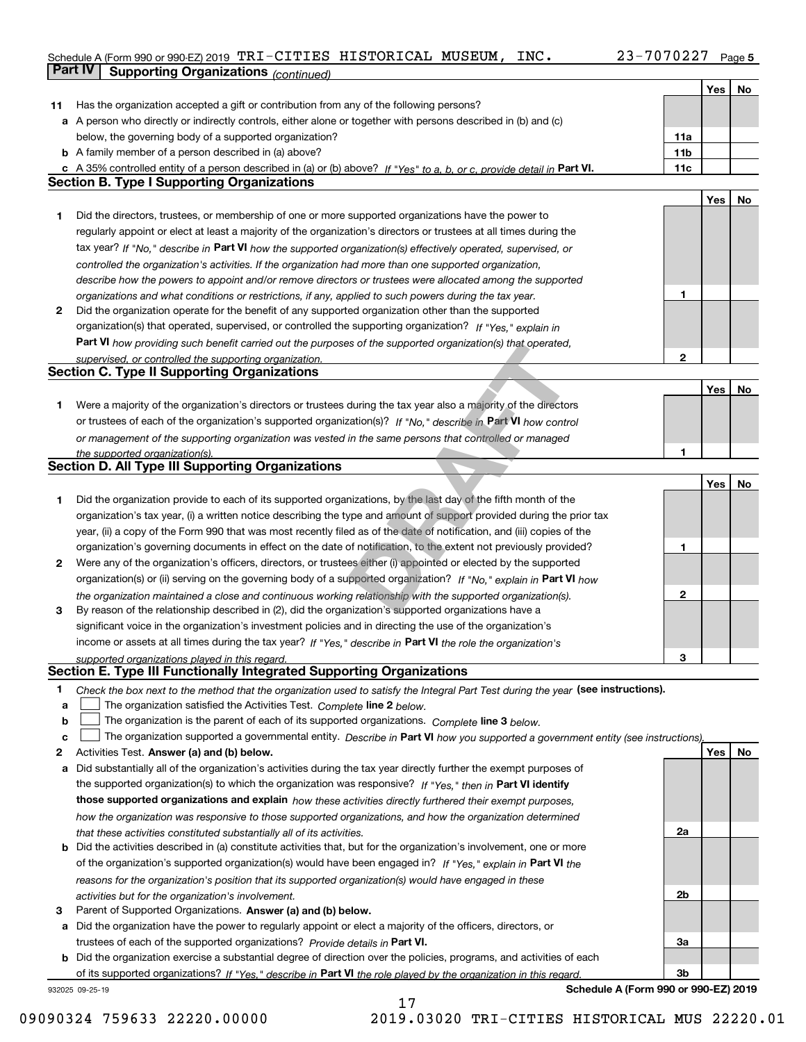# Schedule A (Form 990 or 990-EZ) 2019 TRI-CITIES HISTORICAL MUSEUM , INC 23–7070227 Page 5

| Yes<br>No<br>Has the organization accepted a gift or contribution from any of the following persons?<br>11.<br>a A person who directly or indirectly controls, either alone or together with persons described in (b) and (c)<br>below, the governing body of a supported organization?<br>11a<br><b>b</b> A family member of a person described in (a) above?<br>11 <sub>b</sub><br>c A 35% controlled entity of a person described in (a) or (b) above? If "Yes" to a, b, or c, provide detail in Part VI.<br>11c<br><b>Section B. Type I Supporting Organizations</b><br>Yes<br>No<br>1<br>Did the directors, trustees, or membership of one or more supported organizations have the power to<br>regularly appoint or elect at least a majority of the organization's directors or trustees at all times during the<br>tax year? If "No," describe in Part VI how the supported organization(s) effectively operated, supervised, or<br>controlled the organization's activities. If the organization had more than one supported organization,<br>describe how the powers to appoint and/or remove directors or trustees were allocated among the supported<br>1<br>organizations and what conditions or restrictions, if any, applied to such powers during the tax year.<br>2<br>Did the organization operate for the benefit of any supported organization other than the supported<br>organization(s) that operated, supervised, or controlled the supporting organization? If "Yes," explain in<br><b>Part VI</b> how providing such benefit carried out the purposes of the supported organization(s) that operated,<br>$\mathbf{2}$<br>supervised, or controlled the supporting organization.<br><b>Section C. Type II Supporting Organizations</b><br>Yes<br>No<br>Were a majority of the organization's directors or trustees during the tax year also a majority of the directors<br>1<br>or trustees of each of the organization's supported organization(s)? If "No." describe in Part VI how control<br>or management of the supporting organization was vested in the same persons that controlled or managed<br>1<br>the supported organization(s).<br><b>Section D. All Type III Supporting Organizations</b><br>Yes<br>No<br>Did the organization provide to each of its supported organizations, by the last day of the fifth month of the<br>1<br>organization's tax year, (i) a written notice describing the type and amount of support provided during the prior tax<br>year, (ii) a copy of the Form 990 that was most recently filed as of the date of notification, and (iii) copies of the<br>organization's governing documents in effect on the date of notification, to the extent not previously provided?<br>1<br>Were any of the organization's officers, directors, or trustees either (i) appointed or elected by the supported<br>2<br>organization(s) or (ii) serving on the governing body of a supported organization? If "No," explain in Part VI how<br>$\mathbf{2}$<br>the organization maintained a close and continuous working relationship with the supported organization(s).<br>By reason of the relationship described in (2), did the organization's supported organizations have a<br>3<br>significant voice in the organization's investment policies and in directing the use of the organization's<br>income or assets at all times during the tax year? If "Yes," describe in Part VI the role the organization's<br>3<br>supported organizations played in this regard.<br>Section E. Type III Functionally Integrated Supporting Organizations<br>Check the box next to the method that the organization used to satisfy the Integral Part Test during the year (see instructions).<br>1<br>The organization satisfied the Activities Test. Complete line 2 below.<br>a<br>The organization is the parent of each of its supported organizations. Complete line 3 below.<br>b<br>The organization supported a governmental entity. Describe in Part VI how you supported a government entity (see instructions),<br>c<br>Yes<br>Activities Test. Answer (a) and (b) below.<br>No<br>2<br>Did substantially all of the organization's activities during the tax year directly further the exempt purposes of<br>а<br>the supported organization(s) to which the organization was responsive? If "Yes," then in Part VI identify<br>those supported organizations and explain how these activities directly furthered their exempt purposes,<br>how the organization was responsive to those supported organizations, and how the organization determined<br>2a<br>that these activities constituted substantially all of its activities.<br><b>b</b> Did the activities described in (a) constitute activities that, but for the organization's involvement, one or more<br>of the organization's supported organization(s) would have been engaged in? If "Yes," explain in Part VI the<br>reasons for the organization's position that its supported organization(s) would have engaged in these<br>2b<br>activities but for the organization's involvement.<br>з<br>Parent of Supported Organizations. Answer (a) and (b) below.<br>a Did the organization have the power to regularly appoint or elect a majority of the officers, directors, or<br>trustees of each of the supported organizations? Provide details in Part VI.<br>За<br><b>b</b> Did the organization exercise a substantial degree of direction over the policies, programs, and activities of each<br>of its supported organizations? If "Yes," describe in Part VI the role played by the organization in this regard.<br>Зb | <b>Part IV</b><br><b>Supporting Organizations (continued)</b> |  |  |
|-------------------------------------------------------------------------------------------------------------------------------------------------------------------------------------------------------------------------------------------------------------------------------------------------------------------------------------------------------------------------------------------------------------------------------------------------------------------------------------------------------------------------------------------------------------------------------------------------------------------------------------------------------------------------------------------------------------------------------------------------------------------------------------------------------------------------------------------------------------------------------------------------------------------------------------------------------------------------------------------------------------------------------------------------------------------------------------------------------------------------------------------------------------------------------------------------------------------------------------------------------------------------------------------------------------------------------------------------------------------------------------------------------------------------------------------------------------------------------------------------------------------------------------------------------------------------------------------------------------------------------------------------------------------------------------------------------------------------------------------------------------------------------------------------------------------------------------------------------------------------------------------------------------------------------------------------------------------------------------------------------------------------------------------------------------------------------------------------------------------------------------------------------------------------------------------------------------------------------------------------------------------------------------------------------------------------------------------------------------------------------------------------------------------------------------------------------------------------------------------------------------------------------------------------------------------------------------------------------------------------------------------------------------------------------------------------------------------------------------------------------------------------------------------------------------------------------------------------------------------------------------------------------------------------------------------------------------------------------------------------------------------------------------------------------------------------------------------------------------------------------------------------------------------------------------------------------------------------------------------------------------------------------------------------------------------------------------------------------------------------------------------------------------------------------------------------------------------------------------------------------------------------------------------------------------------------------------------------------------------------------------------------------------------------------------------------------------------------------------------------------------------------------------------------------------------------------------------------------------------------------------------------------------------------------------------------------------------------------------------------------------------------------------------------------------------------------------------------------------------------------------------------------------------------------------------------------------------------------------------------------------------------------------------------------------------------------------------------------------------------------------------------------------------------------------------------------------------------------------------------------------------------------------------------------------------------------------------------------------------------------------------------------------------------------------------------------------------------------------------------------------------------------------------------------------------------------------------------------------------------------------------------------------------------------------------------------------------------------------------------------------------------------------------------------------------------------------------------------------------------------------------------------------------------------------------------------------------------------------------------------------------------------------------------------------------------------------------------------------------------------------------------------------------------------------------------------------------------------------------------------------------------------------------------------------------------------------------------------------------------------------------------------------------|---------------------------------------------------------------|--|--|
|                                                                                                                                                                                                                                                                                                                                                                                                                                                                                                                                                                                                                                                                                                                                                                                                                                                                                                                                                                                                                                                                                                                                                                                                                                                                                                                                                                                                                                                                                                                                                                                                                                                                                                                                                                                                                                                                                                                                                                                                                                                                                                                                                                                                                                                                                                                                                                                                                                                                                                                                                                                                                                                                                                                                                                                                                                                                                                                                                                                                                                                                                                                                                                                                                                                                                                                                                                                                                                                                                                                                                                                                                                                                                                                                                                                                                                                                                                                                                                                                                                                                                                                                                                                                                                                                                                                                                                                                                                                                                                                                                                                                                                                                                                                                                                                                                                                                                                                                                                                                                                                                                                                                                                                                                                                                                                                                                                                                                                                                                                                                                                                                                                                                   |                                                               |  |  |
|                                                                                                                                                                                                                                                                                                                                                                                                                                                                                                                                                                                                                                                                                                                                                                                                                                                                                                                                                                                                                                                                                                                                                                                                                                                                                                                                                                                                                                                                                                                                                                                                                                                                                                                                                                                                                                                                                                                                                                                                                                                                                                                                                                                                                                                                                                                                                                                                                                                                                                                                                                                                                                                                                                                                                                                                                                                                                                                                                                                                                                                                                                                                                                                                                                                                                                                                                                                                                                                                                                                                                                                                                                                                                                                                                                                                                                                                                                                                                                                                                                                                                                                                                                                                                                                                                                                                                                                                                                                                                                                                                                                                                                                                                                                                                                                                                                                                                                                                                                                                                                                                                                                                                                                                                                                                                                                                                                                                                                                                                                                                                                                                                                                                   |                                                               |  |  |
|                                                                                                                                                                                                                                                                                                                                                                                                                                                                                                                                                                                                                                                                                                                                                                                                                                                                                                                                                                                                                                                                                                                                                                                                                                                                                                                                                                                                                                                                                                                                                                                                                                                                                                                                                                                                                                                                                                                                                                                                                                                                                                                                                                                                                                                                                                                                                                                                                                                                                                                                                                                                                                                                                                                                                                                                                                                                                                                                                                                                                                                                                                                                                                                                                                                                                                                                                                                                                                                                                                                                                                                                                                                                                                                                                                                                                                                                                                                                                                                                                                                                                                                                                                                                                                                                                                                                                                                                                                                                                                                                                                                                                                                                                                                                                                                                                                                                                                                                                                                                                                                                                                                                                                                                                                                                                                                                                                                                                                                                                                                                                                                                                                                                   |                                                               |  |  |
|                                                                                                                                                                                                                                                                                                                                                                                                                                                                                                                                                                                                                                                                                                                                                                                                                                                                                                                                                                                                                                                                                                                                                                                                                                                                                                                                                                                                                                                                                                                                                                                                                                                                                                                                                                                                                                                                                                                                                                                                                                                                                                                                                                                                                                                                                                                                                                                                                                                                                                                                                                                                                                                                                                                                                                                                                                                                                                                                                                                                                                                                                                                                                                                                                                                                                                                                                                                                                                                                                                                                                                                                                                                                                                                                                                                                                                                                                                                                                                                                                                                                                                                                                                                                                                                                                                                                                                                                                                                                                                                                                                                                                                                                                                                                                                                                                                                                                                                                                                                                                                                                                                                                                                                                                                                                                                                                                                                                                                                                                                                                                                                                                                                                   |                                                               |  |  |
|                                                                                                                                                                                                                                                                                                                                                                                                                                                                                                                                                                                                                                                                                                                                                                                                                                                                                                                                                                                                                                                                                                                                                                                                                                                                                                                                                                                                                                                                                                                                                                                                                                                                                                                                                                                                                                                                                                                                                                                                                                                                                                                                                                                                                                                                                                                                                                                                                                                                                                                                                                                                                                                                                                                                                                                                                                                                                                                                                                                                                                                                                                                                                                                                                                                                                                                                                                                                                                                                                                                                                                                                                                                                                                                                                                                                                                                                                                                                                                                                                                                                                                                                                                                                                                                                                                                                                                                                                                                                                                                                                                                                                                                                                                                                                                                                                                                                                                                                                                                                                                                                                                                                                                                                                                                                                                                                                                                                                                                                                                                                                                                                                                                                   |                                                               |  |  |
|                                                                                                                                                                                                                                                                                                                                                                                                                                                                                                                                                                                                                                                                                                                                                                                                                                                                                                                                                                                                                                                                                                                                                                                                                                                                                                                                                                                                                                                                                                                                                                                                                                                                                                                                                                                                                                                                                                                                                                                                                                                                                                                                                                                                                                                                                                                                                                                                                                                                                                                                                                                                                                                                                                                                                                                                                                                                                                                                                                                                                                                                                                                                                                                                                                                                                                                                                                                                                                                                                                                                                                                                                                                                                                                                                                                                                                                                                                                                                                                                                                                                                                                                                                                                                                                                                                                                                                                                                                                                                                                                                                                                                                                                                                                                                                                                                                                                                                                                                                                                                                                                                                                                                                                                                                                                                                                                                                                                                                                                                                                                                                                                                                                                   |                                                               |  |  |
|                                                                                                                                                                                                                                                                                                                                                                                                                                                                                                                                                                                                                                                                                                                                                                                                                                                                                                                                                                                                                                                                                                                                                                                                                                                                                                                                                                                                                                                                                                                                                                                                                                                                                                                                                                                                                                                                                                                                                                                                                                                                                                                                                                                                                                                                                                                                                                                                                                                                                                                                                                                                                                                                                                                                                                                                                                                                                                                                                                                                                                                                                                                                                                                                                                                                                                                                                                                                                                                                                                                                                                                                                                                                                                                                                                                                                                                                                                                                                                                                                                                                                                                                                                                                                                                                                                                                                                                                                                                                                                                                                                                                                                                                                                                                                                                                                                                                                                                                                                                                                                                                                                                                                                                                                                                                                                                                                                                                                                                                                                                                                                                                                                                                   |                                                               |  |  |
|                                                                                                                                                                                                                                                                                                                                                                                                                                                                                                                                                                                                                                                                                                                                                                                                                                                                                                                                                                                                                                                                                                                                                                                                                                                                                                                                                                                                                                                                                                                                                                                                                                                                                                                                                                                                                                                                                                                                                                                                                                                                                                                                                                                                                                                                                                                                                                                                                                                                                                                                                                                                                                                                                                                                                                                                                                                                                                                                                                                                                                                                                                                                                                                                                                                                                                                                                                                                                                                                                                                                                                                                                                                                                                                                                                                                                                                                                                                                                                                                                                                                                                                                                                                                                                                                                                                                                                                                                                                                                                                                                                                                                                                                                                                                                                                                                                                                                                                                                                                                                                                                                                                                                                                                                                                                                                                                                                                                                                                                                                                                                                                                                                                                   |                                                               |  |  |
|                                                                                                                                                                                                                                                                                                                                                                                                                                                                                                                                                                                                                                                                                                                                                                                                                                                                                                                                                                                                                                                                                                                                                                                                                                                                                                                                                                                                                                                                                                                                                                                                                                                                                                                                                                                                                                                                                                                                                                                                                                                                                                                                                                                                                                                                                                                                                                                                                                                                                                                                                                                                                                                                                                                                                                                                                                                                                                                                                                                                                                                                                                                                                                                                                                                                                                                                                                                                                                                                                                                                                                                                                                                                                                                                                                                                                                                                                                                                                                                                                                                                                                                                                                                                                                                                                                                                                                                                                                                                                                                                                                                                                                                                                                                                                                                                                                                                                                                                                                                                                                                                                                                                                                                                                                                                                                                                                                                                                                                                                                                                                                                                                                                                   |                                                               |  |  |
|                                                                                                                                                                                                                                                                                                                                                                                                                                                                                                                                                                                                                                                                                                                                                                                                                                                                                                                                                                                                                                                                                                                                                                                                                                                                                                                                                                                                                                                                                                                                                                                                                                                                                                                                                                                                                                                                                                                                                                                                                                                                                                                                                                                                                                                                                                                                                                                                                                                                                                                                                                                                                                                                                                                                                                                                                                                                                                                                                                                                                                                                                                                                                                                                                                                                                                                                                                                                                                                                                                                                                                                                                                                                                                                                                                                                                                                                                                                                                                                                                                                                                                                                                                                                                                                                                                                                                                                                                                                                                                                                                                                                                                                                                                                                                                                                                                                                                                                                                                                                                                                                                                                                                                                                                                                                                                                                                                                                                                                                                                                                                                                                                                                                   |                                                               |  |  |
|                                                                                                                                                                                                                                                                                                                                                                                                                                                                                                                                                                                                                                                                                                                                                                                                                                                                                                                                                                                                                                                                                                                                                                                                                                                                                                                                                                                                                                                                                                                                                                                                                                                                                                                                                                                                                                                                                                                                                                                                                                                                                                                                                                                                                                                                                                                                                                                                                                                                                                                                                                                                                                                                                                                                                                                                                                                                                                                                                                                                                                                                                                                                                                                                                                                                                                                                                                                                                                                                                                                                                                                                                                                                                                                                                                                                                                                                                                                                                                                                                                                                                                                                                                                                                                                                                                                                                                                                                                                                                                                                                                                                                                                                                                                                                                                                                                                                                                                                                                                                                                                                                                                                                                                                                                                                                                                                                                                                                                                                                                                                                                                                                                                                   |                                                               |  |  |
|                                                                                                                                                                                                                                                                                                                                                                                                                                                                                                                                                                                                                                                                                                                                                                                                                                                                                                                                                                                                                                                                                                                                                                                                                                                                                                                                                                                                                                                                                                                                                                                                                                                                                                                                                                                                                                                                                                                                                                                                                                                                                                                                                                                                                                                                                                                                                                                                                                                                                                                                                                                                                                                                                                                                                                                                                                                                                                                                                                                                                                                                                                                                                                                                                                                                                                                                                                                                                                                                                                                                                                                                                                                                                                                                                                                                                                                                                                                                                                                                                                                                                                                                                                                                                                                                                                                                                                                                                                                                                                                                                                                                                                                                                                                                                                                                                                                                                                                                                                                                                                                                                                                                                                                                                                                                                                                                                                                                                                                                                                                                                                                                                                                                   |                                                               |  |  |
|                                                                                                                                                                                                                                                                                                                                                                                                                                                                                                                                                                                                                                                                                                                                                                                                                                                                                                                                                                                                                                                                                                                                                                                                                                                                                                                                                                                                                                                                                                                                                                                                                                                                                                                                                                                                                                                                                                                                                                                                                                                                                                                                                                                                                                                                                                                                                                                                                                                                                                                                                                                                                                                                                                                                                                                                                                                                                                                                                                                                                                                                                                                                                                                                                                                                                                                                                                                                                                                                                                                                                                                                                                                                                                                                                                                                                                                                                                                                                                                                                                                                                                                                                                                                                                                                                                                                                                                                                                                                                                                                                                                                                                                                                                                                                                                                                                                                                                                                                                                                                                                                                                                                                                                                                                                                                                                                                                                                                                                                                                                                                                                                                                                                   |                                                               |  |  |
|                                                                                                                                                                                                                                                                                                                                                                                                                                                                                                                                                                                                                                                                                                                                                                                                                                                                                                                                                                                                                                                                                                                                                                                                                                                                                                                                                                                                                                                                                                                                                                                                                                                                                                                                                                                                                                                                                                                                                                                                                                                                                                                                                                                                                                                                                                                                                                                                                                                                                                                                                                                                                                                                                                                                                                                                                                                                                                                                                                                                                                                                                                                                                                                                                                                                                                                                                                                                                                                                                                                                                                                                                                                                                                                                                                                                                                                                                                                                                                                                                                                                                                                                                                                                                                                                                                                                                                                                                                                                                                                                                                                                                                                                                                                                                                                                                                                                                                                                                                                                                                                                                                                                                                                                                                                                                                                                                                                                                                                                                                                                                                                                                                                                   |                                                               |  |  |
|                                                                                                                                                                                                                                                                                                                                                                                                                                                                                                                                                                                                                                                                                                                                                                                                                                                                                                                                                                                                                                                                                                                                                                                                                                                                                                                                                                                                                                                                                                                                                                                                                                                                                                                                                                                                                                                                                                                                                                                                                                                                                                                                                                                                                                                                                                                                                                                                                                                                                                                                                                                                                                                                                                                                                                                                                                                                                                                                                                                                                                                                                                                                                                                                                                                                                                                                                                                                                                                                                                                                                                                                                                                                                                                                                                                                                                                                                                                                                                                                                                                                                                                                                                                                                                                                                                                                                                                                                                                                                                                                                                                                                                                                                                                                                                                                                                                                                                                                                                                                                                                                                                                                                                                                                                                                                                                                                                                                                                                                                                                                                                                                                                                                   |                                                               |  |  |
|                                                                                                                                                                                                                                                                                                                                                                                                                                                                                                                                                                                                                                                                                                                                                                                                                                                                                                                                                                                                                                                                                                                                                                                                                                                                                                                                                                                                                                                                                                                                                                                                                                                                                                                                                                                                                                                                                                                                                                                                                                                                                                                                                                                                                                                                                                                                                                                                                                                                                                                                                                                                                                                                                                                                                                                                                                                                                                                                                                                                                                                                                                                                                                                                                                                                                                                                                                                                                                                                                                                                                                                                                                                                                                                                                                                                                                                                                                                                                                                                                                                                                                                                                                                                                                                                                                                                                                                                                                                                                                                                                                                                                                                                                                                                                                                                                                                                                                                                                                                                                                                                                                                                                                                                                                                                                                                                                                                                                                                                                                                                                                                                                                                                   |                                                               |  |  |
|                                                                                                                                                                                                                                                                                                                                                                                                                                                                                                                                                                                                                                                                                                                                                                                                                                                                                                                                                                                                                                                                                                                                                                                                                                                                                                                                                                                                                                                                                                                                                                                                                                                                                                                                                                                                                                                                                                                                                                                                                                                                                                                                                                                                                                                                                                                                                                                                                                                                                                                                                                                                                                                                                                                                                                                                                                                                                                                                                                                                                                                                                                                                                                                                                                                                                                                                                                                                                                                                                                                                                                                                                                                                                                                                                                                                                                                                                                                                                                                                                                                                                                                                                                                                                                                                                                                                                                                                                                                                                                                                                                                                                                                                                                                                                                                                                                                                                                                                                                                                                                                                                                                                                                                                                                                                                                                                                                                                                                                                                                                                                                                                                                                                   |                                                               |  |  |
|                                                                                                                                                                                                                                                                                                                                                                                                                                                                                                                                                                                                                                                                                                                                                                                                                                                                                                                                                                                                                                                                                                                                                                                                                                                                                                                                                                                                                                                                                                                                                                                                                                                                                                                                                                                                                                                                                                                                                                                                                                                                                                                                                                                                                                                                                                                                                                                                                                                                                                                                                                                                                                                                                                                                                                                                                                                                                                                                                                                                                                                                                                                                                                                                                                                                                                                                                                                                                                                                                                                                                                                                                                                                                                                                                                                                                                                                                                                                                                                                                                                                                                                                                                                                                                                                                                                                                                                                                                                                                                                                                                                                                                                                                                                                                                                                                                                                                                                                                                                                                                                                                                                                                                                                                                                                                                                                                                                                                                                                                                                                                                                                                                                                   |                                                               |  |  |
|                                                                                                                                                                                                                                                                                                                                                                                                                                                                                                                                                                                                                                                                                                                                                                                                                                                                                                                                                                                                                                                                                                                                                                                                                                                                                                                                                                                                                                                                                                                                                                                                                                                                                                                                                                                                                                                                                                                                                                                                                                                                                                                                                                                                                                                                                                                                                                                                                                                                                                                                                                                                                                                                                                                                                                                                                                                                                                                                                                                                                                                                                                                                                                                                                                                                                                                                                                                                                                                                                                                                                                                                                                                                                                                                                                                                                                                                                                                                                                                                                                                                                                                                                                                                                                                                                                                                                                                                                                                                                                                                                                                                                                                                                                                                                                                                                                                                                                                                                                                                                                                                                                                                                                                                                                                                                                                                                                                                                                                                                                                                                                                                                                                                   |                                                               |  |  |
|                                                                                                                                                                                                                                                                                                                                                                                                                                                                                                                                                                                                                                                                                                                                                                                                                                                                                                                                                                                                                                                                                                                                                                                                                                                                                                                                                                                                                                                                                                                                                                                                                                                                                                                                                                                                                                                                                                                                                                                                                                                                                                                                                                                                                                                                                                                                                                                                                                                                                                                                                                                                                                                                                                                                                                                                                                                                                                                                                                                                                                                                                                                                                                                                                                                                                                                                                                                                                                                                                                                                                                                                                                                                                                                                                                                                                                                                                                                                                                                                                                                                                                                                                                                                                                                                                                                                                                                                                                                                                                                                                                                                                                                                                                                                                                                                                                                                                                                                                                                                                                                                                                                                                                                                                                                                                                                                                                                                                                                                                                                                                                                                                                                                   |                                                               |  |  |
|                                                                                                                                                                                                                                                                                                                                                                                                                                                                                                                                                                                                                                                                                                                                                                                                                                                                                                                                                                                                                                                                                                                                                                                                                                                                                                                                                                                                                                                                                                                                                                                                                                                                                                                                                                                                                                                                                                                                                                                                                                                                                                                                                                                                                                                                                                                                                                                                                                                                                                                                                                                                                                                                                                                                                                                                                                                                                                                                                                                                                                                                                                                                                                                                                                                                                                                                                                                                                                                                                                                                                                                                                                                                                                                                                                                                                                                                                                                                                                                                                                                                                                                                                                                                                                                                                                                                                                                                                                                                                                                                                                                                                                                                                                                                                                                                                                                                                                                                                                                                                                                                                                                                                                                                                                                                                                                                                                                                                                                                                                                                                                                                                                                                   |                                                               |  |  |
|                                                                                                                                                                                                                                                                                                                                                                                                                                                                                                                                                                                                                                                                                                                                                                                                                                                                                                                                                                                                                                                                                                                                                                                                                                                                                                                                                                                                                                                                                                                                                                                                                                                                                                                                                                                                                                                                                                                                                                                                                                                                                                                                                                                                                                                                                                                                                                                                                                                                                                                                                                                                                                                                                                                                                                                                                                                                                                                                                                                                                                                                                                                                                                                                                                                                                                                                                                                                                                                                                                                                                                                                                                                                                                                                                                                                                                                                                                                                                                                                                                                                                                                                                                                                                                                                                                                                                                                                                                                                                                                                                                                                                                                                                                                                                                                                                                                                                                                                                                                                                                                                                                                                                                                                                                                                                                                                                                                                                                                                                                                                                                                                                                                                   |                                                               |  |  |
|                                                                                                                                                                                                                                                                                                                                                                                                                                                                                                                                                                                                                                                                                                                                                                                                                                                                                                                                                                                                                                                                                                                                                                                                                                                                                                                                                                                                                                                                                                                                                                                                                                                                                                                                                                                                                                                                                                                                                                                                                                                                                                                                                                                                                                                                                                                                                                                                                                                                                                                                                                                                                                                                                                                                                                                                                                                                                                                                                                                                                                                                                                                                                                                                                                                                                                                                                                                                                                                                                                                                                                                                                                                                                                                                                                                                                                                                                                                                                                                                                                                                                                                                                                                                                                                                                                                                                                                                                                                                                                                                                                                                                                                                                                                                                                                                                                                                                                                                                                                                                                                                                                                                                                                                                                                                                                                                                                                                                                                                                                                                                                                                                                                                   |                                                               |  |  |
|                                                                                                                                                                                                                                                                                                                                                                                                                                                                                                                                                                                                                                                                                                                                                                                                                                                                                                                                                                                                                                                                                                                                                                                                                                                                                                                                                                                                                                                                                                                                                                                                                                                                                                                                                                                                                                                                                                                                                                                                                                                                                                                                                                                                                                                                                                                                                                                                                                                                                                                                                                                                                                                                                                                                                                                                                                                                                                                                                                                                                                                                                                                                                                                                                                                                                                                                                                                                                                                                                                                                                                                                                                                                                                                                                                                                                                                                                                                                                                                                                                                                                                                                                                                                                                                                                                                                                                                                                                                                                                                                                                                                                                                                                                                                                                                                                                                                                                                                                                                                                                                                                                                                                                                                                                                                                                                                                                                                                                                                                                                                                                                                                                                                   |                                                               |  |  |
|                                                                                                                                                                                                                                                                                                                                                                                                                                                                                                                                                                                                                                                                                                                                                                                                                                                                                                                                                                                                                                                                                                                                                                                                                                                                                                                                                                                                                                                                                                                                                                                                                                                                                                                                                                                                                                                                                                                                                                                                                                                                                                                                                                                                                                                                                                                                                                                                                                                                                                                                                                                                                                                                                                                                                                                                                                                                                                                                                                                                                                                                                                                                                                                                                                                                                                                                                                                                                                                                                                                                                                                                                                                                                                                                                                                                                                                                                                                                                                                                                                                                                                                                                                                                                                                                                                                                                                                                                                                                                                                                                                                                                                                                                                                                                                                                                                                                                                                                                                                                                                                                                                                                                                                                                                                                                                                                                                                                                                                                                                                                                                                                                                                                   |                                                               |  |  |
|                                                                                                                                                                                                                                                                                                                                                                                                                                                                                                                                                                                                                                                                                                                                                                                                                                                                                                                                                                                                                                                                                                                                                                                                                                                                                                                                                                                                                                                                                                                                                                                                                                                                                                                                                                                                                                                                                                                                                                                                                                                                                                                                                                                                                                                                                                                                                                                                                                                                                                                                                                                                                                                                                                                                                                                                                                                                                                                                                                                                                                                                                                                                                                                                                                                                                                                                                                                                                                                                                                                                                                                                                                                                                                                                                                                                                                                                                                                                                                                                                                                                                                                                                                                                                                                                                                                                                                                                                                                                                                                                                                                                                                                                                                                                                                                                                                                                                                                                                                                                                                                                                                                                                                                                                                                                                                                                                                                                                                                                                                                                                                                                                                                                   |                                                               |  |  |
|                                                                                                                                                                                                                                                                                                                                                                                                                                                                                                                                                                                                                                                                                                                                                                                                                                                                                                                                                                                                                                                                                                                                                                                                                                                                                                                                                                                                                                                                                                                                                                                                                                                                                                                                                                                                                                                                                                                                                                                                                                                                                                                                                                                                                                                                                                                                                                                                                                                                                                                                                                                                                                                                                                                                                                                                                                                                                                                                                                                                                                                                                                                                                                                                                                                                                                                                                                                                                                                                                                                                                                                                                                                                                                                                                                                                                                                                                                                                                                                                                                                                                                                                                                                                                                                                                                                                                                                                                                                                                                                                                                                                                                                                                                                                                                                                                                                                                                                                                                                                                                                                                                                                                                                                                                                                                                                                                                                                                                                                                                                                                                                                                                                                   |                                                               |  |  |
|                                                                                                                                                                                                                                                                                                                                                                                                                                                                                                                                                                                                                                                                                                                                                                                                                                                                                                                                                                                                                                                                                                                                                                                                                                                                                                                                                                                                                                                                                                                                                                                                                                                                                                                                                                                                                                                                                                                                                                                                                                                                                                                                                                                                                                                                                                                                                                                                                                                                                                                                                                                                                                                                                                                                                                                                                                                                                                                                                                                                                                                                                                                                                                                                                                                                                                                                                                                                                                                                                                                                                                                                                                                                                                                                                                                                                                                                                                                                                                                                                                                                                                                                                                                                                                                                                                                                                                                                                                                                                                                                                                                                                                                                                                                                                                                                                                                                                                                                                                                                                                                                                                                                                                                                                                                                                                                                                                                                                                                                                                                                                                                                                                                                   |                                                               |  |  |
|                                                                                                                                                                                                                                                                                                                                                                                                                                                                                                                                                                                                                                                                                                                                                                                                                                                                                                                                                                                                                                                                                                                                                                                                                                                                                                                                                                                                                                                                                                                                                                                                                                                                                                                                                                                                                                                                                                                                                                                                                                                                                                                                                                                                                                                                                                                                                                                                                                                                                                                                                                                                                                                                                                                                                                                                                                                                                                                                                                                                                                                                                                                                                                                                                                                                                                                                                                                                                                                                                                                                                                                                                                                                                                                                                                                                                                                                                                                                                                                                                                                                                                                                                                                                                                                                                                                                                                                                                                                                                                                                                                                                                                                                                                                                                                                                                                                                                                                                                                                                                                                                                                                                                                                                                                                                                                                                                                                                                                                                                                                                                                                                                                                                   |                                                               |  |  |
|                                                                                                                                                                                                                                                                                                                                                                                                                                                                                                                                                                                                                                                                                                                                                                                                                                                                                                                                                                                                                                                                                                                                                                                                                                                                                                                                                                                                                                                                                                                                                                                                                                                                                                                                                                                                                                                                                                                                                                                                                                                                                                                                                                                                                                                                                                                                                                                                                                                                                                                                                                                                                                                                                                                                                                                                                                                                                                                                                                                                                                                                                                                                                                                                                                                                                                                                                                                                                                                                                                                                                                                                                                                                                                                                                                                                                                                                                                                                                                                                                                                                                                                                                                                                                                                                                                                                                                                                                                                                                                                                                                                                                                                                                                                                                                                                                                                                                                                                                                                                                                                                                                                                                                                                                                                                                                                                                                                                                                                                                                                                                                                                                                                                   |                                                               |  |  |
|                                                                                                                                                                                                                                                                                                                                                                                                                                                                                                                                                                                                                                                                                                                                                                                                                                                                                                                                                                                                                                                                                                                                                                                                                                                                                                                                                                                                                                                                                                                                                                                                                                                                                                                                                                                                                                                                                                                                                                                                                                                                                                                                                                                                                                                                                                                                                                                                                                                                                                                                                                                                                                                                                                                                                                                                                                                                                                                                                                                                                                                                                                                                                                                                                                                                                                                                                                                                                                                                                                                                                                                                                                                                                                                                                                                                                                                                                                                                                                                                                                                                                                                                                                                                                                                                                                                                                                                                                                                                                                                                                                                                                                                                                                                                                                                                                                                                                                                                                                                                                                                                                                                                                                                                                                                                                                                                                                                                                                                                                                                                                                                                                                                                   |                                                               |  |  |
|                                                                                                                                                                                                                                                                                                                                                                                                                                                                                                                                                                                                                                                                                                                                                                                                                                                                                                                                                                                                                                                                                                                                                                                                                                                                                                                                                                                                                                                                                                                                                                                                                                                                                                                                                                                                                                                                                                                                                                                                                                                                                                                                                                                                                                                                                                                                                                                                                                                                                                                                                                                                                                                                                                                                                                                                                                                                                                                                                                                                                                                                                                                                                                                                                                                                                                                                                                                                                                                                                                                                                                                                                                                                                                                                                                                                                                                                                                                                                                                                                                                                                                                                                                                                                                                                                                                                                                                                                                                                                                                                                                                                                                                                                                                                                                                                                                                                                                                                                                                                                                                                                                                                                                                                                                                                                                                                                                                                                                                                                                                                                                                                                                                                   |                                                               |  |  |
|                                                                                                                                                                                                                                                                                                                                                                                                                                                                                                                                                                                                                                                                                                                                                                                                                                                                                                                                                                                                                                                                                                                                                                                                                                                                                                                                                                                                                                                                                                                                                                                                                                                                                                                                                                                                                                                                                                                                                                                                                                                                                                                                                                                                                                                                                                                                                                                                                                                                                                                                                                                                                                                                                                                                                                                                                                                                                                                                                                                                                                                                                                                                                                                                                                                                                                                                                                                                                                                                                                                                                                                                                                                                                                                                                                                                                                                                                                                                                                                                                                                                                                                                                                                                                                                                                                                                                                                                                                                                                                                                                                                                                                                                                                                                                                                                                                                                                                                                                                                                                                                                                                                                                                                                                                                                                                                                                                                                                                                                                                                                                                                                                                                                   |                                                               |  |  |
|                                                                                                                                                                                                                                                                                                                                                                                                                                                                                                                                                                                                                                                                                                                                                                                                                                                                                                                                                                                                                                                                                                                                                                                                                                                                                                                                                                                                                                                                                                                                                                                                                                                                                                                                                                                                                                                                                                                                                                                                                                                                                                                                                                                                                                                                                                                                                                                                                                                                                                                                                                                                                                                                                                                                                                                                                                                                                                                                                                                                                                                                                                                                                                                                                                                                                                                                                                                                                                                                                                                                                                                                                                                                                                                                                                                                                                                                                                                                                                                                                                                                                                                                                                                                                                                                                                                                                                                                                                                                                                                                                                                                                                                                                                                                                                                                                                                                                                                                                                                                                                                                                                                                                                                                                                                                                                                                                                                                                                                                                                                                                                                                                                                                   |                                                               |  |  |
|                                                                                                                                                                                                                                                                                                                                                                                                                                                                                                                                                                                                                                                                                                                                                                                                                                                                                                                                                                                                                                                                                                                                                                                                                                                                                                                                                                                                                                                                                                                                                                                                                                                                                                                                                                                                                                                                                                                                                                                                                                                                                                                                                                                                                                                                                                                                                                                                                                                                                                                                                                                                                                                                                                                                                                                                                                                                                                                                                                                                                                                                                                                                                                                                                                                                                                                                                                                                                                                                                                                                                                                                                                                                                                                                                                                                                                                                                                                                                                                                                                                                                                                                                                                                                                                                                                                                                                                                                                                                                                                                                                                                                                                                                                                                                                                                                                                                                                                                                                                                                                                                                                                                                                                                                                                                                                                                                                                                                                                                                                                                                                                                                                                                   |                                                               |  |  |
|                                                                                                                                                                                                                                                                                                                                                                                                                                                                                                                                                                                                                                                                                                                                                                                                                                                                                                                                                                                                                                                                                                                                                                                                                                                                                                                                                                                                                                                                                                                                                                                                                                                                                                                                                                                                                                                                                                                                                                                                                                                                                                                                                                                                                                                                                                                                                                                                                                                                                                                                                                                                                                                                                                                                                                                                                                                                                                                                                                                                                                                                                                                                                                                                                                                                                                                                                                                                                                                                                                                                                                                                                                                                                                                                                                                                                                                                                                                                                                                                                                                                                                                                                                                                                                                                                                                                                                                                                                                                                                                                                                                                                                                                                                                                                                                                                                                                                                                                                                                                                                                                                                                                                                                                                                                                                                                                                                                                                                                                                                                                                                                                                                                                   |                                                               |  |  |
|                                                                                                                                                                                                                                                                                                                                                                                                                                                                                                                                                                                                                                                                                                                                                                                                                                                                                                                                                                                                                                                                                                                                                                                                                                                                                                                                                                                                                                                                                                                                                                                                                                                                                                                                                                                                                                                                                                                                                                                                                                                                                                                                                                                                                                                                                                                                                                                                                                                                                                                                                                                                                                                                                                                                                                                                                                                                                                                                                                                                                                                                                                                                                                                                                                                                                                                                                                                                                                                                                                                                                                                                                                                                                                                                                                                                                                                                                                                                                                                                                                                                                                                                                                                                                                                                                                                                                                                                                                                                                                                                                                                                                                                                                                                                                                                                                                                                                                                                                                                                                                                                                                                                                                                                                                                                                                                                                                                                                                                                                                                                                                                                                                                                   |                                                               |  |  |
|                                                                                                                                                                                                                                                                                                                                                                                                                                                                                                                                                                                                                                                                                                                                                                                                                                                                                                                                                                                                                                                                                                                                                                                                                                                                                                                                                                                                                                                                                                                                                                                                                                                                                                                                                                                                                                                                                                                                                                                                                                                                                                                                                                                                                                                                                                                                                                                                                                                                                                                                                                                                                                                                                                                                                                                                                                                                                                                                                                                                                                                                                                                                                                                                                                                                                                                                                                                                                                                                                                                                                                                                                                                                                                                                                                                                                                                                                                                                                                                                                                                                                                                                                                                                                                                                                                                                                                                                                                                                                                                                                                                                                                                                                                                                                                                                                                                                                                                                                                                                                                                                                                                                                                                                                                                                                                                                                                                                                                                                                                                                                                                                                                                                   |                                                               |  |  |
|                                                                                                                                                                                                                                                                                                                                                                                                                                                                                                                                                                                                                                                                                                                                                                                                                                                                                                                                                                                                                                                                                                                                                                                                                                                                                                                                                                                                                                                                                                                                                                                                                                                                                                                                                                                                                                                                                                                                                                                                                                                                                                                                                                                                                                                                                                                                                                                                                                                                                                                                                                                                                                                                                                                                                                                                                                                                                                                                                                                                                                                                                                                                                                                                                                                                                                                                                                                                                                                                                                                                                                                                                                                                                                                                                                                                                                                                                                                                                                                                                                                                                                                                                                                                                                                                                                                                                                                                                                                                                                                                                                                                                                                                                                                                                                                                                                                                                                                                                                                                                                                                                                                                                                                                                                                                                                                                                                                                                                                                                                                                                                                                                                                                   |                                                               |  |  |
|                                                                                                                                                                                                                                                                                                                                                                                                                                                                                                                                                                                                                                                                                                                                                                                                                                                                                                                                                                                                                                                                                                                                                                                                                                                                                                                                                                                                                                                                                                                                                                                                                                                                                                                                                                                                                                                                                                                                                                                                                                                                                                                                                                                                                                                                                                                                                                                                                                                                                                                                                                                                                                                                                                                                                                                                                                                                                                                                                                                                                                                                                                                                                                                                                                                                                                                                                                                                                                                                                                                                                                                                                                                                                                                                                                                                                                                                                                                                                                                                                                                                                                                                                                                                                                                                                                                                                                                                                                                                                                                                                                                                                                                                                                                                                                                                                                                                                                                                                                                                                                                                                                                                                                                                                                                                                                                                                                                                                                                                                                                                                                                                                                                                   |                                                               |  |  |
|                                                                                                                                                                                                                                                                                                                                                                                                                                                                                                                                                                                                                                                                                                                                                                                                                                                                                                                                                                                                                                                                                                                                                                                                                                                                                                                                                                                                                                                                                                                                                                                                                                                                                                                                                                                                                                                                                                                                                                                                                                                                                                                                                                                                                                                                                                                                                                                                                                                                                                                                                                                                                                                                                                                                                                                                                                                                                                                                                                                                                                                                                                                                                                                                                                                                                                                                                                                                                                                                                                                                                                                                                                                                                                                                                                                                                                                                                                                                                                                                                                                                                                                                                                                                                                                                                                                                                                                                                                                                                                                                                                                                                                                                                                                                                                                                                                                                                                                                                                                                                                                                                                                                                                                                                                                                                                                                                                                                                                                                                                                                                                                                                                                                   |                                                               |  |  |
|                                                                                                                                                                                                                                                                                                                                                                                                                                                                                                                                                                                                                                                                                                                                                                                                                                                                                                                                                                                                                                                                                                                                                                                                                                                                                                                                                                                                                                                                                                                                                                                                                                                                                                                                                                                                                                                                                                                                                                                                                                                                                                                                                                                                                                                                                                                                                                                                                                                                                                                                                                                                                                                                                                                                                                                                                                                                                                                                                                                                                                                                                                                                                                                                                                                                                                                                                                                                                                                                                                                                                                                                                                                                                                                                                                                                                                                                                                                                                                                                                                                                                                                                                                                                                                                                                                                                                                                                                                                                                                                                                                                                                                                                                                                                                                                                                                                                                                                                                                                                                                                                                                                                                                                                                                                                                                                                                                                                                                                                                                                                                                                                                                                                   |                                                               |  |  |
|                                                                                                                                                                                                                                                                                                                                                                                                                                                                                                                                                                                                                                                                                                                                                                                                                                                                                                                                                                                                                                                                                                                                                                                                                                                                                                                                                                                                                                                                                                                                                                                                                                                                                                                                                                                                                                                                                                                                                                                                                                                                                                                                                                                                                                                                                                                                                                                                                                                                                                                                                                                                                                                                                                                                                                                                                                                                                                                                                                                                                                                                                                                                                                                                                                                                                                                                                                                                                                                                                                                                                                                                                                                                                                                                                                                                                                                                                                                                                                                                                                                                                                                                                                                                                                                                                                                                                                                                                                                                                                                                                                                                                                                                                                                                                                                                                                                                                                                                                                                                                                                                                                                                                                                                                                                                                                                                                                                                                                                                                                                                                                                                                                                                   |                                                               |  |  |
|                                                                                                                                                                                                                                                                                                                                                                                                                                                                                                                                                                                                                                                                                                                                                                                                                                                                                                                                                                                                                                                                                                                                                                                                                                                                                                                                                                                                                                                                                                                                                                                                                                                                                                                                                                                                                                                                                                                                                                                                                                                                                                                                                                                                                                                                                                                                                                                                                                                                                                                                                                                                                                                                                                                                                                                                                                                                                                                                                                                                                                                                                                                                                                                                                                                                                                                                                                                                                                                                                                                                                                                                                                                                                                                                                                                                                                                                                                                                                                                                                                                                                                                                                                                                                                                                                                                                                                                                                                                                                                                                                                                                                                                                                                                                                                                                                                                                                                                                                                                                                                                                                                                                                                                                                                                                                                                                                                                                                                                                                                                                                                                                                                                                   |                                                               |  |  |
|                                                                                                                                                                                                                                                                                                                                                                                                                                                                                                                                                                                                                                                                                                                                                                                                                                                                                                                                                                                                                                                                                                                                                                                                                                                                                                                                                                                                                                                                                                                                                                                                                                                                                                                                                                                                                                                                                                                                                                                                                                                                                                                                                                                                                                                                                                                                                                                                                                                                                                                                                                                                                                                                                                                                                                                                                                                                                                                                                                                                                                                                                                                                                                                                                                                                                                                                                                                                                                                                                                                                                                                                                                                                                                                                                                                                                                                                                                                                                                                                                                                                                                                                                                                                                                                                                                                                                                                                                                                                                                                                                                                                                                                                                                                                                                                                                                                                                                                                                                                                                                                                                                                                                                                                                                                                                                                                                                                                                                                                                                                                                                                                                                                                   |                                                               |  |  |
|                                                                                                                                                                                                                                                                                                                                                                                                                                                                                                                                                                                                                                                                                                                                                                                                                                                                                                                                                                                                                                                                                                                                                                                                                                                                                                                                                                                                                                                                                                                                                                                                                                                                                                                                                                                                                                                                                                                                                                                                                                                                                                                                                                                                                                                                                                                                                                                                                                                                                                                                                                                                                                                                                                                                                                                                                                                                                                                                                                                                                                                                                                                                                                                                                                                                                                                                                                                                                                                                                                                                                                                                                                                                                                                                                                                                                                                                                                                                                                                                                                                                                                                                                                                                                                                                                                                                                                                                                                                                                                                                                                                                                                                                                                                                                                                                                                                                                                                                                                                                                                                                                                                                                                                                                                                                                                                                                                                                                                                                                                                                                                                                                                                                   |                                                               |  |  |
|                                                                                                                                                                                                                                                                                                                                                                                                                                                                                                                                                                                                                                                                                                                                                                                                                                                                                                                                                                                                                                                                                                                                                                                                                                                                                                                                                                                                                                                                                                                                                                                                                                                                                                                                                                                                                                                                                                                                                                                                                                                                                                                                                                                                                                                                                                                                                                                                                                                                                                                                                                                                                                                                                                                                                                                                                                                                                                                                                                                                                                                                                                                                                                                                                                                                                                                                                                                                                                                                                                                                                                                                                                                                                                                                                                                                                                                                                                                                                                                                                                                                                                                                                                                                                                                                                                                                                                                                                                                                                                                                                                                                                                                                                                                                                                                                                                                                                                                                                                                                                                                                                                                                                                                                                                                                                                                                                                                                                                                                                                                                                                                                                                                                   |                                                               |  |  |
|                                                                                                                                                                                                                                                                                                                                                                                                                                                                                                                                                                                                                                                                                                                                                                                                                                                                                                                                                                                                                                                                                                                                                                                                                                                                                                                                                                                                                                                                                                                                                                                                                                                                                                                                                                                                                                                                                                                                                                                                                                                                                                                                                                                                                                                                                                                                                                                                                                                                                                                                                                                                                                                                                                                                                                                                                                                                                                                                                                                                                                                                                                                                                                                                                                                                                                                                                                                                                                                                                                                                                                                                                                                                                                                                                                                                                                                                                                                                                                                                                                                                                                                                                                                                                                                                                                                                                                                                                                                                                                                                                                                                                                                                                                                                                                                                                                                                                                                                                                                                                                                                                                                                                                                                                                                                                                                                                                                                                                                                                                                                                                                                                                                                   |                                                               |  |  |
|                                                                                                                                                                                                                                                                                                                                                                                                                                                                                                                                                                                                                                                                                                                                                                                                                                                                                                                                                                                                                                                                                                                                                                                                                                                                                                                                                                                                                                                                                                                                                                                                                                                                                                                                                                                                                                                                                                                                                                                                                                                                                                                                                                                                                                                                                                                                                                                                                                                                                                                                                                                                                                                                                                                                                                                                                                                                                                                                                                                                                                                                                                                                                                                                                                                                                                                                                                                                                                                                                                                                                                                                                                                                                                                                                                                                                                                                                                                                                                                                                                                                                                                                                                                                                                                                                                                                                                                                                                                                                                                                                                                                                                                                                                                                                                                                                                                                                                                                                                                                                                                                                                                                                                                                                                                                                                                                                                                                                                                                                                                                                                                                                                                                   |                                                               |  |  |
|                                                                                                                                                                                                                                                                                                                                                                                                                                                                                                                                                                                                                                                                                                                                                                                                                                                                                                                                                                                                                                                                                                                                                                                                                                                                                                                                                                                                                                                                                                                                                                                                                                                                                                                                                                                                                                                                                                                                                                                                                                                                                                                                                                                                                                                                                                                                                                                                                                                                                                                                                                                                                                                                                                                                                                                                                                                                                                                                                                                                                                                                                                                                                                                                                                                                                                                                                                                                                                                                                                                                                                                                                                                                                                                                                                                                                                                                                                                                                                                                                                                                                                                                                                                                                                                                                                                                                                                                                                                                                                                                                                                                                                                                                                                                                                                                                                                                                                                                                                                                                                                                                                                                                                                                                                                                                                                                                                                                                                                                                                                                                                                                                                                                   |                                                               |  |  |
|                                                                                                                                                                                                                                                                                                                                                                                                                                                                                                                                                                                                                                                                                                                                                                                                                                                                                                                                                                                                                                                                                                                                                                                                                                                                                                                                                                                                                                                                                                                                                                                                                                                                                                                                                                                                                                                                                                                                                                                                                                                                                                                                                                                                                                                                                                                                                                                                                                                                                                                                                                                                                                                                                                                                                                                                                                                                                                                                                                                                                                                                                                                                                                                                                                                                                                                                                                                                                                                                                                                                                                                                                                                                                                                                                                                                                                                                                                                                                                                                                                                                                                                                                                                                                                                                                                                                                                                                                                                                                                                                                                                                                                                                                                                                                                                                                                                                                                                                                                                                                                                                                                                                                                                                                                                                                                                                                                                                                                                                                                                                                                                                                                                                   |                                                               |  |  |
|                                                                                                                                                                                                                                                                                                                                                                                                                                                                                                                                                                                                                                                                                                                                                                                                                                                                                                                                                                                                                                                                                                                                                                                                                                                                                                                                                                                                                                                                                                                                                                                                                                                                                                                                                                                                                                                                                                                                                                                                                                                                                                                                                                                                                                                                                                                                                                                                                                                                                                                                                                                                                                                                                                                                                                                                                                                                                                                                                                                                                                                                                                                                                                                                                                                                                                                                                                                                                                                                                                                                                                                                                                                                                                                                                                                                                                                                                                                                                                                                                                                                                                                                                                                                                                                                                                                                                                                                                                                                                                                                                                                                                                                                                                                                                                                                                                                                                                                                                                                                                                                                                                                                                                                                                                                                                                                                                                                                                                                                                                                                                                                                                                                                   |                                                               |  |  |
|                                                                                                                                                                                                                                                                                                                                                                                                                                                                                                                                                                                                                                                                                                                                                                                                                                                                                                                                                                                                                                                                                                                                                                                                                                                                                                                                                                                                                                                                                                                                                                                                                                                                                                                                                                                                                                                                                                                                                                                                                                                                                                                                                                                                                                                                                                                                                                                                                                                                                                                                                                                                                                                                                                                                                                                                                                                                                                                                                                                                                                                                                                                                                                                                                                                                                                                                                                                                                                                                                                                                                                                                                                                                                                                                                                                                                                                                                                                                                                                                                                                                                                                                                                                                                                                                                                                                                                                                                                                                                                                                                                                                                                                                                                                                                                                                                                                                                                                                                                                                                                                                                                                                                                                                                                                                                                                                                                                                                                                                                                                                                                                                                                                                   |                                                               |  |  |
|                                                                                                                                                                                                                                                                                                                                                                                                                                                                                                                                                                                                                                                                                                                                                                                                                                                                                                                                                                                                                                                                                                                                                                                                                                                                                                                                                                                                                                                                                                                                                                                                                                                                                                                                                                                                                                                                                                                                                                                                                                                                                                                                                                                                                                                                                                                                                                                                                                                                                                                                                                                                                                                                                                                                                                                                                                                                                                                                                                                                                                                                                                                                                                                                                                                                                                                                                                                                                                                                                                                                                                                                                                                                                                                                                                                                                                                                                                                                                                                                                                                                                                                                                                                                                                                                                                                                                                                                                                                                                                                                                                                                                                                                                                                                                                                                                                                                                                                                                                                                                                                                                                                                                                                                                                                                                                                                                                                                                                                                                                                                                                                                                                                                   |                                                               |  |  |
|                                                                                                                                                                                                                                                                                                                                                                                                                                                                                                                                                                                                                                                                                                                                                                                                                                                                                                                                                                                                                                                                                                                                                                                                                                                                                                                                                                                                                                                                                                                                                                                                                                                                                                                                                                                                                                                                                                                                                                                                                                                                                                                                                                                                                                                                                                                                                                                                                                                                                                                                                                                                                                                                                                                                                                                                                                                                                                                                                                                                                                                                                                                                                                                                                                                                                                                                                                                                                                                                                                                                                                                                                                                                                                                                                                                                                                                                                                                                                                                                                                                                                                                                                                                                                                                                                                                                                                                                                                                                                                                                                                                                                                                                                                                                                                                                                                                                                                                                                                                                                                                                                                                                                                                                                                                                                                                                                                                                                                                                                                                                                                                                                                                                   |                                                               |  |  |
|                                                                                                                                                                                                                                                                                                                                                                                                                                                                                                                                                                                                                                                                                                                                                                                                                                                                                                                                                                                                                                                                                                                                                                                                                                                                                                                                                                                                                                                                                                                                                                                                                                                                                                                                                                                                                                                                                                                                                                                                                                                                                                                                                                                                                                                                                                                                                                                                                                                                                                                                                                                                                                                                                                                                                                                                                                                                                                                                                                                                                                                                                                                                                                                                                                                                                                                                                                                                                                                                                                                                                                                                                                                                                                                                                                                                                                                                                                                                                                                                                                                                                                                                                                                                                                                                                                                                                                                                                                                                                                                                                                                                                                                                                                                                                                                                                                                                                                                                                                                                                                                                                                                                                                                                                                                                                                                                                                                                                                                                                                                                                                                                                                                                   |                                                               |  |  |
|                                                                                                                                                                                                                                                                                                                                                                                                                                                                                                                                                                                                                                                                                                                                                                                                                                                                                                                                                                                                                                                                                                                                                                                                                                                                                                                                                                                                                                                                                                                                                                                                                                                                                                                                                                                                                                                                                                                                                                                                                                                                                                                                                                                                                                                                                                                                                                                                                                                                                                                                                                                                                                                                                                                                                                                                                                                                                                                                                                                                                                                                                                                                                                                                                                                                                                                                                                                                                                                                                                                                                                                                                                                                                                                                                                                                                                                                                                                                                                                                                                                                                                                                                                                                                                                                                                                                                                                                                                                                                                                                                                                                                                                                                                                                                                                                                                                                                                                                                                                                                                                                                                                                                                                                                                                                                                                                                                                                                                                                                                                                                                                                                                                                   |                                                               |  |  |
|                                                                                                                                                                                                                                                                                                                                                                                                                                                                                                                                                                                                                                                                                                                                                                                                                                                                                                                                                                                                                                                                                                                                                                                                                                                                                                                                                                                                                                                                                                                                                                                                                                                                                                                                                                                                                                                                                                                                                                                                                                                                                                                                                                                                                                                                                                                                                                                                                                                                                                                                                                                                                                                                                                                                                                                                                                                                                                                                                                                                                                                                                                                                                                                                                                                                                                                                                                                                                                                                                                                                                                                                                                                                                                                                                                                                                                                                                                                                                                                                                                                                                                                                                                                                                                                                                                                                                                                                                                                                                                                                                                                                                                                                                                                                                                                                                                                                                                                                                                                                                                                                                                                                                                                                                                                                                                                                                                                                                                                                                                                                                                                                                                                                   |                                                               |  |  |

17

932025 09-25-19

**Schedule A (Form 990 or 990-EZ) 2019**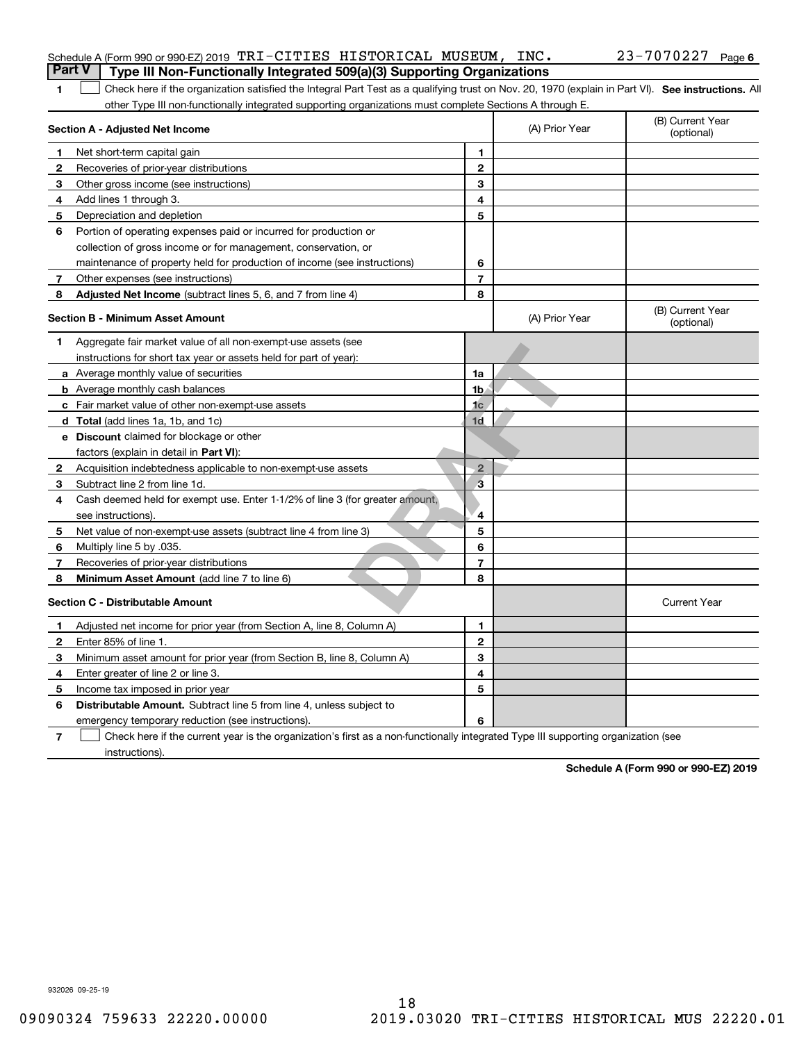|   | Schedule A (Form 990 or 990-EZ) 2019 TRI-CITIES HISTORICAL MUSEUM, INC.                                                                           |                |                | 23-7070227<br>Page 6           |
|---|---------------------------------------------------------------------------------------------------------------------------------------------------|----------------|----------------|--------------------------------|
|   | <b>Part V</b><br>Type III Non-Functionally Integrated 509(a)(3) Supporting Organizations                                                          |                |                |                                |
|   | Check here if the organization satisfied the Integral Part Test as a qualifying trust on Nov. 20, 1970 (explain in Part VI). See instructions. Al |                |                |                                |
|   | other Type III non-functionally integrated supporting organizations must complete Sections A through E.                                           |                |                |                                |
|   | Section A - Adjusted Net Income                                                                                                                   |                | (A) Prior Year | (B) Current Year<br>(optional) |
|   | Net short-term capital gain                                                                                                                       | 1              |                |                                |
|   | Recoveries of prior-year distributions                                                                                                            | $\mathbf{2}$   |                |                                |
| 3 | Other gross income (see instructions)                                                                                                             | 3              |                |                                |
| 4 | Add lines 1 through 3.                                                                                                                            | 4              |                |                                |
| 5 | Depreciation and depletion                                                                                                                        | 5              |                |                                |
| 6 | Portion of operating expenses paid or incurred for production or                                                                                  |                |                |                                |
|   | collection of gross income or for management, conservation, or                                                                                    |                |                |                                |
|   | maintenance of property held for production of income (see instructions)                                                                          | 6              |                |                                |
|   | Other expenses (see instructions)                                                                                                                 | 7              |                |                                |
| 8 | Adjusted Net Income (subtract lines 5, 6, and 7 from line 4)                                                                                      | 8              |                |                                |
|   | <b>Section B - Minimum Asset Amount</b>                                                                                                           |                | (A) Prior Year | (B) Current Year<br>(optional) |
| 1 | Aggregate fair market value of all non-exempt-use assets (see                                                                                     |                |                |                                |
|   | instructions for short tax year or assets held for part of year):                                                                                 |                |                |                                |
|   | <b>a</b> Average monthly value of securities                                                                                                      | 1a             |                |                                |
|   | <b>b</b> Average monthly cash balances                                                                                                            | 1 <sub>b</sub> |                |                                |

|   | Aggregate fair market value of all norrexemptuse assets (see                 |                |                     |
|---|------------------------------------------------------------------------------|----------------|---------------------|
|   | instructions for short tax year or assets held for part of year):            |                |                     |
|   | a Average monthly value of securities                                        | 1a             |                     |
|   | <b>b</b> Average monthly cash balances                                       | 1b             |                     |
|   | Fair market value of other non-exempt-use assets                             | 1 <sub>c</sub> |                     |
|   | d Total (add lines 1a, 1b, and 1c)                                           | 1 <sub>d</sub> |                     |
|   | e Discount claimed for blockage or other                                     |                |                     |
|   | factors (explain in detail in Part VI):                                      |                |                     |
| 2 | Acquisition indebtedness applicable to non-exempt-use assets                 | $\overline{2}$ |                     |
| 3 | Subtract line 2 from line 1d.                                                | З              |                     |
| 4 | Cash deemed held for exempt use. Enter 1-1/2% of line 3 (for greater amount, |                |                     |
|   | see instructions).                                                           | 4              |                     |
| 5 | Net value of non-exempt-use assets (subtract line 4 from line 3)             | 5              |                     |
| 6 | Multiply line 5 by .035.                                                     | 6              |                     |
|   | Recoveries of prior-year distributions                                       | 7              |                     |
| 8 | Minimum Asset Amount (add line 7 to line 6)                                  | 8              |                     |
|   | <b>Section C - Distributable Amount</b>                                      |                | <b>Current Year</b> |
|   | Adjusted net income for prior year (from Section A, line 8, Column A)        | 1              |                     |
| 2 | Enter 85% of line 1.                                                         | $\mathbf{2}$   |                     |
| 3 | Minimum asset amount for prior year (from Section B, line 8, Column A)       | 3              |                     |
| 4 | Enter greater of line 2 or line 3.                                           | 4              |                     |
| 5 | Income tax imposed in prior year                                             | 5              |                     |
| 6 | <b>Distributable Amount.</b> Subtract line 5 from line 4, unless subject to  |                |                     |
|   | emergency temporary reduction (see instructions).                            | 6              |                     |

**7**Check here if the current year is the organization's first as a non-functionally integrated Type III supporting organization (see instructions).

**Schedule A (Form 990 or 990-EZ) 2019**

932026 09-25-19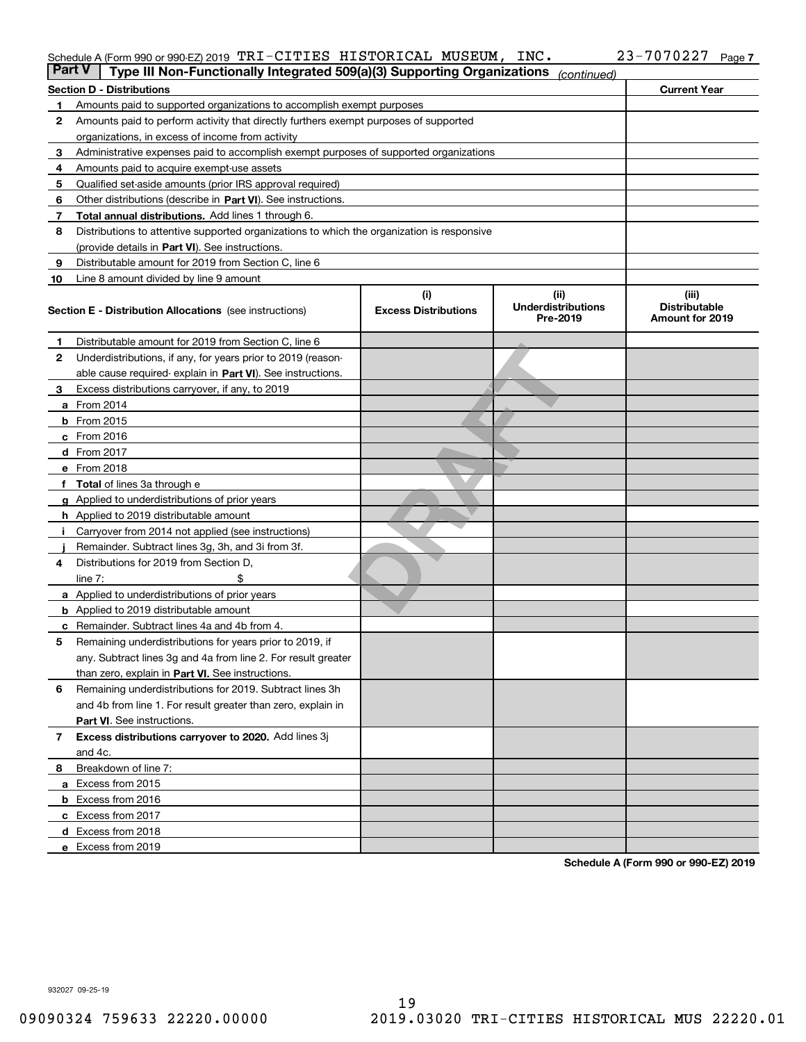### Schedule A (Form 990 or 990-EZ) 2019 「I'RエーCITILIS HISTORICAL MUSEUM,INC。 23-7070227 Page TRI-CITIES HISTORICAL MUSEUM, INC. 23-7070227

| <b>Part V</b> | Type III Non-Functionally Integrated 509(a)(3) Supporting Organizations                    |                                    | (continued)                                    |                                                         |
|---------------|--------------------------------------------------------------------------------------------|------------------------------------|------------------------------------------------|---------------------------------------------------------|
|               | <b>Section D - Distributions</b>                                                           |                                    |                                                | <b>Current Year</b>                                     |
| 1             | Amounts paid to supported organizations to accomplish exempt purposes                      |                                    |                                                |                                                         |
| 2             | Amounts paid to perform activity that directly furthers exempt purposes of supported       |                                    |                                                |                                                         |
|               | organizations, in excess of income from activity                                           |                                    |                                                |                                                         |
| 3             | Administrative expenses paid to accomplish exempt purposes of supported organizations      |                                    |                                                |                                                         |
| 4             | Amounts paid to acquire exempt-use assets                                                  |                                    |                                                |                                                         |
| 5             | Qualified set-aside amounts (prior IRS approval required)                                  |                                    |                                                |                                                         |
| 6             | Other distributions (describe in Part VI). See instructions.                               |                                    |                                                |                                                         |
| 7             | Total annual distributions. Add lines 1 through 6.                                         |                                    |                                                |                                                         |
| 8             | Distributions to attentive supported organizations to which the organization is responsive |                                    |                                                |                                                         |
|               | (provide details in Part VI). See instructions.                                            |                                    |                                                |                                                         |
| 9             | Distributable amount for 2019 from Section C, line 6                                       |                                    |                                                |                                                         |
| 10            | Line 8 amount divided by line 9 amount                                                     |                                    |                                                |                                                         |
|               | Section E - Distribution Allocations (see instructions)                                    | (i)<br><b>Excess Distributions</b> | (iii)<br><b>Underdistributions</b><br>Pre-2019 | (iii)<br><b>Distributable</b><br><b>Amount for 2019</b> |
| 1             | Distributable amount for 2019 from Section C, line 6                                       |                                    |                                                |                                                         |
| 2             | Underdistributions, if any, for years prior to 2019 (reason-                               |                                    |                                                |                                                         |
|               | able cause required- explain in Part VI). See instructions.                                |                                    |                                                |                                                         |
| з             | Excess distributions carryover, if any, to 2019                                            |                                    |                                                |                                                         |
|               | <b>a</b> From 2014                                                                         |                                    |                                                |                                                         |
|               | <b>b</b> From 2015                                                                         |                                    |                                                |                                                         |
|               | $c$ From 2016                                                                              |                                    |                                                |                                                         |
|               | d From 2017                                                                                |                                    |                                                |                                                         |
|               | e From 2018                                                                                |                                    |                                                |                                                         |
|               | Total of lines 3a through e                                                                |                                    |                                                |                                                         |
| a             | Applied to underdistributions of prior years                                               |                                    |                                                |                                                         |
|               | <b>h</b> Applied to 2019 distributable amount                                              |                                    |                                                |                                                         |
|               | Carryover from 2014 not applied (see instructions)                                         |                                    |                                                |                                                         |
|               | Remainder. Subtract lines 3g, 3h, and 3i from 3f.                                          |                                    |                                                |                                                         |
| 4             | Distributions for 2019 from Section D,                                                     |                                    |                                                |                                                         |
|               | line $7:$                                                                                  |                                    |                                                |                                                         |
|               | <b>a</b> Applied to underdistributions of prior years                                      |                                    |                                                |                                                         |
|               | <b>b</b> Applied to 2019 distributable amount                                              |                                    |                                                |                                                         |
|               | c Remainder. Subtract lines 4a and 4b from 4.                                              |                                    |                                                |                                                         |
| 5             | Remaining underdistributions for years prior to 2019, if                                   |                                    |                                                |                                                         |
|               | any. Subtract lines 3g and 4a from line 2. For result greater                              |                                    |                                                |                                                         |
|               | than zero, explain in Part VI. See instructions.                                           |                                    |                                                |                                                         |
| 6             | Remaining underdistributions for 2019. Subtract lines 3h                                   |                                    |                                                |                                                         |
|               | and 4b from line 1. For result greater than zero, explain in                               |                                    |                                                |                                                         |
|               | Part VI. See instructions.                                                                 |                                    |                                                |                                                         |
| 7             | Excess distributions carryover to 2020. Add lines 3j                                       |                                    |                                                |                                                         |
|               | and 4c.                                                                                    |                                    |                                                |                                                         |
| 8             | Breakdown of line 7:                                                                       |                                    |                                                |                                                         |
|               | a Excess from 2015                                                                         |                                    |                                                |                                                         |
|               | <b>b</b> Excess from 2016                                                                  |                                    |                                                |                                                         |
|               | c Excess from 2017                                                                         |                                    |                                                |                                                         |
|               | d Excess from 2018                                                                         |                                    |                                                |                                                         |
|               | e Excess from 2019                                                                         |                                    |                                                |                                                         |

**Schedule A (Form 990 or 990-EZ) 2019**

932027 09-25-19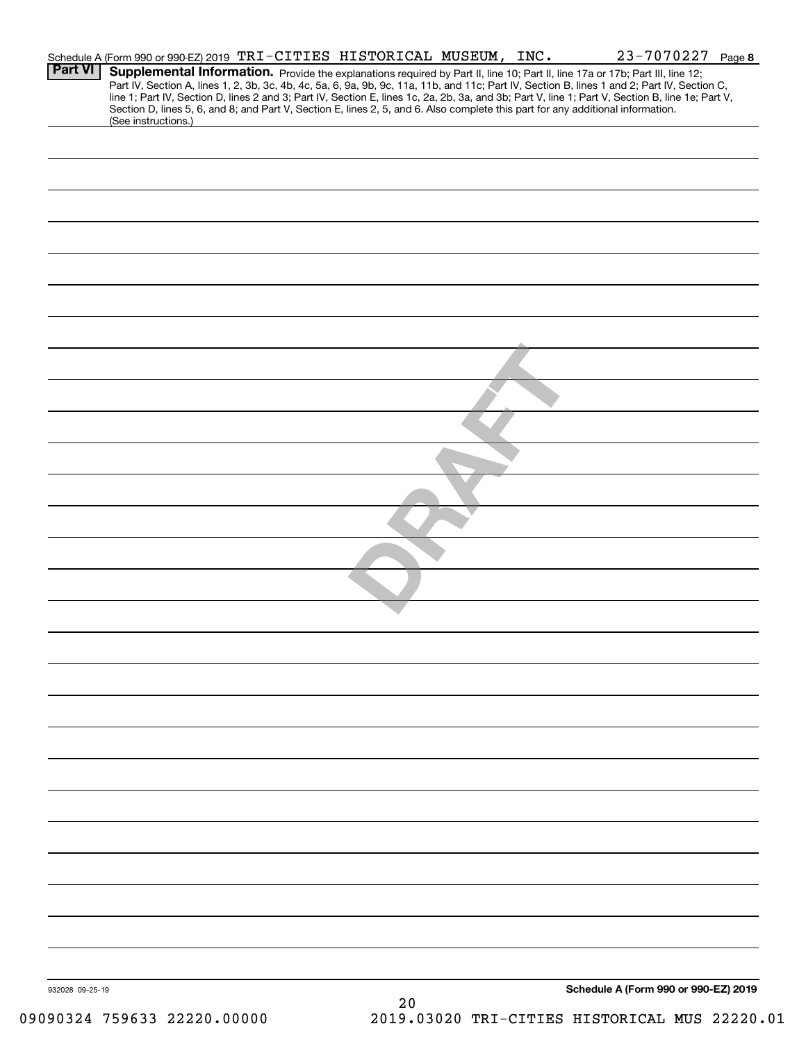|                 | Schedule A (Form 990 or 990-EZ) 2019 TRI-CITIES HISTORICAL MUSEUM, INC. |  |    |                                                                                                                                 | 23-7070227 Page 8                                                                                                                                                                                                                                                                                                                                                                                                                 |
|-----------------|-------------------------------------------------------------------------|--|----|---------------------------------------------------------------------------------------------------------------------------------|-----------------------------------------------------------------------------------------------------------------------------------------------------------------------------------------------------------------------------------------------------------------------------------------------------------------------------------------------------------------------------------------------------------------------------------|
| <b>Part VI</b>  |                                                                         |  |    |                                                                                                                                 | Supplemental Information. Provide the explanations required by Part II, line 10; Part II, line 17a or 17b; Part III, line 12;<br>Part IV, Section A, lines 1, 2, 3b, 3c, 4b, 4c, 5a, 6, 9a, 9b, 9c, 11a, 11b, and 11c; Part IV, Section B, lines 1 and 2; Part IV, Section C,<br>line 1; Part IV, Section D, lines 2 and 3; Part IV, Section E, lines 1c, 2a, 2b, 3a, and 3b; Part V, line 1; Part V, Section B, line 1e; Part V, |
|                 | (See instructions.)                                                     |  |    | Section D, lines 5, 6, and 8; and Part V, Section E, lines 2, 5, and 6. Also complete this part for any additional information. |                                                                                                                                                                                                                                                                                                                                                                                                                                   |
|                 |                                                                         |  |    |                                                                                                                                 |                                                                                                                                                                                                                                                                                                                                                                                                                                   |
|                 |                                                                         |  |    |                                                                                                                                 |                                                                                                                                                                                                                                                                                                                                                                                                                                   |
|                 |                                                                         |  |    |                                                                                                                                 |                                                                                                                                                                                                                                                                                                                                                                                                                                   |
|                 |                                                                         |  |    |                                                                                                                                 |                                                                                                                                                                                                                                                                                                                                                                                                                                   |
|                 |                                                                         |  |    |                                                                                                                                 |                                                                                                                                                                                                                                                                                                                                                                                                                                   |
|                 |                                                                         |  |    |                                                                                                                                 |                                                                                                                                                                                                                                                                                                                                                                                                                                   |
|                 |                                                                         |  |    |                                                                                                                                 |                                                                                                                                                                                                                                                                                                                                                                                                                                   |
|                 |                                                                         |  |    |                                                                                                                                 |                                                                                                                                                                                                                                                                                                                                                                                                                                   |
|                 |                                                                         |  |    |                                                                                                                                 |                                                                                                                                                                                                                                                                                                                                                                                                                                   |
|                 |                                                                         |  |    |                                                                                                                                 |                                                                                                                                                                                                                                                                                                                                                                                                                                   |
|                 |                                                                         |  |    |                                                                                                                                 |                                                                                                                                                                                                                                                                                                                                                                                                                                   |
|                 |                                                                         |  |    |                                                                                                                                 |                                                                                                                                                                                                                                                                                                                                                                                                                                   |
|                 |                                                                         |  |    |                                                                                                                                 |                                                                                                                                                                                                                                                                                                                                                                                                                                   |
|                 |                                                                         |  |    |                                                                                                                                 |                                                                                                                                                                                                                                                                                                                                                                                                                                   |
|                 |                                                                         |  |    |                                                                                                                                 |                                                                                                                                                                                                                                                                                                                                                                                                                                   |
|                 |                                                                         |  |    |                                                                                                                                 |                                                                                                                                                                                                                                                                                                                                                                                                                                   |
|                 |                                                                         |  |    |                                                                                                                                 |                                                                                                                                                                                                                                                                                                                                                                                                                                   |
|                 |                                                                         |  |    |                                                                                                                                 |                                                                                                                                                                                                                                                                                                                                                                                                                                   |
|                 |                                                                         |  |    |                                                                                                                                 |                                                                                                                                                                                                                                                                                                                                                                                                                                   |
|                 |                                                                         |  |    |                                                                                                                                 |                                                                                                                                                                                                                                                                                                                                                                                                                                   |
|                 |                                                                         |  |    |                                                                                                                                 |                                                                                                                                                                                                                                                                                                                                                                                                                                   |
|                 |                                                                         |  |    |                                                                                                                                 |                                                                                                                                                                                                                                                                                                                                                                                                                                   |
|                 |                                                                         |  |    |                                                                                                                                 |                                                                                                                                                                                                                                                                                                                                                                                                                                   |
|                 |                                                                         |  |    |                                                                                                                                 |                                                                                                                                                                                                                                                                                                                                                                                                                                   |
|                 |                                                                         |  |    |                                                                                                                                 |                                                                                                                                                                                                                                                                                                                                                                                                                                   |
|                 |                                                                         |  |    |                                                                                                                                 |                                                                                                                                                                                                                                                                                                                                                                                                                                   |
|                 |                                                                         |  |    |                                                                                                                                 |                                                                                                                                                                                                                                                                                                                                                                                                                                   |
|                 |                                                                         |  |    |                                                                                                                                 |                                                                                                                                                                                                                                                                                                                                                                                                                                   |
|                 |                                                                         |  |    |                                                                                                                                 |                                                                                                                                                                                                                                                                                                                                                                                                                                   |
|                 |                                                                         |  |    |                                                                                                                                 |                                                                                                                                                                                                                                                                                                                                                                                                                                   |
|                 |                                                                         |  |    |                                                                                                                                 |                                                                                                                                                                                                                                                                                                                                                                                                                                   |
|                 |                                                                         |  |    |                                                                                                                                 |                                                                                                                                                                                                                                                                                                                                                                                                                                   |
|                 |                                                                         |  |    |                                                                                                                                 |                                                                                                                                                                                                                                                                                                                                                                                                                                   |
|                 |                                                                         |  |    |                                                                                                                                 |                                                                                                                                                                                                                                                                                                                                                                                                                                   |
|                 |                                                                         |  |    |                                                                                                                                 |                                                                                                                                                                                                                                                                                                                                                                                                                                   |
|                 |                                                                         |  |    |                                                                                                                                 |                                                                                                                                                                                                                                                                                                                                                                                                                                   |
|                 |                                                                         |  |    |                                                                                                                                 |                                                                                                                                                                                                                                                                                                                                                                                                                                   |
|                 |                                                                         |  |    |                                                                                                                                 |                                                                                                                                                                                                                                                                                                                                                                                                                                   |
| 932028 09-25-19 |                                                                         |  |    |                                                                                                                                 | Schedule A (Form 990 or 990-EZ) 2019                                                                                                                                                                                                                                                                                                                                                                                              |
|                 |                                                                         |  | 20 |                                                                                                                                 |                                                                                                                                                                                                                                                                                                                                                                                                                                   |
|                 | 09090324 759633 22220.00000                                             |  |    |                                                                                                                                 | 2019.03020 TRI-CITIES HISTORICAL MUS 22220.01                                                                                                                                                                                                                                                                                                                                                                                     |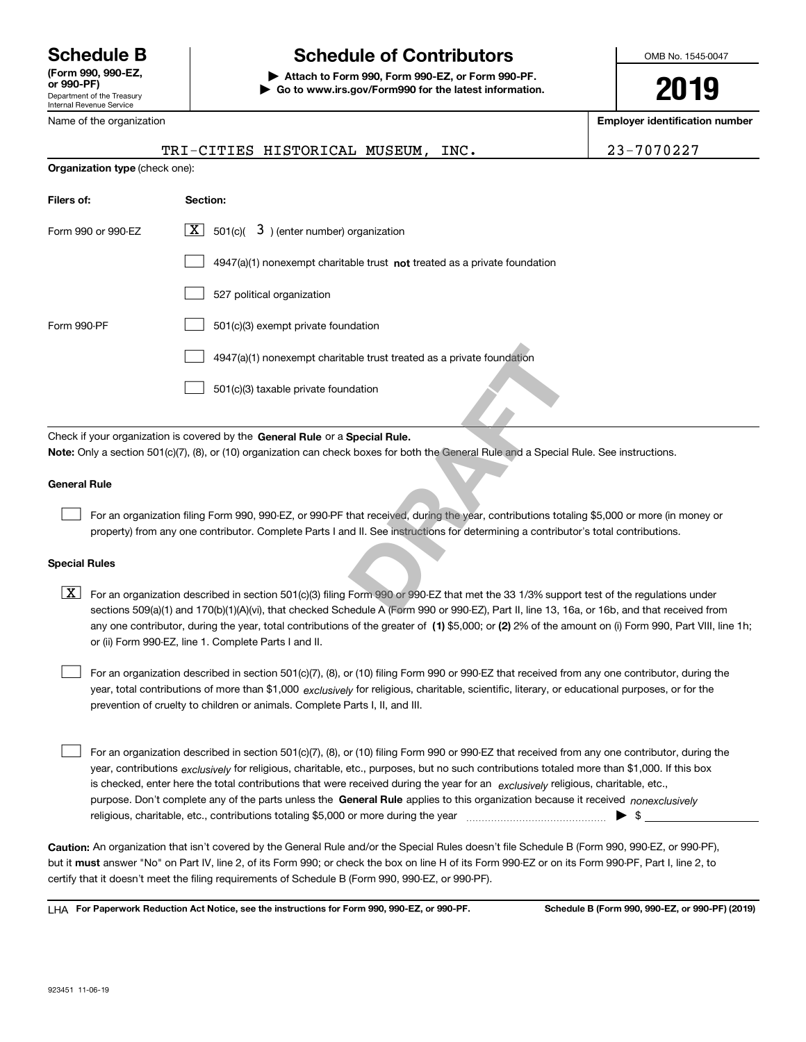Department of the Treasury Internal Revenue Service **(Form 990, 990-EZ, or 990-PF)**

# **Schedule B Schedule of Contributors**

**| Attach to Form 990, Form 990-EZ, or Form 990-PF. | Go to www.irs.gov/Form990 for the latest information.** OMB No. 1545-0047

**2019**

**Employer identification number**

| Name of the organization       |                                                                                                                                                                                                                                                                                         | <b>Employer identification number</b> |
|--------------------------------|-----------------------------------------------------------------------------------------------------------------------------------------------------------------------------------------------------------------------------------------------------------------------------------------|---------------------------------------|
|                                | TRI-CITIES HISTORICAL MUSEUM,<br>INC.                                                                                                                                                                                                                                                   | 23-7070227                            |
| Organization type (check one): |                                                                                                                                                                                                                                                                                         |                                       |
| Filers of:                     | Section:                                                                                                                                                                                                                                                                                |                                       |
| Form 990 or 990-EZ             | $\lfloor x \rfloor$ 501(c)( 3) (enter number) organization                                                                                                                                                                                                                              |                                       |
|                                | 4947(a)(1) nonexempt charitable trust not treated as a private foundation                                                                                                                                                                                                               |                                       |
|                                | 527 political organization                                                                                                                                                                                                                                                              |                                       |
| Form 990-PF                    | 501(c)(3) exempt private foundation                                                                                                                                                                                                                                                     |                                       |
|                                | 4947(a)(1) nonexempt charitable trust treated as a private foundation                                                                                                                                                                                                                   |                                       |
|                                | 501(c)(3) taxable private foundation                                                                                                                                                                                                                                                    |                                       |
|                                | Check if your organization is covered by the General Rule or a Special Rule.                                                                                                                                                                                                            |                                       |
|                                | Note: Only a section 501(c)(7), (8), or (10) organization can check boxes for both the General Rule and a Special Rule. See instructions.                                                                                                                                               |                                       |
| <b>General Rule</b>            |                                                                                                                                                                                                                                                                                         |                                       |
|                                | For an organization filing Form 990, 990-EZ, or 990-PF that received, during the year, contributions totaling \$5,000 or more (in money or<br>property) from any one contributor. Complete Parts I and II. See instructions for determining a contributor's total contributions.        |                                       |
| <b>Special Rules</b>           |                                                                                                                                                                                                                                                                                         |                                       |
| X                              | For an organization described in section 501(c)(3) filing Form 990 or 990-EZ that met the 33 1/3% support test of the regulations under<br>sections 509(a)(1) and 170(b)(1)(A)(vi), that checked Schedule A (Form 990 or 990-EZ), Part II, line 13, 16a, or 16b, and that received from |                                       |

any one contributor, during the year, total contributions of the greater of  $\,$  (1) \$5,000; or **(2)** 2% of the amount on (i) Form 990, Part VIII, line 1h;  $\boxed{\textbf{X}}$  For an organization described in section 501(c)(3) filing Form 990 or 990-EZ that met the 33 1/3% support test of the regulations under sections 509(a)(1) and 170(b)(1)(A)(vi), that checked Schedule A (Form 990 or 990-EZ), Part II, line 13, 16a, or 16b, and that received from or (ii) Form 990-EZ, line 1. Complete Parts I and II.

year, total contributions of more than \$1,000 *exclusively* for religious, charitable, scientific, literary, or educational purposes, or for the For an organization described in section 501(c)(7), (8), or (10) filing Form 990 or 990-EZ that received from any one contributor, during the prevention of cruelty to children or animals. Complete Parts I, II, and III.

purpose. Don't complete any of the parts unless the **General Rule** applies to this organization because it received *nonexclusively* year, contributions <sub>exclusively</sub> for religious, charitable, etc., purposes, but no such contributions totaled more than \$1,000. If this box is checked, enter here the total contributions that were received during the year for an  $\;$ exclusively religious, charitable, etc., For an organization described in section 501(c)(7), (8), or (10) filing Form 990 or 990-EZ that received from any one contributor, during the religious, charitable, etc., contributions totaling \$5,000 or more during the year  $\Box$ — $\Box$ — $\Box$  $\mathcal{L}^{\text{max}}$ 

**Caution:**  An organization that isn't covered by the General Rule and/or the Special Rules doesn't file Schedule B (Form 990, 990-EZ, or 990-PF),  **must** but it answer "No" on Part IV, line 2, of its Form 990; or check the box on line H of its Form 990-EZ or on its Form 990-PF, Part I, line 2, to certify that it doesn't meet the filing requirements of Schedule B (Form 990, 990-EZ, or 990-PF).

**For Paperwork Reduction Act Notice, see the instructions for Form 990, 990-EZ, or 990-PF. Schedule B (Form 990, 990-EZ, or 990-PF) (2019)** LHA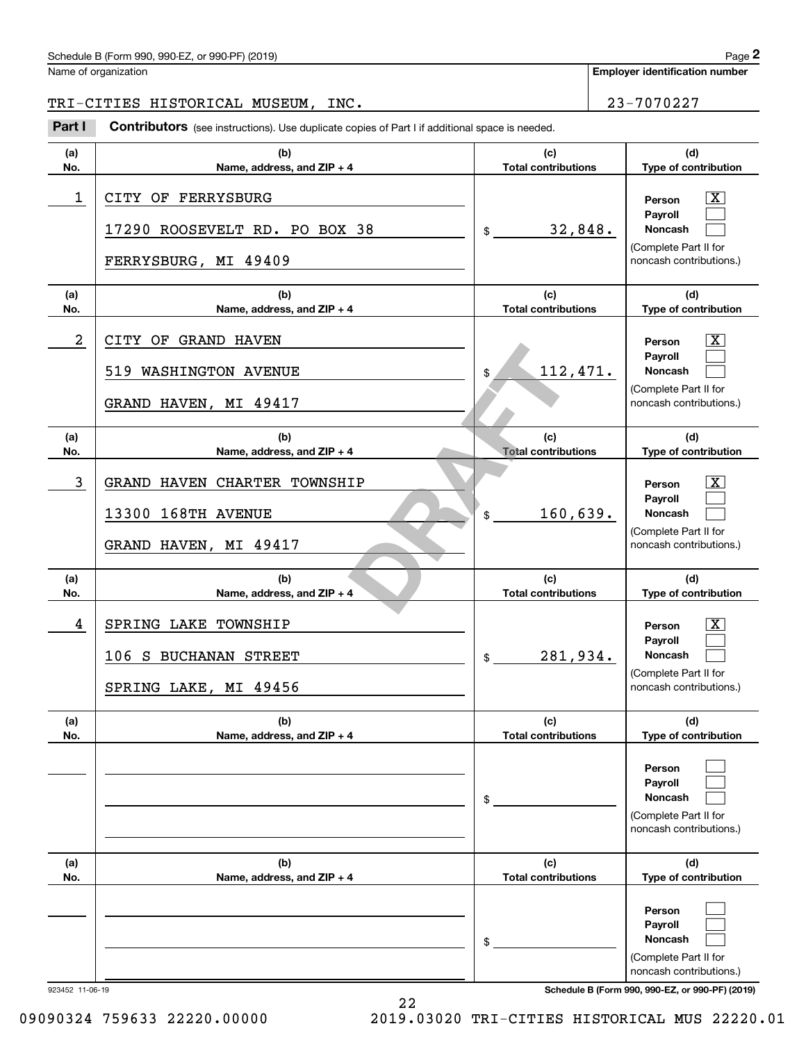# Schedule B (Form 990, 990-EZ, or 990-PF) (2019) Page 2

Name of organization

**Employer identification number**

# TRI-CITIES HISTORICAL MUSEUM, INC. 23-7070227

(schedule B (Form 990, 990-EZ, or 990-PF) (2019)<br> **23-7070227**<br> **23-7070227**<br> **23-7070227**<br> **23-7070227**<br> **23-7070227** 

| (a)<br>No.      | (b)<br>Name, address, and ZIP + 4                                           | (c)<br><b>Total contributions</b> | (d)<br>Type of contribution                                                                                        |
|-----------------|-----------------------------------------------------------------------------|-----------------------------------|--------------------------------------------------------------------------------------------------------------------|
| 1               | CITY OF FERRYSBURG<br>17290 ROOSEVELT RD. PO BOX 38<br>FERRYSBURG, MI 49409 | 32,848.<br>$\mathfrak{S}$         | $\overline{\text{X}}$<br>Person<br>Pavroll<br>Noncash<br>(Complete Part II for<br>noncash contributions.)          |
| (a)<br>No.      | (b)<br>Name, address, and ZIP + 4                                           | (c)<br><b>Total contributions</b> | (d)<br>Type of contribution                                                                                        |
| 2               | CITY OF GRAND HAVEN<br>519 WASHINGTON AVENUE<br>GRAND HAVEN, MI 49417       | 112,471.<br>\$                    | $\overline{\text{X}}$<br>Person<br>Payroll<br><b>Noncash</b><br>(Complete Part II for<br>noncash contributions.)   |
| (a)<br>No.      | (b)<br>Name, address, and ZIP + 4                                           | (c)<br><b>Total contributions</b> | (d)<br>Type of contribution                                                                                        |
| 3               | GRAND HAVEN CHARTER TOWNSHIP<br>13300 168TH AVENUE<br>GRAND HAVEN, MI 49417 | 160,639.<br>\$                    | $\overline{\text{X}}$<br>Person<br>Payroll<br><b>Noncash</b><br>(Complete Part II for<br>noncash contributions.)   |
| (a)<br>No.      | (b)<br>Name, address, and ZIP + 4                                           | (c)<br><b>Total contributions</b> | (d)<br>Type of contribution                                                                                        |
| 4               | SPRING LAKE TOWNSHIP<br>106 S BUCHANAN STREET<br>SPRING LAKE, MI 49456      | 281,934.<br>\$                    | $\overline{\texttt{X}}$<br>Person<br>Payroll<br><b>Noncash</b><br>(Complete Part II for<br>noncash contributions.) |
| (a)<br>No.      | (b)<br>Name, address, and ZIP + 4                                           | (c)<br><b>Total contributions</b> | (d)<br>Type of contribution                                                                                        |
|                 |                                                                             | \$                                | Person<br>Payroll<br>Noncash<br>(Complete Part II for<br>noncash contributions.)                                   |
| (a)<br>No.      | (b)<br>Name, address, and ZIP + 4                                           | (c)<br><b>Total contributions</b> | (d)<br>Type of contribution                                                                                        |
|                 |                                                                             | \$                                | Person<br>Payroll<br>Noncash<br>(Complete Part II for                                                              |
| 923452 11-06-19 |                                                                             |                                   | noncash contributions.)<br>Schedule B (Form 990, 990-EZ, or 990-PF) (2019)                                         |

22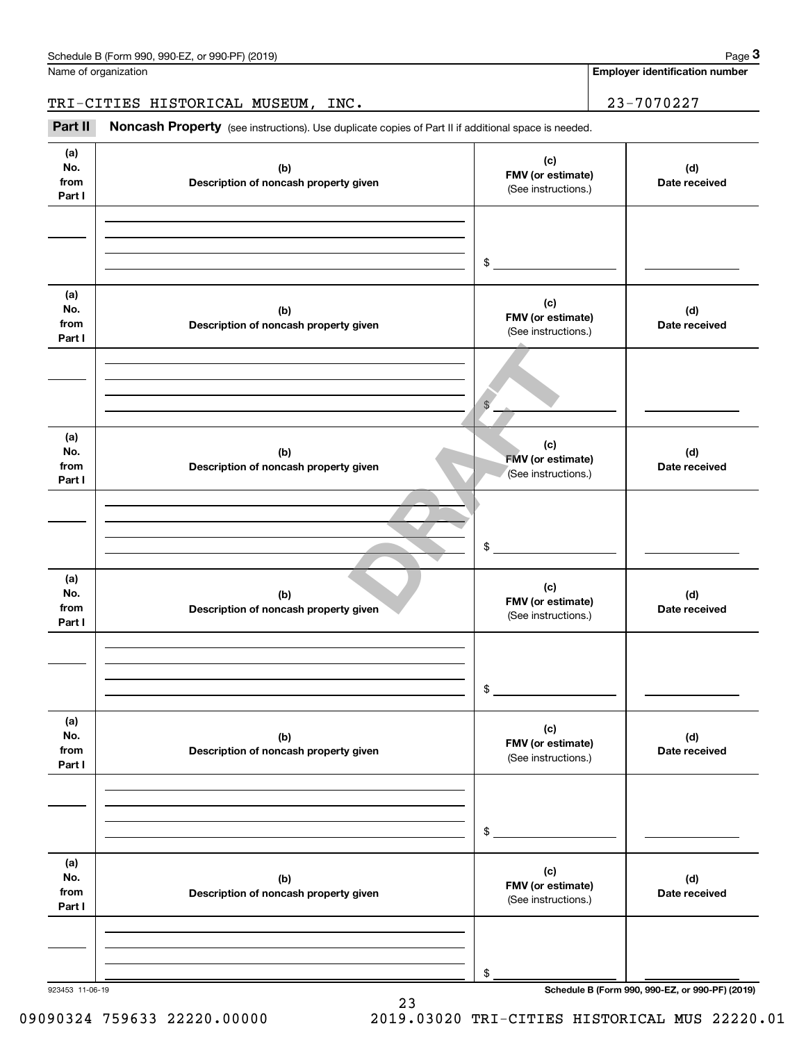**Employer identification number**

TRI-CITIES HISTORICAL MUSEUM, INC. 23-7070227

(see instructions). Use duplicate copies of Part II if additional space is needed.<br> **23-7070227**<br> **Part II Noncash Property** (see instructions). Use duplicate copies of Part II if additional space is needed.

| (a)<br>No.<br>from<br>Part I | (b)<br>Description of noncash property given | (c)<br>FMV (or estimate)<br>(See instructions.) | (d)<br>Date received                            |
|------------------------------|----------------------------------------------|-------------------------------------------------|-------------------------------------------------|
|                              |                                              | $\mathfrak s$                                   |                                                 |
| (a)<br>No.<br>from<br>Part I | (b)<br>Description of noncash property given | (c)<br>FMV (or estimate)<br>(See instructions.) | (d)<br>Date received                            |
|                              |                                              | $\frac{1}{2}$                                   |                                                 |
| (a)<br>No.<br>from<br>Part I | (b)<br>Description of noncash property given | (c)<br>FMV (or estimate)<br>(See instructions.) | (d)<br>Date received                            |
|                              |                                              | \$                                              |                                                 |
| (a)<br>No.<br>from<br>Part I | (b)<br>Description of noncash property given | (c)<br>FMV (or estimate)<br>(See instructions.) | (d)<br>Date received                            |
|                              |                                              | \$                                              |                                                 |
| (a)<br>No.<br>from<br>Part I | (b)<br>Description of noncash property given | (c)<br>FMV (or estimate)<br>(See instructions.) | (d)<br>Date received                            |
|                              |                                              | \$                                              |                                                 |
| (a)<br>No.<br>from<br>Part I | (b)<br>Description of noncash property given | (c)<br>FMV (or estimate)<br>(See instructions.) | (d)<br>Date received                            |
|                              |                                              | \$                                              |                                                 |
| 923453 11-06-19              |                                              |                                                 | Schedule B (Form 990, 990-EZ, or 990-PF) (2019) |

23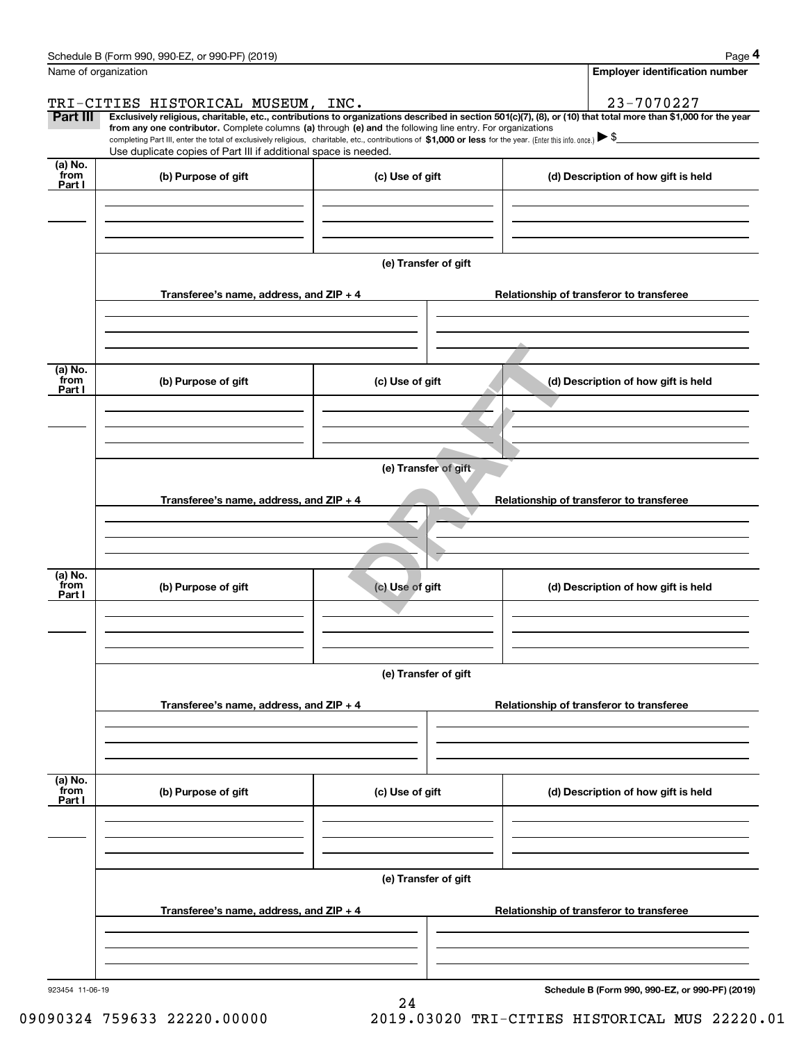|                                                                                     | Page 4                                                                                                                                                                                                                                                                                                                                                                                                                                                                                                                                                                                            |  |  |  |  |
|-------------------------------------------------------------------------------------|---------------------------------------------------------------------------------------------------------------------------------------------------------------------------------------------------------------------------------------------------------------------------------------------------------------------------------------------------------------------------------------------------------------------------------------------------------------------------------------------------------------------------------------------------------------------------------------------------|--|--|--|--|
|                                                                                     | <b>Employer identification number</b>                                                                                                                                                                                                                                                                                                                                                                                                                                                                                                                                                             |  |  |  |  |
| TRI-CITIES HISTORICAL MUSEUM, INC.                                                  | 23-7070227                                                                                                                                                                                                                                                                                                                                                                                                                                                                                                                                                                                        |  |  |  |  |
|                                                                                     | Exclusively religious, charitable, etc., contributions to organizations described in section 501(c)(7), (8), or (10) that total more than \$1,000 for the year                                                                                                                                                                                                                                                                                                                                                                                                                                    |  |  |  |  |
|                                                                                     |                                                                                                                                                                                                                                                                                                                                                                                                                                                                                                                                                                                                   |  |  |  |  |
|                                                                                     |                                                                                                                                                                                                                                                                                                                                                                                                                                                                                                                                                                                                   |  |  |  |  |
|                                                                                     | (d) Description of how gift is held                                                                                                                                                                                                                                                                                                                                                                                                                                                                                                                                                               |  |  |  |  |
|                                                                                     |                                                                                                                                                                                                                                                                                                                                                                                                                                                                                                                                                                                                   |  |  |  |  |
|                                                                                     |                                                                                                                                                                                                                                                                                                                                                                                                                                                                                                                                                                                                   |  |  |  |  |
|                                                                                     |                                                                                                                                                                                                                                                                                                                                                                                                                                                                                                                                                                                                   |  |  |  |  |
|                                                                                     |                                                                                                                                                                                                                                                                                                                                                                                                                                                                                                                                                                                                   |  |  |  |  |
|                                                                                     | Relationship of transferor to transferee                                                                                                                                                                                                                                                                                                                                                                                                                                                                                                                                                          |  |  |  |  |
|                                                                                     |                                                                                                                                                                                                                                                                                                                                                                                                                                                                                                                                                                                                   |  |  |  |  |
|                                                                                     |                                                                                                                                                                                                                                                                                                                                                                                                                                                                                                                                                                                                   |  |  |  |  |
|                                                                                     |                                                                                                                                                                                                                                                                                                                                                                                                                                                                                                                                                                                                   |  |  |  |  |
|                                                                                     | (d) Description of how gift is held                                                                                                                                                                                                                                                                                                                                                                                                                                                                                                                                                               |  |  |  |  |
|                                                                                     |                                                                                                                                                                                                                                                                                                                                                                                                                                                                                                                                                                                                   |  |  |  |  |
|                                                                                     |                                                                                                                                                                                                                                                                                                                                                                                                                                                                                                                                                                                                   |  |  |  |  |
|                                                                                     |                                                                                                                                                                                                                                                                                                                                                                                                                                                                                                                                                                                                   |  |  |  |  |
|                                                                                     |                                                                                                                                                                                                                                                                                                                                                                                                                                                                                                                                                                                                   |  |  |  |  |
|                                                                                     |                                                                                                                                                                                                                                                                                                                                                                                                                                                                                                                                                                                                   |  |  |  |  |
| Transferee's name, address, and ZIP + 4<br>Relationship of transferor to transferee |                                                                                                                                                                                                                                                                                                                                                                                                                                                                                                                                                                                                   |  |  |  |  |
|                                                                                     |                                                                                                                                                                                                                                                                                                                                                                                                                                                                                                                                                                                                   |  |  |  |  |
|                                                                                     |                                                                                                                                                                                                                                                                                                                                                                                                                                                                                                                                                                                                   |  |  |  |  |
|                                                                                     |                                                                                                                                                                                                                                                                                                                                                                                                                                                                                                                                                                                                   |  |  |  |  |
| (c) Use of gift                                                                     | (d) Description of how gift is held                                                                                                                                                                                                                                                                                                                                                                                                                                                                                                                                                               |  |  |  |  |
|                                                                                     |                                                                                                                                                                                                                                                                                                                                                                                                                                                                                                                                                                                                   |  |  |  |  |
|                                                                                     |                                                                                                                                                                                                                                                                                                                                                                                                                                                                                                                                                                                                   |  |  |  |  |
|                                                                                     |                                                                                                                                                                                                                                                                                                                                                                                                                                                                                                                                                                                                   |  |  |  |  |
| (e) Transfer of gift                                                                |                                                                                                                                                                                                                                                                                                                                                                                                                                                                                                                                                                                                   |  |  |  |  |
|                                                                                     | Relationship of transferor to transferee                                                                                                                                                                                                                                                                                                                                                                                                                                                                                                                                                          |  |  |  |  |
|                                                                                     |                                                                                                                                                                                                                                                                                                                                                                                                                                                                                                                                                                                                   |  |  |  |  |
|                                                                                     |                                                                                                                                                                                                                                                                                                                                                                                                                                                                                                                                                                                                   |  |  |  |  |
|                                                                                     |                                                                                                                                                                                                                                                                                                                                                                                                                                                                                                                                                                                                   |  |  |  |  |
|                                                                                     | (d) Description of how gift is held                                                                                                                                                                                                                                                                                                                                                                                                                                                                                                                                                               |  |  |  |  |
|                                                                                     |                                                                                                                                                                                                                                                                                                                                                                                                                                                                                                                                                                                                   |  |  |  |  |
|                                                                                     |                                                                                                                                                                                                                                                                                                                                                                                                                                                                                                                                                                                                   |  |  |  |  |
|                                                                                     |                                                                                                                                                                                                                                                                                                                                                                                                                                                                                                                                                                                                   |  |  |  |  |
|                                                                                     |                                                                                                                                                                                                                                                                                                                                                                                                                                                                                                                                                                                                   |  |  |  |  |
|                                                                                     |                                                                                                                                                                                                                                                                                                                                                                                                                                                                                                                                                                                                   |  |  |  |  |
| Transferee's name, address, and $ZIP + 4$                                           | Relationship of transferor to transferee                                                                                                                                                                                                                                                                                                                                                                                                                                                                                                                                                          |  |  |  |  |
|                                                                                     |                                                                                                                                                                                                                                                                                                                                                                                                                                                                                                                                                                                                   |  |  |  |  |
|                                                                                     |                                                                                                                                                                                                                                                                                                                                                                                                                                                                                                                                                                                                   |  |  |  |  |
|                                                                                     |                                                                                                                                                                                                                                                                                                                                                                                                                                                                                                                                                                                                   |  |  |  |  |
|                                                                                     | Schedule B (Form 990, 990-EZ, or 990-PF) (2019)                                                                                                                                                                                                                                                                                                                                                                                                                                                                                                                                                   |  |  |  |  |
|                                                                                     | from any one contributor. Complete columns (a) through (e) and the following line entry. For organizations<br>completing Part III, enter the total of exclusively religious, charitable, etc., contributions of \$1,000 or less for the year. (Enter this info. once.) $\blacktriangleright$ \$<br>Use duplicate copies of Part III if additional space is needed.<br>(c) Use of gift<br>(e) Transfer of gift<br>Transferee's name, address, and ZIP + 4<br>(c) Use of gift<br>(e) Transfer of gift<br>Transferee's name, address, and $ZIP + 4$<br>(c) Use of gift<br>(e) Transfer of gift<br>24 |  |  |  |  |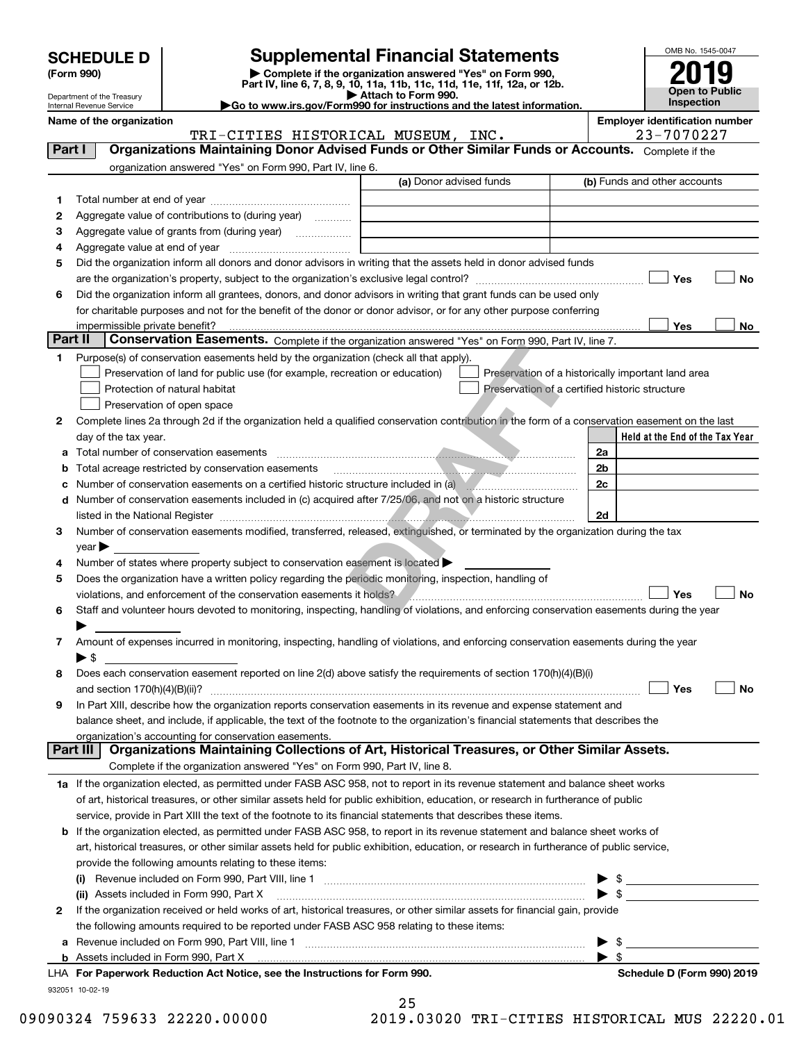| <b>SCHEDULE D</b> |  |
|-------------------|--|
|-------------------|--|

| (Form 990) |
|------------|
|            |

# **Supplemental Financial Statements**

(Form 990)<br>
Pepartment of the Treasury<br>
Department of the Treasury<br>
Department of the Treasury<br>
Department of the Treasury<br> **Co to www.irs.gov/Form990 for instructions and the latest information.**<br> **Co to www.irs.gov/Form9** 



Department of the Treasury Internal Revenue Service

|         | Name of the organization                                                                                                                       | <b>Employer identification number</b><br>23-7070227 |
|---------|------------------------------------------------------------------------------------------------------------------------------------------------|-----------------------------------------------------|
|         | TRI-CITIES HISTORICAL MUSEUM, INC.<br>Organizations Maintaining Donor Advised Funds or Other Similar Funds or Accounts. Complete if the        |                                                     |
| Part I  |                                                                                                                                                |                                                     |
|         | organization answered "Yes" on Form 990, Part IV, line 6.<br>(a) Donor advised funds                                                           | (b) Funds and other accounts                        |
|         |                                                                                                                                                |                                                     |
| 1       |                                                                                                                                                |                                                     |
| 2       | Aggregate value of contributions to (during year)                                                                                              |                                                     |
| з       | Aggregate value of grants from (during year)                                                                                                   |                                                     |
| 4       |                                                                                                                                                |                                                     |
| 5       | Did the organization inform all donors and donor advisors in writing that the assets held in donor advised funds                               |                                                     |
|         |                                                                                                                                                | Yes<br>No                                           |
| 6       | Did the organization inform all grantees, donors, and donor advisors in writing that grant funds can be used only                              |                                                     |
|         | for charitable purposes and not for the benefit of the donor or donor advisor, or for any other purpose conferring                             |                                                     |
| Part II | impermissible private benefit?                                                                                                                 | Yes<br>No                                           |
|         | Conservation Easements. Complete if the organization answered "Yes" on Form 990, Part IV, line 7.                                              |                                                     |
| 1.      | Purpose(s) of conservation easements held by the organization (check all that apply).                                                          |                                                     |
|         | Preservation of land for public use (for example, recreation or education)                                                                     | Preservation of a historically important land area  |
|         | Protection of natural habitat                                                                                                                  | Preservation of a certified historic structure      |
|         | Preservation of open space                                                                                                                     |                                                     |
| 2       | Complete lines 2a through 2d if the organization held a qualified conservation contribution in the form of a conservation easement on the last |                                                     |
|         | day of the tax year.                                                                                                                           | Held at the End of the Tax Year                     |
| а       | Total number of conservation easements                                                                                                         | 2a                                                  |
| b       |                                                                                                                                                | 2 <sub>b</sub>                                      |
| с       |                                                                                                                                                | 2c                                                  |
| d       | Number of conservation easements included in (c) acquired after 7/25/06, and not on a historic structure                                       |                                                     |
|         | listed in the National Register <b>communications</b> and the National Property of the National Property of the National                       | 2d                                                  |
| З.      | Number of conservation easements modified, transferred, released, extinguished, or terminated by the organization during the tax               |                                                     |
|         | $year \blacktriangleright$                                                                                                                     |                                                     |
| 4       | Number of states where property subject to conservation easement is located >                                                                  |                                                     |
| 5       | Does the organization have a written policy regarding the periodic monitoring, inspection, handling of                                         |                                                     |
|         | violations, and enforcement of the conservation easements it holds?                                                                            | Yes<br>No                                           |
| 6       | Staff and volunteer hours devoted to monitoring, inspecting, handling of violations, and enforcing conservation easements during the year      |                                                     |
|         |                                                                                                                                                |                                                     |
| 7       | Amount of expenses incurred in monitoring, inspecting, handling of violations, and enforcing conservation easements during the year            |                                                     |
|         | ▶ \$                                                                                                                                           |                                                     |
| 8       | Does each conservation easement reported on line 2(d) above satisfy the requirements of section 170(h)(4)(B)(i)                                |                                                     |
|         |                                                                                                                                                | Yes<br>No                                           |
|         | In Part XIII, describe how the organization reports conservation easements in its revenue and expense statement and                            |                                                     |
|         | balance sheet, and include, if applicable, the text of the footnote to the organization's financial statements that describes the              |                                                     |
|         | organization's accounting for conservation easements.                                                                                          |                                                     |
|         | Organizations Maintaining Collections of Art, Historical Treasures, or Other Similar Assets.<br>Part III                                       |                                                     |
|         | Complete if the organization answered "Yes" on Form 990, Part IV, line 8.                                                                      |                                                     |
|         | 1a If the organization elected, as permitted under FASB ASC 958, not to report in its revenue statement and balance sheet works                |                                                     |
|         | of art, historical treasures, or other similar assets held for public exhibition, education, or research in furtherance of public              |                                                     |
|         | service, provide in Part XIII the text of the footnote to its financial statements that describes these items.                                 |                                                     |
| b       | If the organization elected, as permitted under FASB ASC 958, to report in its revenue statement and balance sheet works of                    |                                                     |
|         | art, historical treasures, or other similar assets held for public exhibition, education, or research in furtherance of public service,        |                                                     |
|         | provide the following amounts relating to these items:                                                                                         |                                                     |
|         |                                                                                                                                                | - \$                                                |
|         | (ii) Assets included in Form 990, Part X                                                                                                       | $\sqrt{3}$                                          |
| 2       | If the organization received or held works of art, historical treasures, or other similar assets for financial gain, provide                   |                                                     |
|         | the following amounts required to be reported under FASB ASC 958 relating to these items:                                                      |                                                     |
| а       |                                                                                                                                                | - \$                                                |
|         | <b>b</b> Assets included in Form 990, Part X                                                                                                   | $\blacktriangleright$ \$                            |
|         | LHA For Paperwork Reduction Act Notice, see the Instructions for Form 990.                                                                     | Schedule D (Form 990) 2019                          |
|         | 932051 10-02-19                                                                                                                                |                                                     |
|         | 25                                                                                                                                             |                                                     |

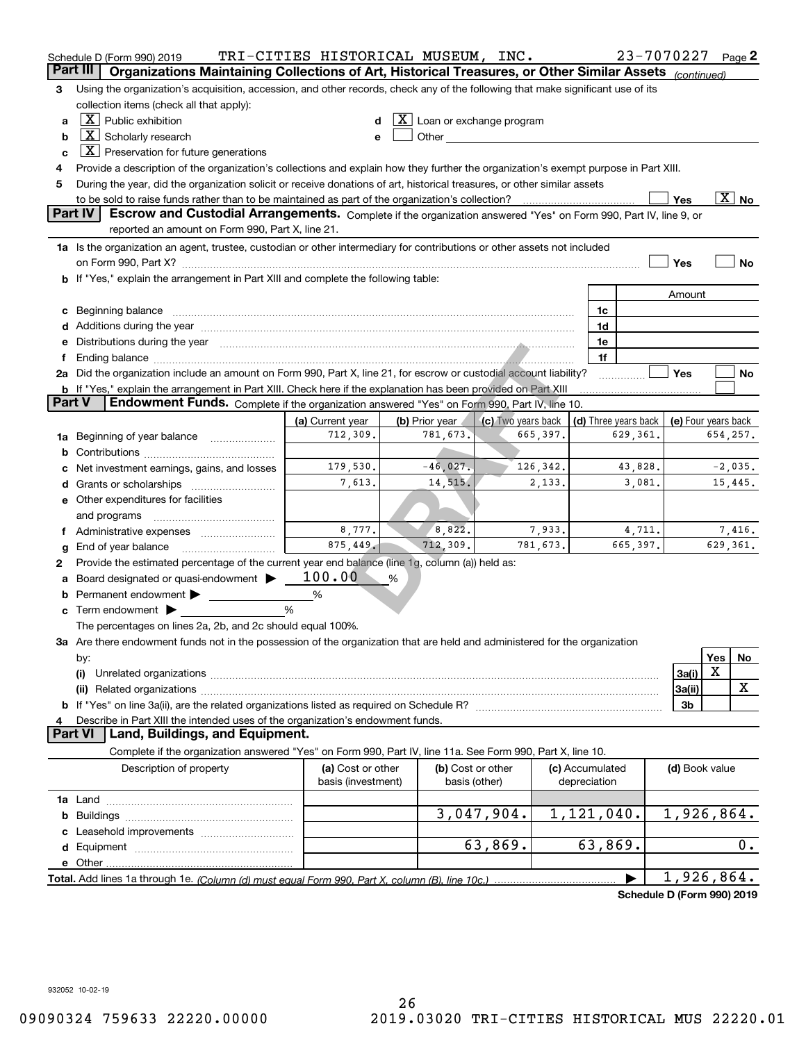|          | Schedule D (Form 990) 2019                                                                                                                                                                                                                                                  | TRI-CITIES HISTORICAL MUSEUM, INC.      |                                    |                    |                                 | 23-7070227           |                | Page 2                   |
|----------|-----------------------------------------------------------------------------------------------------------------------------------------------------------------------------------------------------------------------------------------------------------------------------|-----------------------------------------|------------------------------------|--------------------|---------------------------------|----------------------|----------------|--------------------------|
| Part III | Organizations Maintaining Collections of Art, Historical Treasures, or Other Similar Assets                                                                                                                                                                                 |                                         |                                    |                    |                                 |                      | (continued)    |                          |
| 3        | Using the organization's acquisition, accession, and other records, check any of the following that make significant use of its<br>collection items (check all that apply):                                                                                                 |                                         |                                    |                    |                                 |                      |                |                          |
| a        | $X$ Public exhibition<br>$ \mathbf{X} $ Loan or exchange program                                                                                                                                                                                                            |                                         |                                    |                    |                                 |                      |                |                          |
| b        | $\boxed{\text{X}}$ Scholarly research<br>Other and the contract of the contract of the contract of the contract of the contract of the contract of the contract of the contract of the contract of the contract of the contract of the contract of the contract of the<br>e |                                         |                                    |                    |                                 |                      |                |                          |
| c        | $X$ Preservation for future generations                                                                                                                                                                                                                                     |                                         |                                    |                    |                                 |                      |                |                          |
| 4        | Provide a description of the organization's collections and explain how they further the organization's exempt purpose in Part XIII.                                                                                                                                        |                                         |                                    |                    |                                 |                      |                |                          |
| 5        | During the year, did the organization solicit or receive donations of art, historical treasures, or other similar assets                                                                                                                                                    |                                         |                                    |                    |                                 |                      |                |                          |
|          |                                                                                                                                                                                                                                                                             |                                         |                                    |                    |                                 |                      | Yes            | $\overline{\text{X}}$ No |
|          | <b>Part IV</b><br>Escrow and Custodial Arrangements. Complete if the organization answered "Yes" on Form 990, Part IV, line 9, or                                                                                                                                           |                                         |                                    |                    |                                 |                      |                |                          |
|          | reported an amount on Form 990, Part X, line 21.                                                                                                                                                                                                                            |                                         |                                    |                    |                                 |                      |                |                          |
|          | 1a Is the organization an agent, trustee, custodian or other intermediary for contributions or other assets not included                                                                                                                                                    |                                         |                                    |                    |                                 |                      |                |                          |
|          | on Form 990, Part X? [11] matter contracts and contracts and contracts are contracted and contracts are contracted and contract and contract of the contract of the contract of the contract of the contract of the contract o                                              |                                         |                                    |                    |                                 |                      | Yes            | No                       |
|          | b If "Yes," explain the arrangement in Part XIII and complete the following table:                                                                                                                                                                                          |                                         |                                    |                    |                                 |                      |                |                          |
|          |                                                                                                                                                                                                                                                                             |                                         |                                    |                    |                                 |                      | Amount         |                          |
| с        |                                                                                                                                                                                                                                                                             |                                         |                                    |                    | 1c                              |                      |                |                          |
| d        | Additions during the year manufactured and an according to the year manufactured and according the year manufactured and according the year manufactured and according the year manufactured and according the year manufactur                                              |                                         |                                    |                    | 1d                              |                      |                |                          |
| е        | Distributions during the year manufactured and continuum and contact the year manufactured and contact the year                                                                                                                                                             |                                         |                                    |                    | 1e                              |                      |                |                          |
| f        | Ending balance manufactured and contact the control of the control of the control of the control of the control of the control of the control of the control of the control of the control of the control of the control of th                                              |                                         |                                    |                    | 1f                              |                      |                |                          |
|          | 2a Did the organization include an amount on Form 990, Part X, line 21, for escrow or custodial account liability?                                                                                                                                                          |                                         |                                    |                    |                                 |                      | Yes            | No                       |
|          | <b>b</b> If "Yes," explain the arrangement in Part XIII. Check here if the explanation has been provided on Part XIII                                                                                                                                                       |                                         |                                    |                    |                                 |                      |                |                          |
| Part V   | Endowment Funds. Complete if the organization answered "Yes" on Form 990, Part IV, line 10.                                                                                                                                                                                 |                                         |                                    |                    |                                 |                      |                |                          |
|          |                                                                                                                                                                                                                                                                             | (a) Current year                        | (b) Prior year                     | (c) Two years back |                                 | (d) Three years back |                | (e) Four years back      |
| 1a       | Beginning of year balance                                                                                                                                                                                                                                                   | 712,309.                                | 781,673.                           | 665,397.           |                                 | 629,361.             |                | 654,257.                 |
| b        |                                                                                                                                                                                                                                                                             |                                         |                                    |                    |                                 |                      |                |                          |
| с        | Net investment earnings, gains, and losses                                                                                                                                                                                                                                  | 179,530.                                | $-46,027.$                         | 126,342.           |                                 | 43,828.              |                | $-2,035.$                |
| d        | Grants or scholarships                                                                                                                                                                                                                                                      | 7,613.                                  | 14,515.                            | 2,133.             |                                 | 3,081.               |                | 15,445.                  |
| е        | Other expenditures for facilities                                                                                                                                                                                                                                           |                                         |                                    |                    |                                 |                      |                |                          |
|          | and programs                                                                                                                                                                                                                                                                |                                         |                                    |                    |                                 |                      |                |                          |
|          | f Administrative expenses                                                                                                                                                                                                                                                   | 8,777.                                  | 8,822.                             | 7,933.             |                                 | 4,711.               |                | 7,416.                   |
| g        | End of year balance                                                                                                                                                                                                                                                         | 875,449.                                | 712,309.                           | 781,673.           |                                 | 665,397.             |                | 629,361.                 |
| 2        | Provide the estimated percentage of the current year end balance (line 1g, column (a)) held as:                                                                                                                                                                             |                                         |                                    |                    |                                 |                      |                |                          |
| а        | Board designated or quasi-endowment                                                                                                                                                                                                                                         | 100.00                                  | %                                  |                    |                                 |                      |                |                          |
| b        | Permanent endowment                                                                                                                                                                                                                                                         | %                                       |                                    |                    |                                 |                      |                |                          |
| с        | Term endowment $\blacktriangleright$<br><u> 1999 - Jan Jawa</u>                                                                                                                                                                                                             | %                                       |                                    |                    |                                 |                      |                |                          |
|          | The percentages on lines 2a, 2b, and 2c should equal 100%.                                                                                                                                                                                                                  |                                         |                                    |                    |                                 |                      |                |                          |
|          | 3a Are there endowment funds not in the possession of the organization that are held and administered for the organization                                                                                                                                                  |                                         |                                    |                    |                                 |                      |                | Yes                      |
|          | by:<br>(i)                                                                                                                                                                                                                                                                  |                                         |                                    |                    |                                 |                      | 3a(i)          | No<br>X                  |
|          |                                                                                                                                                                                                                                                                             |                                         |                                    |                    |                                 |                      | 3a(ii)         | X                        |
|          | (ii) Related organizations <b>constructions</b> and construction of the construction of the construction of the construction of the construction of the construction of the construction of the construction of the construction of                                         |                                         |                                    |                    |                                 |                      | 3b             |                          |
| 4        | Describe in Part XIII the intended uses of the organization's endowment funds.                                                                                                                                                                                              |                                         |                                    |                    |                                 |                      |                |                          |
|          | Land, Buildings, and Equipment.<br><b>Part VI</b>                                                                                                                                                                                                                           |                                         |                                    |                    |                                 |                      |                |                          |
|          | Complete if the organization answered "Yes" on Form 990, Part IV, line 11a. See Form 990, Part X, line 10.                                                                                                                                                                  |                                         |                                    |                    |                                 |                      |                |                          |
|          | Description of property                                                                                                                                                                                                                                                     | (a) Cost or other<br>basis (investment) | (b) Cost or other<br>basis (other) |                    | (c) Accumulated<br>depreciation |                      | (d) Book value |                          |
|          |                                                                                                                                                                                                                                                                             |                                         |                                    |                    |                                 |                      |                |                          |
| b        |                                                                                                                                                                                                                                                                             |                                         |                                    | 3,047,904.         | 1,121,040.                      |                      |                | 1,926,864.               |
| с        | Leasehold improvements                                                                                                                                                                                                                                                      |                                         |                                    |                    |                                 |                      |                |                          |
| d        |                                                                                                                                                                                                                                                                             |                                         |                                    | 63,869.            | 63,869.                         |                      |                | 0.                       |
| е        | Other.                                                                                                                                                                                                                                                                      |                                         |                                    |                    |                                 |                      |                |                          |
|          |                                                                                                                                                                                                                                                                             |                                         |                                    |                    |                                 |                      |                | 1,926,864.               |
|          |                                                                                                                                                                                                                                                                             |                                         |                                    |                    |                                 |                      |                |                          |

**Schedule D (Form 990) 2019**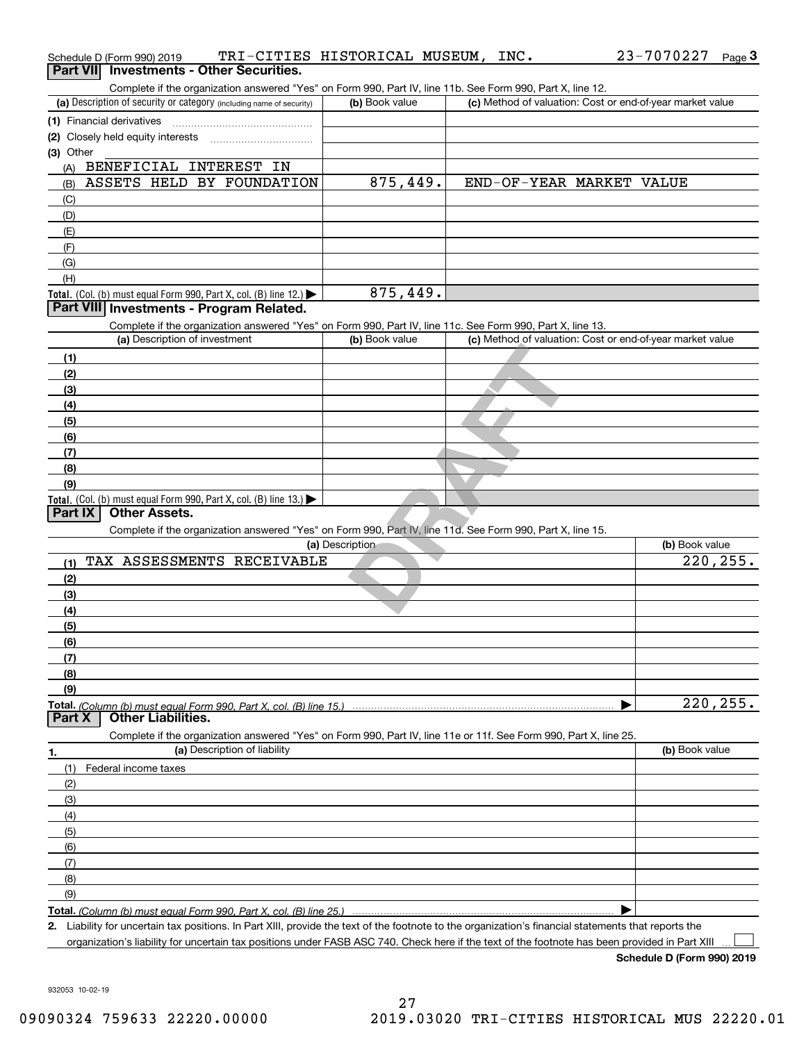| Schedule D (Form 990) 2019                                                                                                                           | TRI-CITIES HISTORICAL MUSEUM, | INC. | 23-7070227<br>Page $3$                                    |
|------------------------------------------------------------------------------------------------------------------------------------------------------|-------------------------------|------|-----------------------------------------------------------|
| Part VII Investments - Other Securities.                                                                                                             |                               |      |                                                           |
| Complete if the organization answered "Yes" on Form 990, Part IV, line 11b. See Form 990, Part X, line 12.                                           |                               |      |                                                           |
| (a) Description of security or category (including name of security)                                                                                 | (b) Book value                |      | (c) Method of valuation: Cost or end-of-year market value |
| (1) Financial derivatives                                                                                                                            |                               |      |                                                           |
| (2) Closely held equity interests                                                                                                                    |                               |      |                                                           |
| (3) Other                                                                                                                                            |                               |      |                                                           |
| BENEFICIAL INTEREST IN<br>(A)                                                                                                                        |                               |      |                                                           |
| ASSETS HELD BY FOUNDATION<br>(B)                                                                                                                     | 875,449.                      |      | END-OF-YEAR MARKET VALUE                                  |
| (C)                                                                                                                                                  |                               |      |                                                           |
| (D)                                                                                                                                                  |                               |      |                                                           |
| (E)                                                                                                                                                  |                               |      |                                                           |
| (F)                                                                                                                                                  |                               |      |                                                           |
| (G)                                                                                                                                                  |                               |      |                                                           |
| (H)                                                                                                                                                  |                               |      |                                                           |
| Total. (Col. (b) must equal Form 990, Part X, col. (B) line 12.) $\blacktriangleright$                                                               | 875,449.                      |      |                                                           |
| Part VIII Investments - Program Related.                                                                                                             |                               |      |                                                           |
| Complete if the organization answered "Yes" on Form 990, Part IV, line 11c. See Form 990, Part X, line 13.                                           |                               |      |                                                           |
| (a) Description of investment                                                                                                                        | (b) Book value                |      | (c) Method of valuation: Cost or end-of-year market value |
| (1)                                                                                                                                                  |                               |      |                                                           |
| (2)                                                                                                                                                  |                               |      |                                                           |
| (3)                                                                                                                                                  |                               |      |                                                           |
| (4)                                                                                                                                                  |                               |      |                                                           |
| (5)                                                                                                                                                  |                               |      |                                                           |
| (6)                                                                                                                                                  |                               |      |                                                           |
| (7)                                                                                                                                                  |                               |      |                                                           |
| (8)                                                                                                                                                  |                               |      |                                                           |
| (9)                                                                                                                                                  |                               |      |                                                           |
| Total. (Col. (b) must equal Form 990, Part X, col. (B) line $13.$ )                                                                                  |                               |      |                                                           |
| <b>Other Assets.</b><br>Part IX                                                                                                                      |                               |      |                                                           |
| Complete if the organization answered "Yes" on Form 990, Part IV, line 11d. See Form 990, Part X, line 15.                                           |                               |      |                                                           |
|                                                                                                                                                      | (a) Description               |      | (b) Book value                                            |
| TAX ASSESSMENTS RECEIVABLE<br>(1)                                                                                                                    |                               |      | 220,255.                                                  |
| (2)                                                                                                                                                  |                               |      |                                                           |
| (3)                                                                                                                                                  |                               |      |                                                           |
| (4)                                                                                                                                                  |                               |      |                                                           |
| (5)                                                                                                                                                  |                               |      |                                                           |
| (6)                                                                                                                                                  |                               |      |                                                           |
| (7)                                                                                                                                                  |                               |      |                                                           |
| (8)                                                                                                                                                  |                               |      |                                                           |
| (9)                                                                                                                                                  |                               |      |                                                           |
| Total. (Column (b) must equal Form 990. Part X, col. (B) line 15.)                                                                                   |                               |      | 220, 255.                                                 |
| <b>Other Liabilities.</b><br>Part X                                                                                                                  |                               |      |                                                           |
| Complete if the organization answered "Yes" on Form 990, Part IV, line 11e or 11f. See Form 990, Part X, line 25.                                    |                               |      |                                                           |
| (a) Description of liability<br>1.                                                                                                                   |                               |      | (b) Book value                                            |
| (1)<br>Federal income taxes                                                                                                                          |                               |      |                                                           |
| (2)                                                                                                                                                  |                               |      |                                                           |
| (3)                                                                                                                                                  |                               |      |                                                           |
| (4)                                                                                                                                                  |                               |      |                                                           |
| (5)                                                                                                                                                  |                               |      |                                                           |
| (6)                                                                                                                                                  |                               |      |                                                           |
| (7)                                                                                                                                                  |                               |      |                                                           |
| (8)                                                                                                                                                  |                               |      |                                                           |
| (9)                                                                                                                                                  |                               |      |                                                           |
| Total. (Column (b) must equal Form 990. Part X, col. (B) line 25.)                                                                                   |                               |      |                                                           |
| 2. Liability for uncertain tax positions. In Part XIII, provide the text of the footnote to the organization's financial statements that reports the |                               |      |                                                           |
|                                                                                                                                                      |                               |      |                                                           |

organization's liability for uncertain tax positions under FASB ASC 740. Check here if the text of the footnote has been provided in Part XIII  $\,\,...\,$ 

**Schedule D (Form 990) 2019**

932053 10-02-19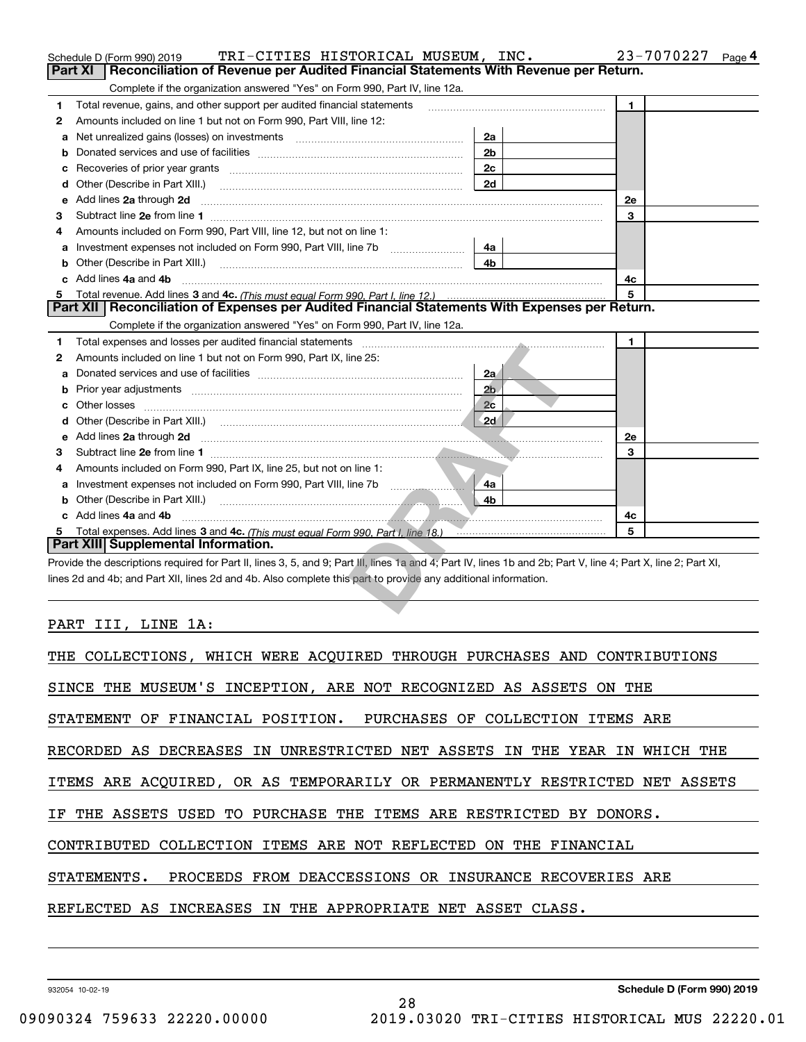|   | TRI-CITIES HISTORICAL MUSEUM, INC.<br>Schedule D (Form 990) 2019                                                                                                                                                                     |                | 23-7070227<br>Page 4 |
|---|--------------------------------------------------------------------------------------------------------------------------------------------------------------------------------------------------------------------------------------|----------------|----------------------|
|   | <b>Part XI</b><br>Reconciliation of Revenue per Audited Financial Statements With Revenue per Return.                                                                                                                                |                |                      |
|   | Complete if the organization answered "Yes" on Form 990, Part IV, line 12a.                                                                                                                                                          |                |                      |
| 1 | Total revenue, gains, and other support per audited financial statements                                                                                                                                                             |                | $\mathbf{1}$         |
| 2 | Amounts included on line 1 but not on Form 990, Part VIII, line 12:                                                                                                                                                                  |                |                      |
| a | Net unrealized gains (losses) on investments [11] matter contracts and the unrealized gains (losses) on investments                                                                                                                  | 2a             |                      |
| b |                                                                                                                                                                                                                                      | 2 <sub>b</sub> |                      |
| с |                                                                                                                                                                                                                                      | 2c             |                      |
| d | Other (Describe in Part XIII.)                                                                                                                                                                                                       | 2d             |                      |
| е | Add lines 2a through 2d                                                                                                                                                                                                              |                | 2e                   |
| З | Subtract line 2e from line 1                                                                                                                                                                                                         |                | 3                    |
| 4 | Amounts included on Form 990, Part VIII, line 12, but not on line 1:                                                                                                                                                                 |                |                      |
| a | Investment expenses not included on Form 990, Part VIII, line 7b [1000000000000000000000000000000000                                                                                                                                 | 4a             |                      |
| b | Other (Describe in Part XIII.)                                                                                                                                                                                                       | 4 <sub>b</sub> |                      |
|   | Add lines 4a and 4b                                                                                                                                                                                                                  |                | 4c                   |
| 5 |                                                                                                                                                                                                                                      |                | 5                    |
|   | Part XII   Reconciliation of Expenses per Audited Financial Statements With Expenses per Return.                                                                                                                                     |                |                      |
|   | Complete if the organization answered "Yes" on Form 990, Part IV, line 12a.                                                                                                                                                          |                |                      |
| 1 | Total expenses and losses per audited financial statements [11] [12] Total expenses and losses per audited financial statements [11] [12] Total expenses and losses per audited financial statements                                 |                | 1.                   |
| 2 | Amounts included on line 1 but not on Form 990, Part IX, line 25:                                                                                                                                                                    |                |                      |
| a |                                                                                                                                                                                                                                      | 2a             |                      |
| b |                                                                                                                                                                                                                                      | 2 <sub>b</sub> |                      |
|   |                                                                                                                                                                                                                                      | 2c             |                      |
|   |                                                                                                                                                                                                                                      | $\sqrt{2}d$    |                      |
|   | e Add lines 2a through 2d                                                                                                                                                                                                            |                | <b>2e</b>            |
| з |                                                                                                                                                                                                                                      |                | 3                    |
| 4 | Amounts included on Form 990, Part IX, line 25, but not on line 1:                                                                                                                                                                   |                |                      |
| a | Investment expenses not included on Form 990, Part VIII, line 7b [11] [11] Investment expenses not included on Form 990, Part VIII, line 7b                                                                                          | 4a             |                      |
| b | Other (Describe in Part XIII.)                                                                                                                                                                                                       | 4b             |                      |
|   | c Add lines 4a and 4b                                                                                                                                                                                                                |                | 4с                   |
| 5 | Total expenses. Add lines 3 and 4c. (This must equal Form 990. Part I. line 18.) <b>The COVID COVID COVID COVID COVID COVID COVID COVID COVID COVID COVID COVID COVID COVID COVID COVID COVID COVID COVID COVID COVID COVID COVI</b> |                | 5                    |
|   | Part XIII Supplemental Information.                                                                                                                                                                                                  |                |                      |
|   | Provide the descriptions required for Part II, lines 3, 5, and 9; Part III, lines 1a and 4; Part IV, lines 1b and 2b; Part V, line 4; Part X, line 2; Part XI,                                                                       |                |                      |
|   | lines 2d and 4b; and Part XII, lines 2d and 4b. Also complete this part to provide any additional information.                                                                                                                       |                |                      |
|   |                                                                                                                                                                                                                                      |                |                      |
|   |                                                                                                                                                                                                                                      |                |                      |

# PART III, LINE 1A:

| THE COLLECTIONS, WHICH WERE ACQUIRED THROUGH PURCHASES AND CONTRIBUTIONS   |
|----------------------------------------------------------------------------|
| SINCE THE MUSEUM'S INCEPTION, ARE NOT RECOGNIZED AS ASSETS ON THE          |
| STATEMENT OF FINANCIAL POSITION. PURCHASES OF COLLECTION ITEMS ARE         |
| RECORDED AS DECREASES IN UNRESTRICTED NET ASSETS IN THE YEAR IN WHICH THE  |
| ITEMS ARE ACQUIRED, OR AS TEMPORARILY OR PERMANENTLY RESTRICTED NET ASSETS |
| IF THE ASSETS USED TO PURCHASE THE ITEMS ARE RESTRICTED BY DONORS.         |
| CONTRIBUTED COLLECTION ITEMS ARE NOT REFLECTED ON THE FINANCIAL            |
| STATEMENTS. PROCEEDS FROM DEACCESSIONS OR INSURANCE RECOVERIES ARE         |
| REFLECTED AS INCREASES IN THE APPROPRIATE NET ASSET CLASS.                 |
|                                                                            |

28

932054 10-02-19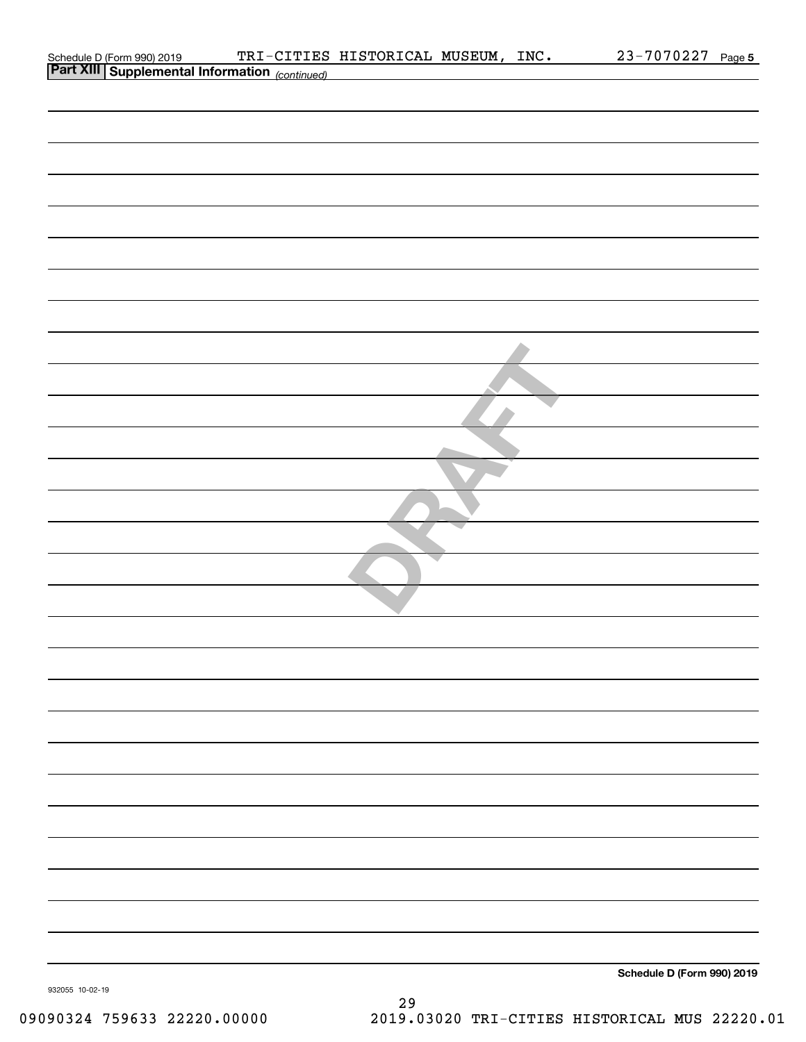|                                                                                         | TRI-CITIES HISTORICAL MUSEUM, INC. |  | 23-7070227 Page 5          |  |
|-----------------------------------------------------------------------------------------|------------------------------------|--|----------------------------|--|
| Schedule D (Form 990) 2019 TRI-CITIES<br>Part XIII Supplemental Information (continued) |                                    |  |                            |  |
|                                                                                         |                                    |  |                            |  |
|                                                                                         |                                    |  |                            |  |
|                                                                                         |                                    |  |                            |  |
|                                                                                         |                                    |  |                            |  |
|                                                                                         |                                    |  |                            |  |
|                                                                                         |                                    |  |                            |  |
|                                                                                         |                                    |  |                            |  |
|                                                                                         |                                    |  |                            |  |
|                                                                                         |                                    |  |                            |  |
|                                                                                         |                                    |  |                            |  |
|                                                                                         |                                    |  |                            |  |
|                                                                                         |                                    |  |                            |  |
|                                                                                         |                                    |  |                            |  |
|                                                                                         |                                    |  |                            |  |
|                                                                                         |                                    |  |                            |  |
|                                                                                         |                                    |  |                            |  |
|                                                                                         |                                    |  |                            |  |
|                                                                                         |                                    |  |                            |  |
|                                                                                         |                                    |  |                            |  |
|                                                                                         |                                    |  |                            |  |
|                                                                                         |                                    |  |                            |  |
|                                                                                         |                                    |  |                            |  |
|                                                                                         |                                    |  |                            |  |
|                                                                                         |                                    |  |                            |  |
|                                                                                         |                                    |  |                            |  |
|                                                                                         |                                    |  |                            |  |
|                                                                                         |                                    |  |                            |  |
|                                                                                         |                                    |  |                            |  |
|                                                                                         |                                    |  |                            |  |
|                                                                                         |                                    |  |                            |  |
|                                                                                         |                                    |  |                            |  |
|                                                                                         |                                    |  |                            |  |
|                                                                                         |                                    |  |                            |  |
|                                                                                         |                                    |  |                            |  |
|                                                                                         |                                    |  |                            |  |
|                                                                                         |                                    |  |                            |  |
|                                                                                         |                                    |  |                            |  |
|                                                                                         |                                    |  |                            |  |
|                                                                                         |                                    |  |                            |  |
|                                                                                         |                                    |  |                            |  |
|                                                                                         |                                    |  |                            |  |
|                                                                                         |                                    |  |                            |  |
|                                                                                         |                                    |  |                            |  |
|                                                                                         |                                    |  |                            |  |
|                                                                                         |                                    |  |                            |  |
|                                                                                         |                                    |  |                            |  |
|                                                                                         |                                    |  |                            |  |
|                                                                                         |                                    |  |                            |  |
|                                                                                         |                                    |  |                            |  |
|                                                                                         |                                    |  | Schedule D (Form 990) 2019 |  |
| 932055 10-02-19                                                                         |                                    |  |                            |  |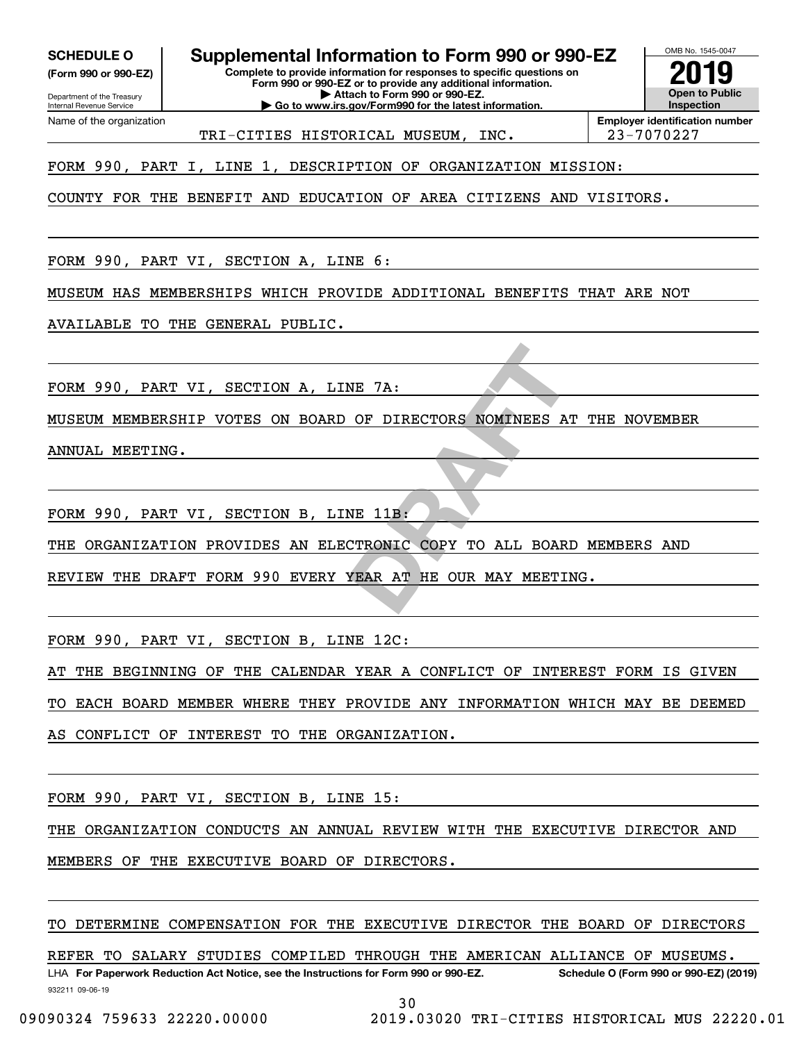**(Form 990 or 990-EZ)**

Department of the Treasury Internal Revenue Service Name of the organization

**SCHEDULE O Supplemental Information to Form 990 or 990-EZ**

**Complete to provide information for responses to specific questions on Form 990 or 990-EZ or to provide any additional information. | Attach to Form 990 or 990-EZ. | Go to www.irs.gov/Form990 for the latest information.**

**Open to Public InspectionEmployer identification number 2019**

OMB No. 1545-0047

TRI-CITIES HISTORICAL MUSEUM, INC. 23-7070227

FORM 990, PART I, LINE 1, DESCRIPTION OF ORGANIZATION MISSION:

COUNTY FOR THE BENEFIT AND EDUCATION OF AREA CITIZENS AND VISITORS.

FORM 990, PART VI, SECTION A, LINE 6:

MUSEUM HAS MEMBERSHIPS WHICH PROVIDE ADDITIONAL BENEFITS THAT ARE NOT

AVAILABLE TO THE GENERAL PUBLIC.

FORM 990, PART VI, SECTION A, LINE 7A:

NE 7A:<br>
OF DIRECTORS NOMINEES AT MUSEUM MEMBERSHIP VOTES ON BOARD OF DIRECTORS NOMINEES AT THE NOVEMBER

ANNUAL MEETING.

FORM 990, PART VI, SECTION B, LINE 11B:

THE ORGANIZATION PROVIDES AN ELECTRONIC COPY TO ALL BOARD MEMBERS AND

REVIEW THE DRAFT FORM 990 EVERY YEAR AT HE OUR MAY MEETING.

FORM 990, PART VI, SECTION B, LINE 12C:

AT THE BEGINNING OF THE CALENDAR YEAR A CONFLICT OF INTEREST FORM IS GIVEN

TO EACH BOARD MEMBER WHERE THEY PROVIDE ANY INFORMATION WHICH MAY BE DEEMED

AS CONFLICT OF INTEREST TO THE ORGANIZATION.

FORM 990, PART VI, SECTION B, LINE 15:

THE ORGANIZATION CONDUCTS AN ANNUAL REVIEW WITH THE EXECUTIVE DIRECTOR AND

MEMBERS OF THE EXECUTIVE BOARD OF DIRECTORS.

TO DETERMINE COMPENSATION FOR THE EXECUTIVE DIRECTOR THE BOARD OF DIRECTORS

REFER TO SALARY STUDIES COMPILED THROUGH THE AMERICAN ALLIANCE OF MUSEUMS.

932211 09-06-19 LHA For Paperwork Reduction Act Notice, see the Instructions for Form 990 or 990-EZ. Schedule O (Form 990 or 990-EZ) (2019) 30